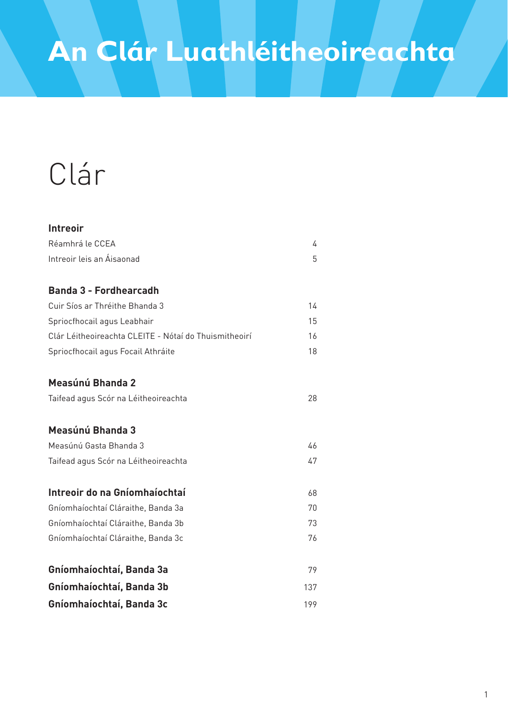# Clár

| <b>Intreoir</b>                                       |     |
|-------------------------------------------------------|-----|
| Réamhrá le CCEA                                       | 4   |
| Intreoir leis an Áisaonad                             | 5   |
| <b>Banda 3 - Fordhearcadh</b>                         |     |
| Cuir Síos ar Thréithe Bhanda 3                        | 14  |
| Spriocfhocail agus Leabhair                           | 15  |
| Clár Léitheoireachta CLEITE - Nótaí do Thuismitheoirí | 16  |
| Spriocfhocail agus Focail Athráite                    | 18  |
| Measúnú Bhanda 2                                      |     |
| Taifead agus Scór na Léitheoireachta                  | 28  |
| Measúnú Bhanda 3                                      |     |
| Measúnú Gasta Bhanda 3                                | 46  |
| Taifead agus Scór na Léitheoireachta                  | 47  |
| Intreoir do na Gníomhaíochtaí                         | 68  |
| Gníomhaíochtaí Cláraithe, Banda 3a                    | 70  |
| Gníomhaíochtaí Cláraithe, Banda 3b                    | 73  |
| Gníomhaíochtaí Cláraithe, Banda 3c                    | 76  |
| Gníomhaíochtaí, Banda 3a                              | 79  |
| Gníomhaíochtaí, Banda 3b                              | 137 |
| Gníomhaíochtaí, Banda 3c                              | 199 |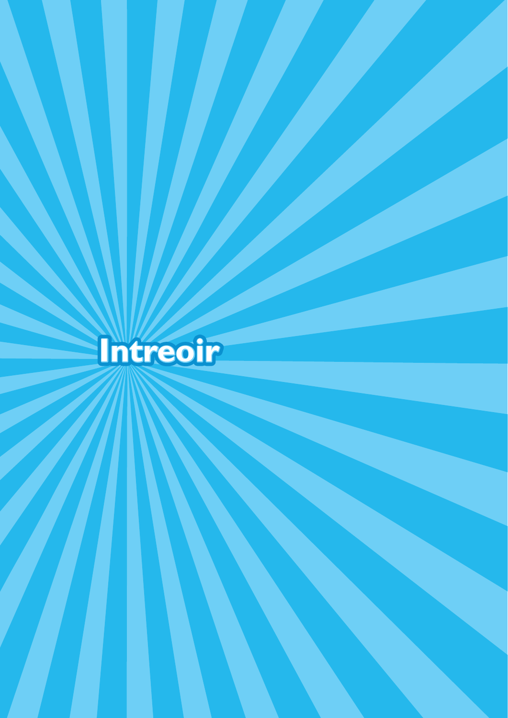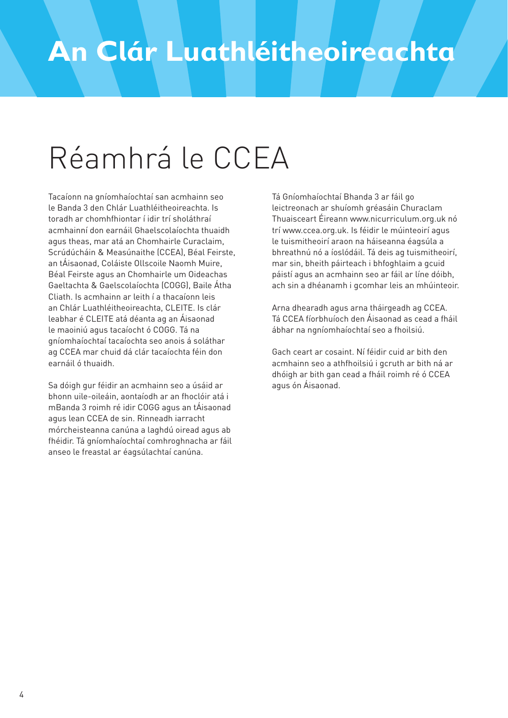# Réamhrá le CCEA

Tacaíonn na gníomhaíochtaí san acmhainn seo le Banda 3 den Chlár Luathléitheoireachta. Is toradh ar chomhfhiontar í idir trí sholáthraí acmhainní don earnáil Ghaelscolaíochta thuaidh agus theas, mar atá an Chomhairle Curaclaim, Scrúdúcháin & Measúnaithe (CCEA), Béal Feirste, an tÁisaonad, Coláiste Ollscoile Naomh Muire, Béal Feirste agus an Chomhairle um Oideachas Gaeltachta & Gaelscolaíochta (COGG), Baile Átha Cliath. Is acmhainn ar leith í a thacaíonn leis an Chlár Luathléitheoireachta, CLEITE. Is clár leabhar é CLEITE atá déanta ag an Áisaonad le maoiniú agus tacaíocht ó COGG. Tá na gníomhaíochtaí tacaíochta seo anois á soláthar ag CCEA mar chuid dá clár tacaíochta féin don earnáil ó thuaidh.

Sa dóigh gur féidir an acmhainn seo a úsáid ar bhonn uile-oileáin, aontaíodh ar an fhoclóir atá i mBanda 3 roimh ré idir COGG agus an tÁisaonad agus lean CCEA de sin. Rinneadh iarracht mórcheisteanna canúna a laghdú oiread agus ab fhéidir. Tá gníomhaíochtaí comhroghnacha ar fáil anseo le freastal ar éagsúlachtaí canúna.

Tá Gníomhaíochtaí Bhanda 3 ar fáil go leictreonach ar shuíomh gréasáin Churaclam Thuaisceart Éireann www.nicurriculum.org.uk nó trí www.ccea.org.uk. Is féidir le múinteoirí agus le tuismitheoirí araon na háiseanna éagsúla a bhreathnú nó a íoslódáil. Tá deis ag tuismitheoirí, mar sin, bheith páirteach i bhfoghlaim a gcuid páistí agus an acmhainn seo ar fáil ar líne dóibh, ach sin a dhéanamh i gcomhar leis an mhúinteoir.

Arna dhearadh agus arna tháirgeadh ag CCEA. Tá CCEA fíorbhuíoch den Áisaonad as cead a fháil ábhar na ngníomhaíochtaí seo a fhoilsiú.

Gach ceart ar cosaint. Ní féidir cuid ar bith den acmhainn seo a athfhoilsiú i gcruth ar bith ná ar dhóigh ar bith gan cead a fháil roimh ré ó CCEA agus ón Áisaonad.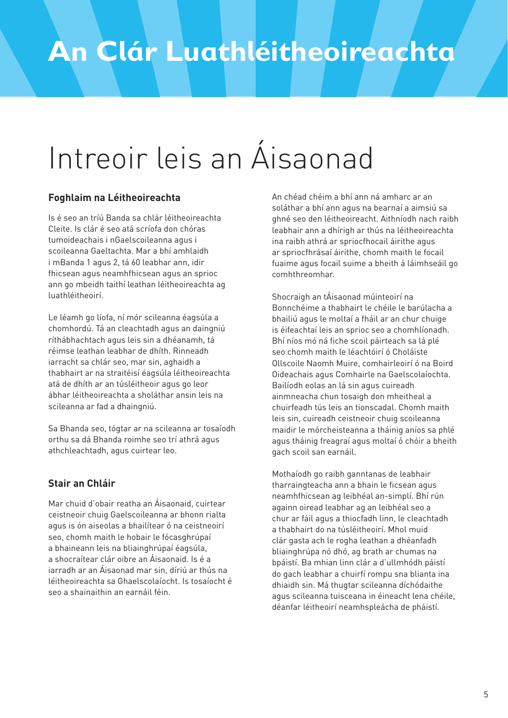# Intreoir leis an Áisaonad

#### **Foghlaim na Léitheoireachta**

Is é seo an tríú Banda sa chlár léitheoireachta Cleite. Is clár é seo atá scríofa don chóras tumoideachais i nGaelscoileanna agus i scoileanna Gaeltachta. Mar a bhí amhlaidh i mBanda 1 agus 2, tá 60 leabhar ann, idir fhicsean agus neamhfhicsean agus an sprioc ann go mbeidh taithí leathan léitheoireachta ag luathléitheoirí.

Le léamh go líofa, ní mór scileanna éagsúla a chomhordú. Tá an cleachtadh agus an daingniú ríthábhachtach agus leis sin a dhéanamh, tá réimse leathan leabhar de dhíth. Rinneadh iarracht sa chlár seo, mar sin, aghaidh a thabhairt ar na straitéisí éagsúla léitheoireachta atá de dhíth ar an túsléitheoir agus go leor ábhar léitheoireachta a sholáthar ansin leis na scileanna ar fad a dhaingniú.

Sa Bhanda seo, tógtar ar na scileanna ar tosaíodh orthu sa dá Bhanda roimhe seo trí athrá agus athchleachtadh, agus cuirtear leo.

#### **Stair an Chláir**

Mar chuid d'obair reatha an Áisaonaid, cuirtear ceistneoir chuig Gaelscoileanna ar bhonn rialta agus is ón aiseolas a bhailítear ó na ceistneoirí seo, chomh maith le hobair le fócasghrúpaí a bhaineann leis na bliainghrúpaí éagsúla, a shocraítear clár oibre an Áisaonaid. Is é a iarradh ar an Áisaonad mar sin, díriú ar thús na léitheoireachta sa Ghaelscolaíocht. Is tosaíocht é seo a shainaithin an earnáil féin.

An chéad chéim a bhí ann ná amharc ar an soláthar a bhí ann agus na bearnaí a aimsiú sa ghné seo den léitheoireacht. Aithníodh nach raibh leabhair ann a dhírigh ar thús na léitheoireachta ina raibh athrá ar spriocfhocail áirithe agus ar spriocfhrásaí áirithe, chomh maith le focail fuaime agus focail suime a bheith á láimhseáil go comhthreomhar.

Shocraigh an tÁisaonad múinteoirí na Bonnchéime a thabhairt le chéile le barúlacha a bhailiú agus le moltaí a fháil ar an chur chuige is éifeachtaí leis an sprioc seo a chomhlíonadh. Bhí níos mó ná fiche scoil páirteach sa lá plé seo chomh maith le léachtóirí ó Choláiste Ollscoile Naomh Muire, comhairleoirí ó na Boird Oideachais agus Comhairle na Gaelscolaíochta. Bailíodh eolas an lá sin agus cuireadh ainmneacha chun tosaigh don mheitheal a chuirfeadh tús leis an tionscadal. Chomh maith leis sin, cuireadh ceistneoir chuig scoileanna maidir le mórcheisteanna a tháinig aníos sa phlé agus tháinig freagraí agus moltaí ó chóir a bheith gach scoil san earnáil.

Mothaíodh go raibh ganntanas de leabhair tharraingteacha ann a bhain le ficsean agus neamhfhicsean ag leibhéal an-simplí. Bhí rún againn oiread leabhar ag an leibhéal seo a chur ar fáil agus a thiocfadh linn, le cleachtadh a thabhairt do na túsléitheoirí. Mhol muid clár gasta ach le rogha leathan a dhéanfadh bliainghrúpa nó dhó, ag brath ar chumas na bpáistí. Ba mhian linn clár a d'ullmhódh páistí do gach leabhar a chuirfí rompu sna blianta ina dhiaidh sin. Má thugtar scileanna díchódaithe agus scileanna tuisceana in éineacht lena chéile, déanfar léitheoirí neamhspleácha de pháistí.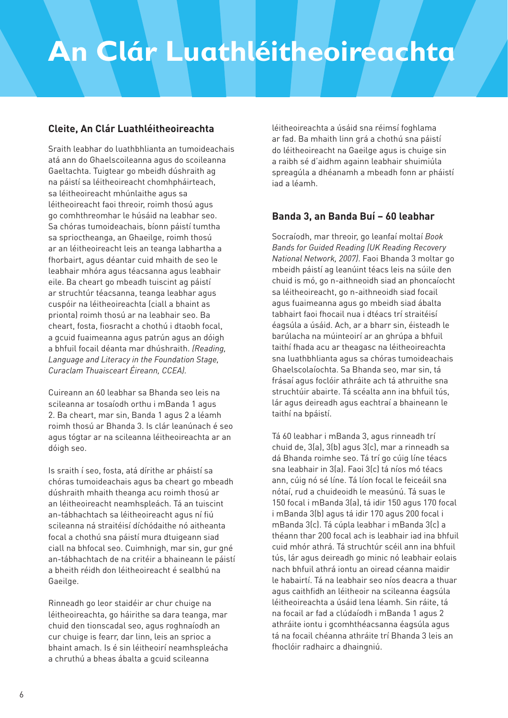#### **Cleite, An Clár Luathléitheoireachta**

Sraith leabhar do luathbhlianta an tumoideachais atá ann do Ghaelscoileanna agus do scoileanna Gaeltachta. Tuigtear go mbeidh dúshraith ag na páistí sa léitheoireacht chomhpháirteach, sa léitheoireacht mhúnlaithe agus sa léitheoireacht faoi threoir, roimh thosú agus go comhthreomhar le húsáid na leabhar seo. Sa chóras tumoideachais, bíonn páistí tumtha sa sprioctheanga, an Ghaeilge, roimh thosú ar an léitheoireacht leis an teanga labhartha a fhorbairt, agus déantar cuid mhaith de seo le leabhair mhóra agus téacsanna agus leabhair eile. Ba cheart go mbeadh tuiscint ag páistí ar struchtúr téacsanna, teanga leabhar agus cuspóir na léitheoireachta (ciall a bhaint as prionta) roimh thosú ar na leabhair seo. Ba cheart, fosta, fiosracht a chothú i dtaobh focal, a gcuid fuaimeanna agus patrún agus an dóigh a bhfuil focail déanta mar dhúshraith. *(Reading, Language and Literacy in the Foundation Stage, Curaclam Thuaisceart Éireann, CCEA).*

Cuireann an 60 leabhar sa Bhanda seo leis na scileanna ar tosaíodh orthu i mBanda 1 agus 2. Ba cheart, mar sin, Banda 1 agus 2 a léamh roimh thosú ar Bhanda 3. Is clár leanúnach é seo agus tógtar ar na scileanna léitheoireachta ar an dóigh seo.

Is sraith í seo, fosta, atá dírithe ar pháistí sa chóras tumoideachais agus ba cheart go mbeadh dúshraith mhaith theanga acu roimh thosú ar an léitheoireacht neamhspleách. Tá an tuiscint an-tábhachtach sa léitheoireacht agus ní fiú scileanna ná straitéisí díchódaithe nó aitheanta focal a chothú sna páistí mura dtuigeann siad ciall na bhfocal seo. Cuimhnigh, mar sin, gur gné an-tábhachtach de na critéir a bhaineann le páistí a bheith réidh don léitheoireacht é sealbhú na Gaeilge.

Rinneadh go leor staidéir ar chur chuige na léitheoireachta, go háirithe sa dara teanga, mar chuid den tionscadal seo, agus roghnaíodh an cur chuige is fearr, dar linn, leis an sprioc a bhaint amach. Is é sin léitheoirí neamhspleácha a chruthú a bheas ábalta a gcuid scileanna

léitheoireachta a úsáid sna réimsí foghlama ar fad. Ba mhaith linn grá a chothú sna páistí do léitheoireacht na Gaeilge agus is chuige sin a raibh sé d'aidhm againn leabhair shuimiúla spreagúla a dhéanamh a mbeadh fonn ar pháistí iad a léamh.

#### **Banda 3, an Banda Buí – 60 leabhar**

Socraíodh, mar threoir, go leanfaí moltaí *Book Bands for Guided Reading (UK Reading Recovery National Network, 2007)*. Faoi Bhanda 3 moltar go mbeidh páistí ag leanúint téacs leis na súile den chuid is mó, go n-aithneoidh siad an phoncaíocht sa léitheoireacht, go n-aithneoidh siad focail agus fuaimeanna agus go mbeidh siad ábalta tabhairt faoi fhocail nua i dtéacs trí straitéisí éagsúla a úsáid. Ach, ar a bharr sin, éisteadh le barúlacha na múinteoirí ar an ghrúpa a bhfuil taithí fhada acu ar theagasc na léitheoireachta sna luathbhlianta agus sa chóras tumoideachais Ghaelscolaíochta. Sa Bhanda seo, mar sin, tá frásaí agus foclóir athráite ach tá athruithe sna struchtúir abairte. Tá scéalta ann ina bhfuil tús, lár agus deireadh agus eachtraí a bhaineann le taithí na bpáistí.

Tá 60 leabhar i mBanda 3, agus rinneadh trí chuid de, 3(a), 3(b) agus 3(c), mar a rinneadh sa dá Bhanda roimhe seo. Tá trí go cúig líne téacs sna leabhair in 3(a). Faoi 3(c) tá níos mó téacs ann, cúig nó sé líne. Tá líon focal le feiceáil sna nótaí, rud a chuideoidh le measúnú. Tá suas le 150 focal i mBanda 3(a), tá idir 150 agus 170 focal i mBanda 3(b) agus tá idir 170 agus 200 focal i mBanda 3(c). Tá cúpla leabhar i mBanda 3(c) a théann thar 200 focal ach is leabhair iad ina bhfuil cuid mhór athrá. Tá struchtúr scéil ann ina bhfuil tús, lár agus deireadh go minic nó leabhair eolais nach bhfuil athrá iontu an oiread céanna maidir le habairtí. Tá na leabhair seo níos deacra a thuar agus caithfidh an léitheoir na scileanna éagsúla léitheoireachta a úsáid lena léamh. Sin ráite, tá na focail ar fad a clúdaíodh i mBanda 1 agus 2 athráite iontu i gcomhthéacsanna éagsúla agus tá na focail chéanna athráite trí Bhanda 3 leis an fhoclóir radhairc a dhaingniú.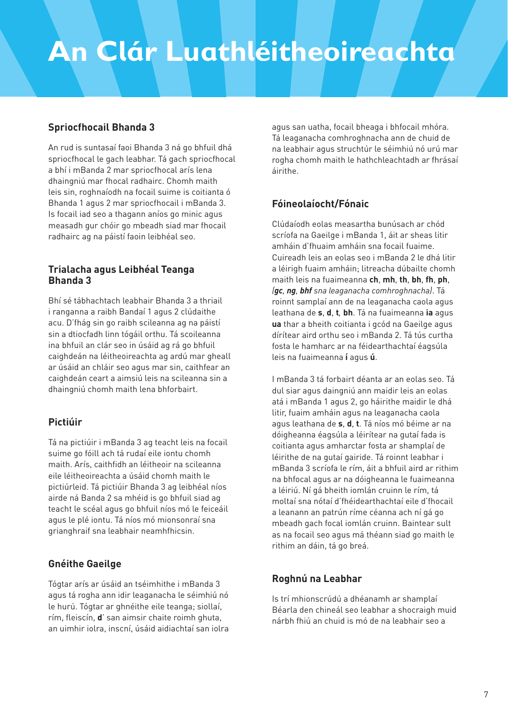#### **Spriocfhocail Bhanda 3**

An rud is suntasaí faoi Bhanda 3 ná go bhfuil dhá spriocfhocal le gach leabhar. Tá gach spriocfhocal a bhí i mBanda 2 mar spriocfhocal arís lena dhaingniú mar fhocal radhairc. Chomh maith leis sin, roghnaíodh na focail suime is coitianta ó Bhanda 1 agus 2 mar spriocfhocail i mBanda 3. Is focail iad seo a thagann aníos go minic agus measadh gur chóir go mbeadh siad mar fhocail radhairc ag na páistí faoin leibhéal seo.

#### **Trialacha agus Leibhéal Teanga Bhanda 3**

Bhí sé tábhachtach leabhair Bhanda 3 a thriail i ranganna a raibh Bandaí 1 agus 2 clúdaithe acu. D'fhág sin go raibh scileanna ag na páistí sin a dtiocfadh linn tógáil orthu. Tá scoileanna ina bhfuil an clár seo in úsáid ag rá go bhfuil caighdeán na léitheoireachta ag ardú mar gheall ar úsáid an chláir seo agus mar sin, caithfear an caighdeán ceart a aimsiú leis na scileanna sin a dhaingniú chomh maith lena bhforbairt.

#### **Pictiúir**

Tá na pictiúir i mBanda 3 ag teacht leis na focail suime go fóill ach tá rudaí eile iontu chomh maith. Arís, caithfidh an léitheoir na scileanna eile léitheoireachta a úsáid chomh maith le pictiúrleid. Tá pictiúir Bhanda 3 ag leibhéal níos airde ná Banda 2 sa mhéid is go bhfuil siad ag teacht le scéal agus go bhfuil níos mó le feiceáil agus le plé iontu. Tá níos mó mionsonraí sna grianghraif sna leabhair neamhfhicsin.

#### **Gnéithe Gaeilge**

Tógtar arís ar úsáid an tséimhithe i mBanda 3 agus tá rogha ann idir leaganacha le séimhiú nó le hurú. Tógtar ar ghnéithe eile teanga; siollaí, rím, fleiscín, **d**' san aimsir chaite roimh ghuta, an uimhir iolra, inscní, úsáid aidiachtaí san iolra

agus san uatha, focail bheaga i bhfocail mhóra. Tá leaganacha comhroghnacha ann de chuid de na leabhair agus struchtúr le séimhiú nó urú mar rogha chomh maith le hathchleachtadh ar fhrásaí áirithe.

#### **Fóineolaíocht/Fónaic**

Clúdaíodh eolas measartha bunúsach ar chód scríofa na Gaeilge i mBanda 1, áit ar sheas litir amháin d'fhuaim amháin sna focail fuaime. Cuireadh leis an eolas seo i mBanda 2 le dhá litir a léirigh fuaim amháin; litreacha dúbailte chomh maith leis na fuaimeanna **ch**, **mh**, **th**, **bh**, **fh**, **ph**, *(gc, ng, bhf sna leaganacha comhroghnacha)*. Tá roinnt samplaí ann de na leaganacha caola agus leathana de **s**, **d**, **t***,* **bh**. Tá na fuaimeanna **ia** agus **ua** thar a bheith coitianta i gcód na Gaeilge agus dírítear aird orthu seo i mBanda 2. Tá tús curtha fosta le hamharc ar na féidearthachtaí éagsúla leis na fuaimeanna **í** agus **ú**.

I mBanda 3 tá forbairt déanta ar an eolas seo. Tá dul siar agus daingniú ann maidir leis an eolas atá i mBanda 1 agus 2, go háirithe maidir le dhá litir, fuaim amháin agus na leaganacha caola agus leathana de **s**, **d**, **t**. Tá níos mó béime ar na dóigheanna éagsúla a léirítear na gutaí fada is coitianta agus amharctar fosta ar shamplaí de léirithe de na gutaí gairide. Tá roinnt leabhar i mBanda 3 scríofa le rím, áit a bhfuil aird ar rithim na bhfocal agus ar na dóigheanna le fuaimeanna a léiriú. Ní gá bheith iomlán cruinn le rím, tá moltaí sna nótaí d'fhéidearthachtaí eile d'fhocail a leanann an patrún ríme céanna ach ní gá go mbeadh gach focal iomlán cruinn. Baintear sult as na focail seo agus má théann siad go maith le rithim an dáin, tá go breá.

#### **Roghnú na Leabhar**

Is trí mhionscrúdú a dhéanamh ar shamplaí Béarla den chineál seo leabhar a shocraigh muid nárbh fhiú an chuid is mó de na leabhair seo a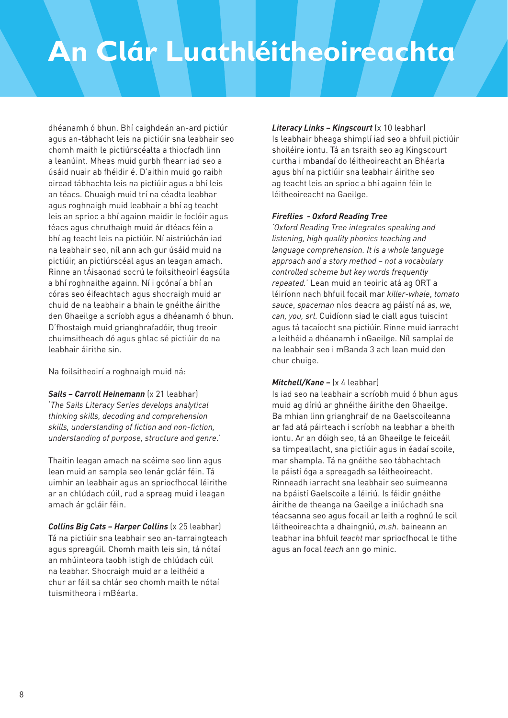dhéanamh ó bhun. Bhí caighdeán an-ard pictiúr agus an-tábhacht leis na pictiúir sna leabhair seo chomh maith le pictiúrscéalta a thiocfadh linn a leanúint. Mheas muid gurbh fhearr iad seo a úsáid nuair ab fhéidir é. D'aithin muid go raibh oiread tábhachta leis na pictiúir agus a bhí leis an téacs. Chuaigh muid trí na céadta leabhar agus roghnaigh muid leabhair a bhí ag teacht leis an sprioc a bhí againn maidir le foclóir agus téacs agus chruthaigh muid ár dtéacs féin a bhí ag teacht leis na pictiúir. Ní aistriúchán iad na leabhair seo, níl ann ach gur úsáid muid na pictiúir, an pictiúrscéal agus an leagan amach. Rinne an tÁisaonad socrú le foilsitheoirí éagsúla a bhí roghnaithe againn. Ní i gcónaí a bhí an córas seo éifeachtach agus shocraigh muid ar chuid de na leabhair a bhain le gnéithe áirithe den Ghaeilge a scríobh agus a dhéanamh ó bhun. D'fhostaigh muid grianghrafadóir, thug treoir chuimsitheach dó agus ghlac sé pictiúir do na leabhair áirithe sin.

Na foilsitheoirí a roghnaigh muid ná:

*Sails – Carroll Heinemann* (x 21 leabhar) '*The Sails Literacy Series develops analytical thinking skills, decoding and comprehension skills, understanding of fiction and non-fiction, understanding of purpose, structure and genre*.'

Thaitin leagan amach na scéime seo linn agus lean muid an sampla seo lenár gclár féin. Tá uimhir an leabhair agus an spriocfhocal léirithe ar an chlúdach cúil, rud a spreag muid i leagan amach ár gcláir féin.

*Collins Big Cats – Harper Collins* (x 25 leabhar) Tá na pictiúir sna leabhair seo an-tarraingteach agus spreagúil. Chomh maith leis sin, tá nótaí an mhúinteora taobh istigh de chlúdach cúil na leabhar. Shocraigh muid ar a leithéid a chur ar fáil sa chlár seo chomh maith le nótaí tuismitheora i mBéarla.

*Literacy Links – Kingscourt* (x 10 leabhar) Is leabhair bheaga shimplí iad seo a bhfuil pictiúir shoiléire iontu. Tá an tsraith seo ag Kingscourt curtha i mbandaí do léitheoireacht an Bhéarla agus bhí na pictiúir sna leabhair áirithe seo ag teacht leis an sprioc a bhí againn féin le léitheoireacht na Gaeilge.

#### *Fireflies - Oxford Reading Tree*

*'Oxford Reading Tree integrates speaking and listening, high quality phonics teaching and language comprehension. It is a whole language approach and a story method – not a vocabulary controlled scheme but key words frequently repeated.*' Lean muid an teoiric atá ag ORT a léiríonn nach bhfuil focail mar *killer-whale*, *tomato sauce*, *spaceman* níos deacra ag páistí ná *as, we, can, you, srl*. Cuidíonn siad le ciall agus tuiscint agus tá tacaíocht sna pictiúir. Rinne muid iarracht a leithéid a dhéanamh i nGaeilge. Níl samplaí de na leabhair seo i mBanda 3 ach lean muid den chur chuige.

#### *Mitchell/Kane –* (x 4 leabhar)

Is iad seo na leabhair a scríobh muid ó bhun agus muid ag díriú ar ghnéithe áirithe den Ghaeilge. Ba mhian linn grianghraif de na Gaelscoileanna ar fad atá páirteach i scríobh na leabhar a bheith iontu. Ar an dóigh seo, tá an Ghaeilge le feiceáil sa timpeallacht, sna pictiúir agus in éadaí scoile, mar shampla. Tá na gnéithe seo tábhachtach le páistí óga a spreagadh sa léitheoireacht. Rinneadh iarracht sna leabhair seo suimeanna na bpáistí Gaelscoile a léiriú. Is féidir gnéithe áirithe de theanga na Gaeilge a iniúchadh sna téacsanna seo agus focail ar leith a roghnú le scil léitheoireachta a dhaingniú, *m.sh*. baineann an leabhar ina bhfuil *teacht* mar spriocfhocal le tithe agus an focal *teach* ann go minic.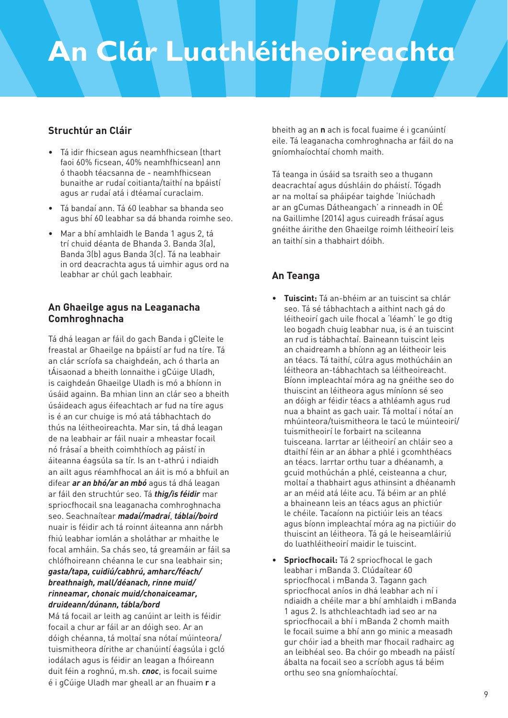#### **Struchtúr an Cláir**

- Tá idir fhicsean agus neamhfhicsean (thart faoi 60% ficsean, 40% neamhfhicsean) ann ó thaobh téacsanna de - neamhfhicsean bunaithe ar rudaí coitianta/taithí na bpáistí agus ar rudaí atá i dtéamaí curaclaim.
- Tá bandaí ann. Tá 60 leabhar sa bhanda seo agus bhí 60 leabhar sa dá bhanda roimhe seo.
- Mar a bhí amhlaidh le Banda 1 agus 2, tá trí chuid déanta de Bhanda 3. Banda 3(a), Banda 3(b) agus Banda 3(c). Tá na leabhair in ord deacrachta agus tá uimhir agus ord na leabhar ar chúl gach leabhair.

#### **An Ghaeilge agus na Leaganacha Comhroghnacha**

Tá dhá leagan ar fáil do gach Banda i gCleite le freastal ar Ghaeilge na bpáistí ar fud na tíre. Tá an clár scríofa sa chaighdeán, ach ó tharla an tÁisaonad a bheith lonnaithe i gCúige Uladh, is caighdeán Ghaeilge Uladh is mó a bhíonn in úsáid againn. Ba mhian linn an clár seo a bheith úsáideach agus éifeachtach ar fud na tíre agus is é an cur chuige is mó atá tábhachtach do thús na léitheoireachta. Mar sin, tá dhá leagan de na leabhair ar fáil nuair a mheastar focail nó frásaí a bheith coimhthíoch ag páistí in áiteanna éagsúla sa tír. Is an t-athrú i ndiaidh an ailt agus réamhfhocal an áit is mó a bhfuil an difear *ar an bhó/ar an mbó* agus tá dhá leagan ar fáil den struchtúr seo. Tá *thig/is féidir* mar spriocfhocail sna leaganacha comhroghnacha seo. Seachnaítear *madaí/madraí*, *táblaí/boird* nuair is féidir ach tá roinnt áiteanna ann nárbh fhiú leabhar iomlán a sholáthar ar mhaithe le focal amháin. Sa chás seo, tá greamáin ar fáil sa chlófhoireann chéanna le cur sna leabhair sin; *gasta/tapa, cuidiú/cabhrú, amharc/féach/ breathnaigh, mall/déanach, rinne muid/ rinneamar, chonaic muid/chonaiceamar, druideann/dúnann, tábla/bord* 

Má tá focail ar leith ag canúint ar leith is féidir focail a chur ar fáil ar an dóigh seo. Ar an dóigh chéanna, tá moltaí sna nótaí múinteora/ tuismitheora dírithe ar chanúintí éagsúla i gcló iodálach agus is féidir an leagan a fhóireann duit féin a roghnú, m.sh. *cnoc*, is focail suime é i gCúige Uladh mar gheall ar an fhuaim **r** a

bheith ag an **n** ach is focal fuaime é i gcanúintí eile. Tá leaganacha comhroghnacha ar fáil do na gníomhaíochtaí chomh maith.

Tá teanga in úsáid sa tsraith seo a thugann deacrachtaí agus dúshláin do pháistí. Tógadh ar na moltaí sa pháipéar taighde 'Iniúchadh ar an gCumas Dátheangach' a rinneadh in OÉ na Gaillimhe (2014) agus cuireadh frásaí agus gnéithe áirithe den Ghaeilge roimh léitheoirí leis an taithí sin a thabhairt dóibh.

#### **An Teanga**

- **Tuiscint:** Tá an-bhéim ar an tuiscint sa chlár seo. Tá sé tábhachtach a aithint nach gá do léitheoirí gach uile fhocal a 'léamh' le go dtig leo bogadh chuig leabhar nua, is é an tuiscint an rud is tábhachtaí. Baineann tuiscint leis an chaidreamh a bhíonn ag an léitheoir leis an téacs. Tá taithí, cúlra agus mothúcháin an léitheora an-tábhachtach sa léitheoireacht. Bíonn impleachtaí móra ag na gnéithe seo do thuiscint an léitheora agus míníonn sé seo an dóigh ar féidir téacs a athléamh agus rud nua a bhaint as gach uair. Tá moltaí i nótaí an mhúinteora/tuismitheora le tacú le múinteoirí/ tuismitheoirí le forbairt na scileanna tuisceana. Iarrtar ar léitheoirí an chláir seo a dtaithí féin ar an ábhar a phlé i gcomhthéacs an téacs. Iarrtar orthu tuar a dhéanamh, a gcuid mothúchán a phlé, ceisteanna a chur, moltaí a thabhairt agus athinsint a dhéanamh ar an méid atá léite acu. Tá béim ar an phlé a bhaineann leis an téacs agus an phictiúr le chéile. Tacaíonn na pictiúir leis an téacs agus bíonn impleachtaí móra ag na pictiúir do thuiscint an léitheora. Tá gá le heiseamláiriú do luathléitheoirí maidir le tuiscint.
- **Spriocfhocail:** Tá 2 spriocfhocal le gach leabhar i mBanda 3. Clúdaítear 60 spriocfhocal i mBanda 3. Tagann gach spriocfhocal aníos in dhá leabhar ach ní i ndiaidh a chéile mar a bhí amhlaidh i mBanda 1 agus 2. Is athchleachtadh iad seo ar na spriocfhocail a bhí i mBanda 2 chomh maith le focail suime a bhí ann go minic a measadh gur chóir iad a bheith mar fhocail radhairc ag an leibhéal seo. Ba chóir go mbeadh na páistí ábalta na focail seo a scríobh agus tá béim orthu seo sna gníomhaíochtaí.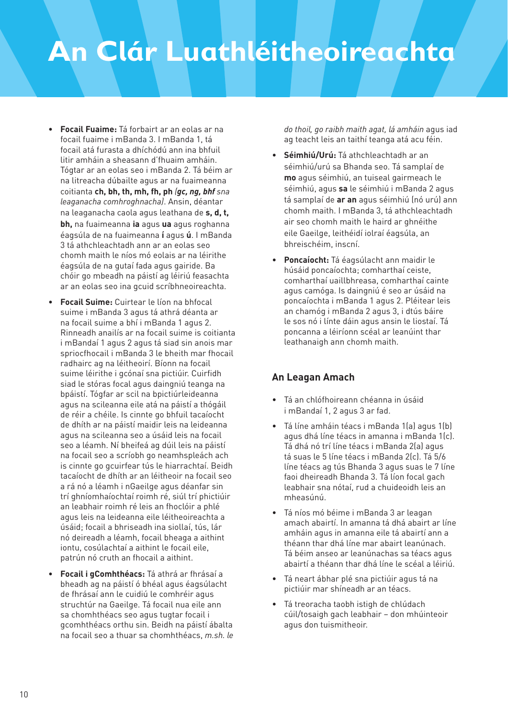- **Focail Fuaime:** Tá forbairt ar an eolas ar na focail fuaime i mBanda 3. I mBanda 1, tá focail atá furasta a dhíchódú ann ina bhfuil litir amháin a sheasann d'fhuaim amháin. Tógtar ar an eolas seo i mBanda 2. Tá béim ar na litreacha dúbailte agus ar na fuaimeanna coitianta **ch, bh, th, mh, fh, ph** *(gc, ng, bhf sna leaganacha comhroghnacha)*. Ansin, déantar na leaganacha caola agus leathana de **s, d, t, bh,** na fuaimeanna **ia** agus **ua** agus roghanna éagsúla de na fuaimeanna **í** agus **ú**. I mBanda 3 tá athchleachtadh ann ar an eolas seo chomh maith le níos mó eolais ar na léirithe éagsúla de na gutaí fada agus gairide. Ba chóir go mbeadh na páistí ag léiriú feasachta ar an eolas seo ina gcuid scríbhneoireachta.
- **Focail Suime:** Cuirtear le líon na bhfocal suime i mBanda 3 agus tá athrá déanta ar na focail suime a bhí i mBanda 1 agus 2. Rinneadh anailís ar na focail suime is coitianta i mBandaí 1 agus 2 agus tá siad sin anois mar spriocfhocail i mBanda 3 le bheith mar fhocail radhairc ag na léitheoirí. Bíonn na focail suime léirithe i gcónaí sna pictiúir. Cuirfidh siad le stóras focal agus daingniú teanga na bpáistí. Tógfar ar scil na bpictiúrleideanna agus na scileanna eile atá na páistí a thógáil de réir a chéile. Is cinnte go bhfuil tacaíocht de dhíth ar na páistí maidir leis na leideanna agus na scileanna seo a úsáid leis na focail seo a léamh. Ní bheifeá ag dúil leis na páistí na focail seo a scríobh go neamhspleách ach is cinnte go gcuirfear tús le hiarrachtaí. Beidh tacaíocht de dhíth ar an léitheoir na focail seo a rá nó a léamh i nGaeilge agus déanfar sin trí ghníomhaíochtaí roimh ré, siúl trí phictiúir an leabhair roimh ré leis an fhoclóir a phlé agus leis na leideanna eile léitheoireachta a úsáid; focail a bhriseadh ina siollaí, tús, lár nó deireadh a léamh, focail bheaga a aithint iontu, cosúlachtaí a aithint le focail eile, patrún nó cruth an fhocail a aithint.
- **Focail i gComhthéacs:** Tá athrá ar fhrásaí a bheadh ag na páistí ó bhéal agus éagsúlacht de fhrásaí ann le cuidiú le comhréir agus struchtúr na Gaeilge. Tá focail nua eile ann sa chomhthéacs seo agus tugtar focail i gcomhthéacs orthu sin. Beidh na páistí ábalta na focail seo a thuar sa chomhthéacs, *m.sh. le*

*do thoil, go raibh maith agat, lá amháin* agus iad ag teacht leis an taithí teanga atá acu féin.

- **Séimhiú/Urú:** Tá athchleachtadh ar an séimhiú/urú sa Bhanda seo. Tá samplaí de **mo** agus séimhiú, an tuiseal gairmeach le séimhiú, agus **sa** le séimhiú i mBanda 2 agus tá samplaí de **ar an** agus séimhiú (nó urú) ann chomh maith. I mBanda 3, tá athchleachtadh air seo chomh maith le haird ar ghnéithe eile Gaeilge, leithéidí iolraí éagsúla, an bhreischéim, inscní.
- **Poncaíocht:** Tá éagsúlacht ann maidir le húsáid poncaíochta; comharthaí ceiste, comharthaí uaillbhreasa, comharthaí cainte agus camóga. Is daingniú é seo ar úsáid na poncaíochta i mBanda 1 agus 2. Pléitear leis an chamóg i mBanda 2 agus 3, i dtús báire le sos nó i línte dáin agus ansin le liostaí. Tá poncanna a léiríonn scéal ar leanúint thar leathanaigh ann chomh maith.

#### **An Leagan Amach**

- Tá an chlófhoireann chéanna in úsáid i mBandaí 1, 2 agus 3 ar fad.
- Tá líne amháin téacs i mBanda 1(a) agus 1(b) agus dhá líne téacs in amanna i mBanda 1(c). Tá dhá nó trí líne téacs i mBanda 2(a) agus tá suas le 5 líne téacs i mBanda 2(c). Tá 5/6 líne téacs ag tús Bhanda 3 agus suas le 7 líne faoi dheireadh Bhanda 3. Tá líon focal gach leabhair sna nótaí, rud a chuideoidh leis an mheasúnú.
- Tá níos mó béime i mBanda 3 ar leagan amach abairtí. In amanna tá dhá abairt ar líne amháin agus in amanna eile tá abairtí ann a théann thar dhá líne mar abairt leanúnach. Tá béim anseo ar leanúnachas sa téacs agus abairtí a théann thar dhá líne le scéal a léiriú.
- Tá neart ábhar plé sna pictiúir agus tá na pictiúir mar shíneadh ar an téacs.
- Tá treoracha taobh istigh de chlúdach cúil/tosaigh gach leabhair – don mhúinteoir agus don tuismitheoir.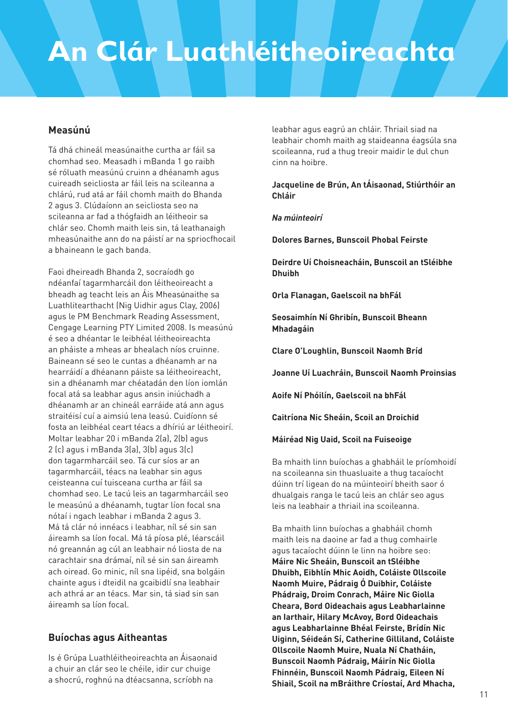#### **Measúnú**

Tá dhá chineál measúnaithe curtha ar fáil sa chomhad seo. Measadh i mBanda 1 go raibh sé róluath measúnú cruinn a dhéanamh agus cuireadh seicliosta ar fáil leis na scileanna a chlárú, rud atá ar fáil chomh maith do Bhanda 2 agus 3. Clúdaíonn an seicliosta seo na scileanna ar fad a thógfaidh an léitheoir sa chlár seo. Chomh maith leis sin, tá leathanaigh mheasúnaithe ann do na páistí ar na spriocfhocail a bhaineann le gach banda.

Faoi dheireadh Bhanda 2, socraíodh go ndéanfaí tagarmharcáil don léitheoireacht a bheadh ag teacht leis an Áis Mheasúnaithe sa Luathlitearthacht (Nig Uidhir agus Clay, 2006) agus le PM Benchmark Reading Assessment, Cengage Learning PTY Limited 2008. Is measúnú é seo a dhéantar le leibhéal léitheoireachta an pháiste a mheas ar bhealach níos cruinne. Baineann sé seo le cuntas a dhéanamh ar na hearráidí a dhéanann páiste sa léitheoireacht, sin a dhéanamh mar chéatadán den líon iomlán focal atá sa leabhar agus ansin iniúchadh a dhéanamh ar an chineál earráide atá ann agus straitéisí cuí a aimsiú lena leasú. Cuidíonn sé fosta an leibhéal ceart téacs a dhíriú ar léitheoirí. Moltar leabhar 20 i mBanda 2(a), 2(b) agus 2 (c) agus i mBanda 3(a), 3(b) agus 3(c) don tagarmharcáil seo. Tá cur síos ar an tagarmharcáil, téacs na leabhar sin agus ceisteanna cuí tuisceana curtha ar fáil sa chomhad seo. Le tacú leis an tagarmharcáil seo le measúnú a dhéanamh, tugtar líon focal sna nótaí i ngach leabhar i mBanda 2 agus 3. Má tá clár nó innéacs i leabhar, níl sé sin san áireamh sa líon focal. Má tá píosa plé, léarscáil nó greannán ag cúl an leabhair nó liosta de na carachtair sna drámaí, níl sé sin san áireamh ach oiread. Go minic, níl sna lipéid, sna bolgáin chainte agus i dteidil na gcaibidlí sna leabhair ach athrá ar an téacs. Mar sin, tá siad sin san áireamh sa líon focal.

#### **Buíochas agus Aitheantas**

Is é Grúpa Luathléitheoireachta an Áisaonaid a chuir an clár seo le chéile, idir cur chuige a shocrú, roghnú na dtéacsanna, scríobh na

leabhar agus eagrú an chláir. Thriail siad na leabhair chomh maith ag staideanna éagsúla sna scoileanna, rud a thug treoir maidir le dul chun cinn na hoibre.

#### **Jacqueline de Brún, An tÁisaonad, Stiúrthóir an Chláir**

#### *Na múinteoirí*

**Dolores Barnes, Bunscoil Phobal Feirste**

**Deirdre Uí Choisneacháin, Bunscoil an tSléibhe Dhuibh**

**Orla Flanagan, Gaelscoil na bhFál**

**Seosaimhín Ní Ghribín, Bunscoil Bheann Mhadagáin**

**Clare O'Loughlin, Bunscoil Naomh Bríd**

**Joanne Uí Luachráin, Bunscoil Naomh Proinsias**

**Aoife Ní Phóilín, Gaelscoil na bhFál**

**Caitríona Nic Sheáin, Scoil an Droichid**

**Máiréad Nig Uaid, Scoil na Fuiseoige**

Ba mhaith linn buíochas a ghabháil le príomhoidí na scoileanna sin thuasluaite a thug tacaíocht dúinn trí ligean do na múinteoirí bheith saor ó dhualgais ranga le tacú leis an chlár seo agus leis na leabhair a thriail ina scoileanna.

Ba mhaith linn buíochas a ghabháil chomh maith leis na daoine ar fad a thug comhairle agus tacaíocht dúinn le linn na hoibre seo: **Máire Nic Sheáin, Bunscoil an tSléibhe Dhuibh, Eibhlín Mhic Aoidh, Coláiste Ollscoile Naomh Muire, Pádraig Ó Duibhir, Coláiste Phádraig, Droim Conrach, Máire Nic Giolla Cheara, Bord Oideachais agus Leabharlainne an Iarthair, Hilary McAvoy, Bord Oideachais agus Leabharlainne Bhéal Feirste, Brídín Nic Uiginn, Séideán Sí, Catherine Gilliland, Coláiste Ollscoile Naomh Muire, Nuala Ní Chatháin, Bunscoil Naomh Pádraig, Máirín Nic Giolla Fhinnéin, Bunscoil Naomh Pádraig, Eileen Ní Shiail, Scoil na mBráithre Críostaí, Ard Mhacha,**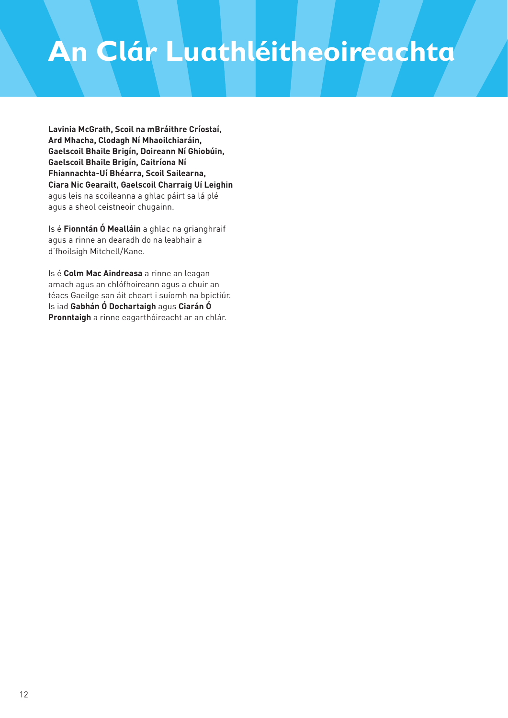**Lavinia McGrath, Scoil na mBráithre Críostaí, Ard Mhacha, Clodagh Ní Mhaoilchiaráin, Gaelscoil Bhaile Brigín, Doireann Ní Ghiobúin, Gaelscoil Bhaile Brigín, Caitríona Ní Fhiannachta-Uí Bhéarra, Scoil Sailearna, Ciara Nic Gearailt, Gaelscoil Charraig Uí Leighin** agus leis na scoileanna a ghlac páirt sa lá plé agus a sheol ceistneoir chugainn.

Is é **Fionntán Ó Mealláin** a ghlac na grianghraif agus a rinne an dearadh do na leabhair a d'fhoilsigh Mitchell/Kane.

Is é **Colm Mac Aindreasa** a rinne an leagan amach agus an chlófhoireann agus a chuir an téacs Gaeilge san áit cheart i suíomh na bpictiúr. Is iad **Gabhán Ó Dochartaigh** agus **Ciarán Ó Pronntaigh** a rinne eagarthóireacht ar an chlár.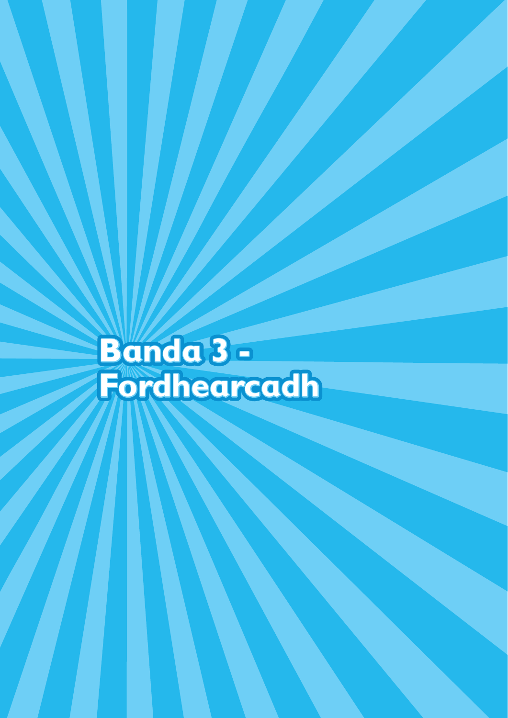**Banda 3 - Fordhearcadh**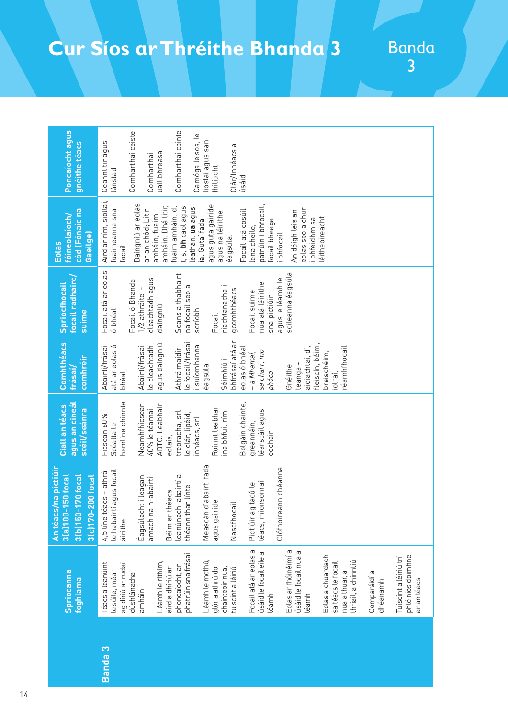## **Cur Síos ar Thréithe Bhanda 3**

Banda 3

|                    | <b>Spriocanna</b><br>foghlama                                                                                                                                                                                                                                                                                                                                                                                                                                                                                                                       | <b>na pictiúir</b><br>50 focal<br>3(b)150-170 focal<br>3(c)170-200 focal<br>$3(a)100 - 1$<br>An téacs/                                                                                                                                                                                                                           | agus an cineál<br>Ciall an téacs<br>scéil/seánra                                                                                                                                                                                                                     | <b>Comhthéacs</b><br>comhréir<br>frásaí/                                                                                                                                                                                                                                                                                                                    | focail radhairc,<br>Spriocthocail<br>suime                                                                                                                                                                                                                                                    | cód (Fónaic na<br>fóineolaíoch/<br>Gaeilge)<br><b>Eolas</b>                                                                                                                                                                                                                                                                                                                                                                                    | Poncaíocht agus<br>gnéithe téacs                                                                                                                                                    |
|--------------------|-----------------------------------------------------------------------------------------------------------------------------------------------------------------------------------------------------------------------------------------------------------------------------------------------------------------------------------------------------------------------------------------------------------------------------------------------------------------------------------------------------------------------------------------------------|----------------------------------------------------------------------------------------------------------------------------------------------------------------------------------------------------------------------------------------------------------------------------------------------------------------------------------|----------------------------------------------------------------------------------------------------------------------------------------------------------------------------------------------------------------------------------------------------------------------|-------------------------------------------------------------------------------------------------------------------------------------------------------------------------------------------------------------------------------------------------------------------------------------------------------------------------------------------------------------|-----------------------------------------------------------------------------------------------------------------------------------------------------------------------------------------------------------------------------------------------------------------------------------------------|------------------------------------------------------------------------------------------------------------------------------------------------------------------------------------------------------------------------------------------------------------------------------------------------------------------------------------------------------------------------------------------------------------------------------------------------|-------------------------------------------------------------------------------------------------------------------------------------------------------------------------------------|
| Banda <sub>3</sub> | Focail atá ar eolas a<br>Eolas ar fhóinéimí a<br>úsáid le focail nua a<br>úsáid le focail eile a<br>phatrúin sna frásaí<br>phlé níos doimhne<br>Eolas a chuardach<br>Tuiscint a léiriú trí<br>Léamh le mothú,<br>thriail, a chinntiú<br>Léamh le rithim,<br>Téacs a leanúint<br>sa téacs le focail<br>ag díriú ar rudaí<br>phoncaíocht, ar<br>glór a athrú do<br>chainteoir nua,<br>tuiscint a léiriú<br>aird a dhíriú ar<br>le súile, méar<br>nua a thuar, a<br>Comparáidí a<br>dúshlánacha<br>ar an téacs<br>dhéanamh<br>amháin<br>léamh<br>léamh | Meascán d'abairtí fada<br>Clófhoireann chéanna<br>le habairtí agus focail<br>4,5 líne téacs – athrá<br>abairtí a<br>Éagsúlacht i leagan<br>n-abairtí<br>téacs, mionsonraí<br>tacú le<br>théann thar línte<br>Béim ar théacs<br>$\mathbbmss{D}$<br>Nascfhocail<br>leanúnach,<br>agus gairic<br>Pictiúir ag<br>amach na<br>áirithe | hamline chinnte<br>Bolgáin chainte,<br>Neamhfhicsean<br>ADTO. Leabhair<br>Roinnt leabhar<br>40% le téamaí<br>léarscáil agus<br>treoracha, srl<br>ina bhfuil rím<br>le clár, lipéid,<br>Ficsean 60%<br>innéacs, srl<br>greannáin,<br>Scéalta le<br>eochair<br>eolais, | bhfrásaí atá ar<br>le focail/frásaí<br>fleiscín, béim,<br>agus daingniú<br>atá ar eolas ó<br>i suíomhanna<br>eolas ó bhéal<br>Abairtí/frásaí<br>le cleachtadh<br>Abairtí/frásaí<br>réamhfhocail<br>aidiachtaí, d',<br>Athrá maidir<br>sa charr, mo<br>breischéim,<br>- a Mhamaí,<br>Séimhiú i<br>teanga-<br>éagsúla<br>Gnéithe<br>phóca<br>bhéal<br>iolraí, | Focail atá ar eolas<br>scileanna éagsúla<br>Seans a thabhairt<br>agus le léamh le<br>cleachtadh agus<br>Focail ó Bhanda<br>nua atá léirithe<br>na focail seo a<br>riachtanacha i<br>1/2 athráite -<br>gcomhthéacs<br>Focail suime<br>sna pictiúir<br>daingniú<br>ó bhéal<br>scríobh<br>Focail | Aird ar rím, siollaí,<br>Daingniú ar eolas<br>agus guta gairide<br>patrúin i bhfocail.<br>amháin. Dhá litir,<br>fuaim amháin. d,<br>t, s, bh caol agus<br>leathan. ua agus<br>eolas seo a chur<br>Focail atá cosúil<br>fuaimeanna sna<br>ar an chód; Litir<br>An dóigh leis an<br>agus na léirithe<br>amháin, fuaim<br>éitheoireacht<br>bhfeidhm sa<br>a. Gutaí fada<br>focail bheaga<br>lena chéile,<br><b>bhfocail</b><br>éagsúla.<br>focail | Comharthaí cainte<br>Comharthaí ceiste<br>Camóga le sos, le<br>liostaí agus san<br>Ceannlitir agus<br>Clár/Innéacs a<br>uaillbhreasa<br>Comharthaí<br>fhilíocht<br>lánstad<br>úsáid |
|                    |                                                                                                                                                                                                                                                                                                                                                                                                                                                                                                                                                     |                                                                                                                                                                                                                                                                                                                                  |                                                                                                                                                                                                                                                                      |                                                                                                                                                                                                                                                                                                                                                             |                                                                                                                                                                                                                                                                                               |                                                                                                                                                                                                                                                                                                                                                                                                                                                |                                                                                                                                                                                     |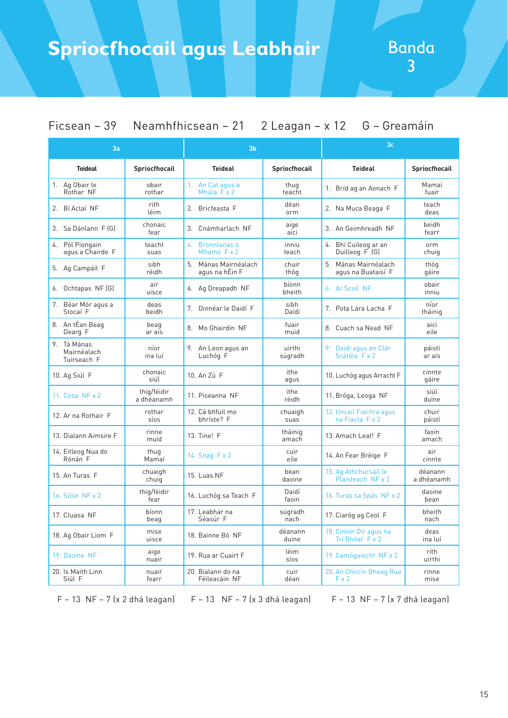## <sup>3</sup> **Spriocfhocail agus Leabhair**

Ficsean – 39 Neamhfhicsean – 21 2 Leagan – x 12 G – Greamáin

| 3a                                        |                           | 3 <sub>b</sub>                         |                   | 3 <sub>c</sub>                              |                       |
|-------------------------------------------|---------------------------|----------------------------------------|-------------------|---------------------------------------------|-----------------------|
| <b>Teideal</b>                            | <b>Spriocfhocail</b>      | <b>Teideal</b>                         | Spriocfhocail     | <b>Teideal</b>                              | Spriocfhocail         |
| 1. Ag Obair le<br>Rothar NF               | obair<br>rothar           | 1. An Cat agus a<br>Mhála F x 2        | thug<br>teacht    | 1. Bríd ag an Aonach F                      | Mamaí<br>fuair        |
| 2. Bí Aclaí NF                            | rith<br>léim              | 2. Bricfeasta F                        | déan<br>orm       | 2. Na Muca Beaga F                          | teach<br>deas         |
| 3. Sa Dánlann F [G]                       | chonaic<br>fear           | 3. Cnámharlach NF                      | aige<br>aici      | 3. An Geimhreadh NF                         | beidh<br>fearr        |
| 4. Pól Piongain<br>agus a Chairde F       | teacht<br>suas            | Bronntanas ó<br>4.<br>Mhamó F x 2      | inniu<br>teach    | 4. Bhí Cuileog ar an<br>Duilleog F (G)      | orm<br>chuig          |
| 5. Ag Campáil F                           | sibh<br>réidh             | 5. Mánas Mairnéalach<br>agus na hÉin F | chuir<br>thóg     | 5. Mánas Mairnéalach<br>agus na Buataisí F  | thóg<br>gáire         |
| 6. Ochtapas NF (G)                        | air<br>uisce              | 6. Ag Dreapadh NF                      | bíonn<br>bheith   | 6. Ar Scoil NF                              | obair<br>inniu        |
| 7. Béar Mór agus a<br>Stocaí F            | deas<br>beidh             | 7. Dinnéar le Daidí F                  | sibh<br>Daidí     | 7. Pota Lára Lacha F                        | níor<br>tháinig       |
| 8. An tÉan Beag<br>Dearg F                | beag<br>ar ais            | 8. Mo Ghairdín NF                      | fuair<br>muid     | 8. Cuach sa Nead NF                         | aici<br>eile          |
| 9. Tá Mánas<br>Mairnéalach<br>Tuirseach F | níor<br>ina luí           | 9. An Leon agus an<br>Luchóg F         | uirthi<br>súgradh | 9. Daidí agus an Clár<br>Scátála F x 2      | páistí<br>ar ais      |
| 10. Ag Siúl F                             | chonaic<br>siúl           | 10. An Zú F                            | ithe<br>aqus      | 10. Luchóg agus Arracht F                   | cinnte<br>gáire       |
| 11. $Cosa$ NF $\times$ 2                  | thig/féidir<br>a dhéanamh | 11. Piseanna NF                        | ithe<br>réidh     | 11. Bróga, Leoga NF                         | siúl<br>duine         |
| 12. Ar na Rothair F                       | rothar<br>síos            | 12. Cá bhfuil mo<br>bhríste? F         | chuaigh<br>suas   | 12. Uncail Fiachra agus<br>na Fiacla $Fx$ 2 | chuir<br>páistí       |
| 13. Dialann Aimsire F                     | rinne<br>muid             | 13. Tine! F                            | tháinig<br>amach  | 13. Amach Leat! F                           | faoin<br>amach        |
| 14. Eitleog Nua do<br>Rónán F             | thug<br>Mamaí             | 14. Snag F x 2                         | cuir<br>eile      | 14. An Fear Bréige F                        | air<br>cinnte         |
| 15. An Turas F                            | chuaigh<br>chuig          | 15. Luas NF                            | bean<br>daoine    | 15. Ag Athchúrsáil le<br>Plaisteach NF x 2  | déanann<br>a dhéanamh |
| 16. Súile NF x 2                          | thig/féidir<br>fear       | 16. Luchóg sa Teach F                  | Daidí<br>faoin    | 16. Turas sa Spás NF x 2                    | daoine<br>bean        |
| 17. Cluasa NF                             | bíonn<br>beag             | 17. Leabhar na<br>Séasúr F             | súgradh<br>nach   | 17. Ciaróg ag Ceol F                        | bheith<br>nach        |
| 18. Ag Obair Liom F                       | mise<br>uisce             | 18. Bainne Bó NF                       | déanann<br>duine  | 18. Cinnín Óir agus na<br>Trí Bhéar F x 2   | deas<br>ina luí       |
| 19. Daoine NF                             | aige<br>nuair             | 19. Rua ar Cuairt F                    | léim<br>síos      | 19. Camógaíocht NF x 2                      | rith<br>uirthi        |
| 20. Is Maith Linn<br>Siúl F               | nuair<br>fearr            | 20. Bialann do na<br>Féileacáin NF     | cuir<br>déan      | 20. An Chircín Bheag Rua<br>Fx2             | rinne<br>mise         |

F – 13 NF – 7 (x 2 dhá leagan) F – 13 NF – 7 (x 3 dhá leagan) F – 13 NF – 7 (x 7 dhá leagan)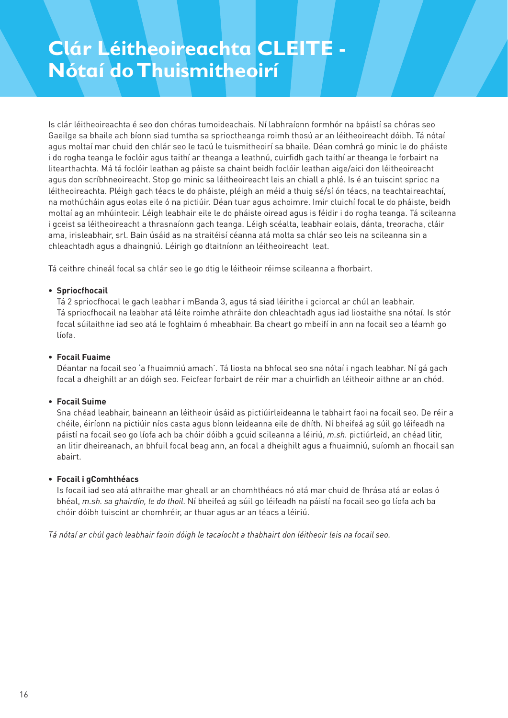## **Clár Léitheoireachta CLEITE - Nótaí do Thuismitheoirí**

Is clár léitheoireachta é seo don chóras tumoideachais. Ní labhraíonn formhór na bpáistí sa chóras seo Gaeilge sa bhaile ach bíonn siad tumtha sa sprioctheanga roimh thosú ar an léitheoireacht dóibh. Tá nótaí agus moltaí mar chuid den chlár seo le tacú le tuismitheoirí sa bhaile. Déan comhrá go minic le do pháiste i do rogha teanga le foclóir agus taithí ar theanga a leathnú, cuirfidh gach taithí ar theanga le forbairt na litearthachta. Má tá foclóir leathan ag páiste sa chaint beidh foclóir leathan aige/aici don léitheoireacht agus don scríbhneoireacht. Stop go minic sa léitheoireacht leis an chiall a phlé. Is é an tuiscint sprioc na léitheoireachta. Pléigh gach téacs le do pháiste, pléigh an méid a thuig sé/sí ón téacs, na teachtaireachtaí, na mothúcháin agus eolas eile ó na pictiúir. Déan tuar agus achoimre. Imir cluichí focal le do pháiste, beidh moltaí ag an mhúinteoir. Léigh leabhair eile le do pháiste oiread agus is féidir i do rogha teanga. Tá scileanna i gceist sa léitheoireacht a thrasnaíonn gach teanga. Léigh scéalta, leabhair eolais, dánta, treoracha, cláir ama, irisleabhair, srl. Bain úsáid as na straitéisí céanna atá molta sa chlár seo leis na scileanna sin a chleachtadh agus a dhaingniú. Léirigh go dtaitníonn an léitheoireacht leat.

Tá ceithre chineál focal sa chlár seo le go dtig le léitheoir réimse scileanna a fhorbairt.

#### **• Spriocfhocail**

 Tá 2 spriocfhocal le gach leabhar i mBanda 3, agus tá siad léirithe i gciorcal ar chúl an leabhair. Tá spriocfhocail na leabhar atá léite roimhe athráite don chleachtadh agus iad liostaithe sna nótaí. Is stór focal súilaithne iad seo atá le foghlaim ó mheabhair. Ba cheart go mbeifí in ann na focail seo a léamh go líofa.

#### **• Focail Fuaime**

 Déantar na focail seo 'a fhuaimniú amach'. Tá liosta na bhfocal seo sna nótaí i ngach leabhar. Ní gá gach focal a dheighilt ar an dóigh seo. Feicfear forbairt de réir mar a chuirfidh an léitheoir aithne ar an chód.

#### **• Focail Suime**

 Sna chéad leabhair, baineann an léitheoir úsáid as pictiúirleideanna le tabhairt faoi na focail seo. De réir a chéile, éiríonn na pictiúir níos casta agus bíonn leideanna eile de dhíth. Ní bheifeá ag súil go léifeadh na páistí na focail seo go líofa ach ba chóir dóibh a gcuid scileanna a léiriú, *m.sh.* pictiúrleid, an chéad litir, an litir dheireanach, an bhfuil focal beag ann, an focal a dheighilt agus a fhuaimniú, suíomh an fhocail san abairt.

#### **• Focail i gComhthéacs**

 Is focail iad seo atá athraithe mar gheall ar an chomhthéacs nó atá mar chuid de fhrása atá ar eolas ó bhéal, *m.sh. sa ghairdín, le do thoil*. Ní bheifeá ag súil go léifeadh na páistí na focail seo go líofa ach ba chóir dóibh tuiscint ar chomhréir, ar thuar agus ar an téacs a léiriú.

*Tá nótaí ar chúl gach leabhair faoin dóigh le tacaíocht a thabhairt don léitheoir leis na focail seo.*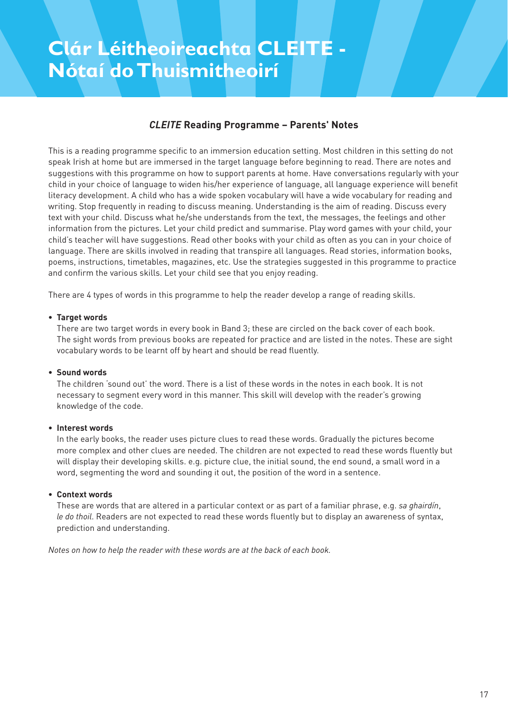## **Clár Léitheoireachta CLEITE - Nótaí do Thuismitheoirí**

#### *CLEITE* **Reading Programme – Parents' Notes**

This is a reading programme specific to an immersion education setting. Most children in this setting do not speak Irish at home but are immersed in the target language before beginning to read. There are notes and suggestions with this programme on how to support parents at home. Have conversations regularly with your child in your choice of language to widen his/her experience of language, all language experience will benefit literacy development. A child who has a wide spoken vocabulary will have a wide vocabulary for reading and writing. Stop frequently in reading to discuss meaning. Understanding is the aim of reading. Discuss every text with your child. Discuss what he/she understands from the text, the messages, the feelings and other information from the pictures. Let your child predict and summarise. Play word games with your child, your child's teacher will have suggestions. Read other books with your child as often as you can in your choice of language. There are skills involved in reading that transpire all languages. Read stories, information books, poems, instructions, timetables, magazines, etc. Use the strategies suggested in this programme to practice and confirm the various skills. Let your child see that you enjoy reading.

There are 4 types of words in this programme to help the reader develop a range of reading skills.

#### **• Target words**

 There are two target words in every book in Band 3; these are circled on the back cover of each book. The sight words from previous books are repeated for practice and are listed in the notes. These are sight vocabulary words to be learnt off by heart and should be read fluently.

#### **• Sound words**

 The children 'sound out' the word. There is a list of these words in the notes in each book. It is not necessary to segment every word in this manner. This skill will develop with the reader's growing knowledge of the code.

#### **• Interest words**

 In the early books, the reader uses picture clues to read these words. Gradually the pictures become more complex and other clues are needed. The children are not expected to read these words fluently but will display their developing skills. e.g. picture clue, the initial sound, the end sound, a small word in a word, segmenting the word and sounding it out, the position of the word in a sentence.

#### **• Context words**

 These are words that are altered in a particular context or as part of a familiar phrase, e.g. *sa ghairdín*, *le do thoil*. Readers are not expected to read these words fluently but to display an awareness of syntax, prediction and understanding.

*Notes on how to help the reader with these words are at the back of each book.*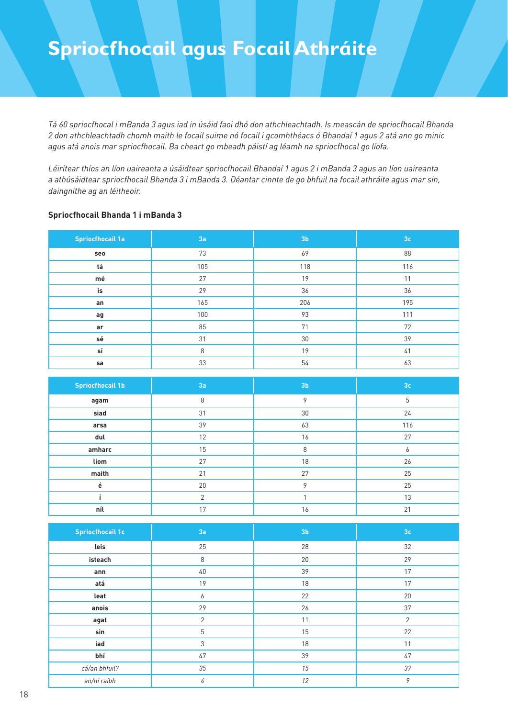*Tá 60 spriocfhocal i mBanda 3 agus iad in úsáid faoi dhó don athchleachtadh. Is meascán de spriocfhocail Bhanda 2 don athchleachtadh chomh maith le focail suime nó focail i gcomhthéacs ó Bhandaí 1 agus 2 atá ann go minic agus atá anois mar spriocfhocail. Ba cheart go mbeadh páistí ag léamh na spriocfhocal go líofa.* 

*Léirítear thíos an líon uaireanta a úsáidtear spriocfhocail Bhandaí 1 agus 2 i mBanda 3 agus an líon uaireanta a athúsáidtear spriocfhocail Bhanda 3 i mBanda 3. Déantar cinnte de go bhfuil na focail athráite agus mar sin, daingnithe ag an léitheoir.*

#### **Spriocfhocail Bhanda 1 i mBanda 3**

| <b>Spriocfhocail 1a</b> | 3a  | 3 <sub>b</sub> | 3 <sub>c</sub> |
|-------------------------|-----|----------------|----------------|
| seo                     | 73  | 69             | 88             |
| tá                      | 105 | 118            | 116            |
| $m\acute{\text{e}}$     | 27  | 19             | 11             |
| is                      | 29  | 36             | 36             |
| an                      | 165 | 206            | 195            |
| ag                      | 100 | 93             | 111            |
| ar                      | 85  | 71             | 72             |
| sé                      | 31  | 30             | 39             |
| sí                      | 8   | 19             | 41             |
| sa                      | 33  | 54             | 63             |

| <b>Spriocfhocail 1b</b> | 3a             | 3 <sub>b</sub> | 3 <sub>c</sub> |
|-------------------------|----------------|----------------|----------------|
| agam                    | 8              | 9              | 5              |
| siad                    | 31             | 30             | 24             |
| arsa                    | 39             | 63             | 116            |
| dul                     | 12             | 16             | 27             |
| amharc                  | 15             | 8              | 6              |
| liom                    | 27             | 18             | 26             |
| maith                   | 21             | 27             | 25             |
| ė                       | 20             | $\mathsf Q$    | 25             |
|                         | $\overline{2}$ |                | 13             |
| níl                     | 17             | 16             | 21             |

| <b>Spriocfhocail 1c</b> | 3a | 3 <sub>b</sub> | 3 <sub>c</sub> |
|-------------------------|----|----------------|----------------|
| leis                    | 25 | 28             | 32             |
| isteach                 | 8  | 20             | 29             |
| ann                     | 40 | 39             | 17             |
| atá                     | 19 | 18             | 17             |
| leat                    | 6  | 22             | 20             |
| anois                   | 29 | 26             | 37             |
| agat                    | 2  | 11             | $\overline{2}$ |
| sin                     | 5  | 15             | 22             |
| iad                     | 3  | 18             | 11             |
| bhí                     | 47 | 39             | 47             |
| cá/an bhfuil?           | 35 | 15             | 37             |
| an/ní raibh             | 4  | 12             | 9              |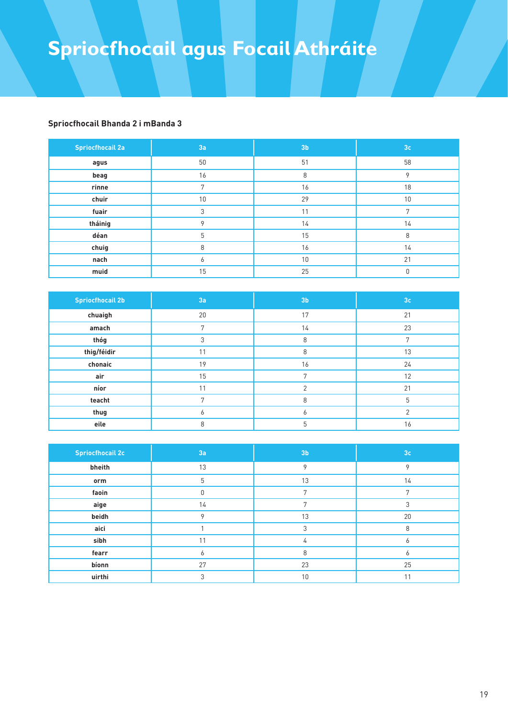#### **Spriocfhocail Bhanda 2 i mBanda 3**

| <b>Spriocfhocail 2a</b> | 3a | 3 <sub>b</sub> | 3 <sub>c</sub> |
|-------------------------|----|----------------|----------------|
| agus                    | 50 | 51             | 58             |
| beag                    | 16 | 8              | $\circ$        |
| rinne                   | 7  | 16             | 18             |
| chuir                   | 10 | 29             | 10             |
| fuair                   | 3  | 11             | 7              |
| tháinig                 | Q  | 14             | 14             |
| déan                    | 5  | 15             | 8              |
| chuig                   | 8  | 16             | 14             |
| nach                    | 6  | 10             | 21             |
| muid                    | 15 | 25             | 0              |

| <b>Spriocfhocail 2b</b> | 3a | 3 <sub>b</sub> | 3 <sub>c</sub> |
|-------------------------|----|----------------|----------------|
| chuaigh                 | 20 | 17             | 21             |
| amach                   | 7  | 14             | 23             |
| thóg                    | 3  | 8              | 7              |
| thig/féidir             | 11 | 8              | 13             |
| chonaic                 | 19 | 16             | 24             |
| air                     | 15 | $\mathbf{r}$   | 12             |
| níor                    | 11 | $\overline{2}$ | 21             |
| teacht                  | 7  | 8              | 5              |
| thug                    | 6  | 6              | $\mathcal{P}$  |
| eile                    | 8  | 5              | 16             |

| <b>Spriocfhocail 2c</b> | 3a | 3 <sub>b</sub> | 3 <sub>c</sub> |
|-------------------------|----|----------------|----------------|
| bheith                  | 13 | 9              | 9              |
| orm                     | 5  | 13             | 14             |
| faoin                   | U  | 7              |                |
| aige                    | 14 | 7              | 3              |
| beidh                   | 9  | 13             | 20             |
| aici                    |    | 3              | 8              |
| sibh                    | 11 | 4              | 6              |
| fearr                   | Ô  | 8              | <sub>n</sub>   |
| bíonn                   | 27 | 23             | 25             |
| uirthi                  | 3  | 10             | 11             |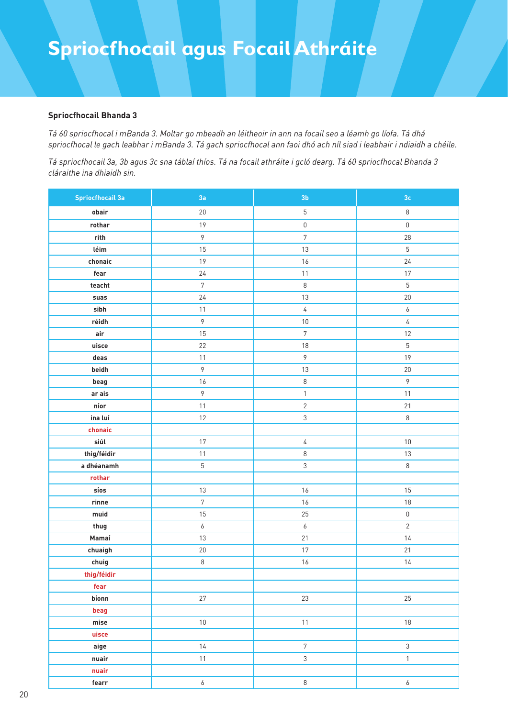#### **Spriocfhocail Bhanda 3**

*Tá 60 spriocfhocal i mBanda 3. Moltar go mbeadh an léitheoir in ann na focail seo a léamh go líofa. Tá dhá spriocfhocal le gach leabhar i mBanda 3. Tá gach spriocfhocal ann faoi dhó ach níl siad i leabhair i ndiaidh a chéile.*

*Tá spriocfhocail 3a, 3b agus 3c sna táblaí thíos. Tá na focail athráite i gcló dearg. Tá 60 spriocfhocal Bhanda 3 cláraithe ina dhiaidh sin.*

| <b>Spriocfhocail 3a</b> | 3a               | 3 <sub>b</sub>   | 3 <sub>c</sub>   |
|-------------------------|------------------|------------------|------------------|
| obair                   | $20\,$           | $\sqrt{5}$       | $\,8\,$          |
| rothar                  | 19               | $\mathsf 0$      | $\mathbb O$      |
| rith                    | $\overline{9}$   | $\overline{7}$   | 28               |
| léim                    | $15\,$           | $13\,$           | $5\,$            |
| chonaic                 | 19               | $16$             | 24               |
| fear                    | 24               | 11               | 17               |
| teacht                  | $\sqrt{7}$       | $\,8\,$          | $5\,$            |
| suas                    | $24$             | $13\,$           | $20\,$           |
| sibh                    | $11$             | $\sqrt{4}$       | $\boldsymbol{6}$ |
| réidh                   | $\mathcal{P}$    | $10\,$           | $\sqrt{4}$       |
| air                     | 15               | $\overline{7}$   | $12\,$           |
| uisce                   | 22               | $18\,$           | $5\,$            |
| deas                    | 11               | $\mathcal{P}$    | 19               |
| beidh                   | $\mathcal{P}$    | $13\,$           | $20\,$           |
| beag                    | 16               | 8                | $\mathcal{G}$    |
| ar ais                  | $\mathcal{P}$    | $\mathbf{1}$     | 11               |
| níor                    | $11$             | $\overline{2}$   | 21               |
| ina luí                 | 12               | $\mathfrak{S}$   | $\,8\,$          |
| chonaic                 |                  |                  |                  |
| siúl                    | 17               | 4                | $10\,$           |
| thig/féidir             | $11$             | $\,8\,$          | $13\,$           |
| a dhéanamh              | $5\,$            | $\mathfrak{Z}$   | $\,8\,$          |
| rothar                  |                  |                  |                  |
| síos                    | $13$             | $16$             | 15               |
| $r$ inne                | $\sqrt{7}$       | $16$             | $18\,$           |
| muid                    | 15               | 25               | $\mathbb O$      |
| thug                    | $\boldsymbol{6}$ | $\boldsymbol{6}$ | $\overline{2}$   |
| Mamaí                   | 13               | 21               | $14$             |
| chuaigh                 | $20\,$           | $17\,$           | 21               |
| chuig                   | $\,8\,$          | 16               | $14$             |
| thig/féidir             |                  |                  |                  |
| fear                    |                  |                  |                  |
| bíonn                   | 27               | 23               | 25               |
| beag                    |                  |                  |                  |
| ${\sf mise}$            | $10\,$           | $11$             | $18\,$           |
| uisce                   |                  |                  |                  |
| aige                    | 14               | $\sqrt{7}$       | $\mathfrak{Z}$   |
| nuair                   | $11$             | $\mathfrak{S}$   | $\mathbf{1}$     |
| nuair                   |                  |                  |                  |
| fearr                   | $\boldsymbol{6}$ | $\,8\,$          | $\boldsymbol{6}$ |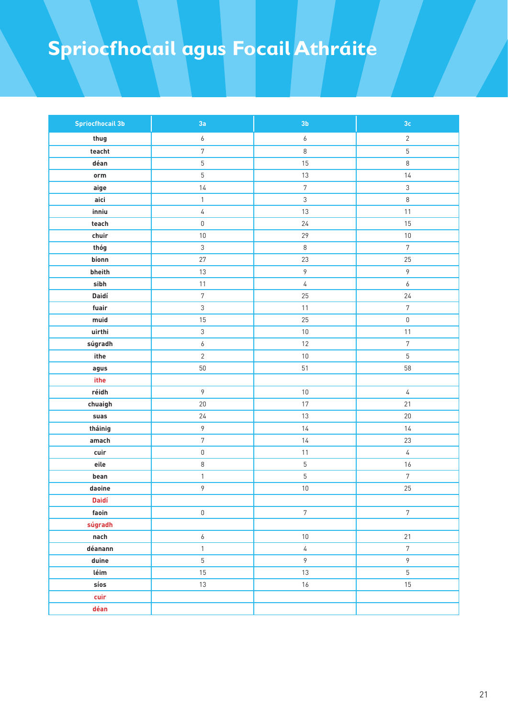| <b>Spriocfhocail 3b</b> | 3a                        | 3 <sub>b</sub>   | $3\mathrm{c}$    |
|-------------------------|---------------------------|------------------|------------------|
| thug                    | $\boldsymbol{6}$          | $\boldsymbol{6}$ | $\overline{2}$   |
| teacht                  | $\overline{7}$            | $\,8\,$          | $\overline{5}$   |
| déan                    | $\overline{5}$            | 15               | $\,8\,$          |
| orm                     | $\overline{5}$            | $13\,$           | 14               |
| aige                    | $14$                      | $\sqrt{7}$       | $\mathfrak{S}$   |
| aici                    | $\mathbf{1}$              | $\mathfrak{Z}$   | $\,8\,$          |
| inniu                   | $\sqrt{4}$                | $13\,$           | 11               |
| teach                   | $\mathbf 0$               | 24               | 15               |
| chuir                   | $10\,$                    | 29               | $10\,$           |
| thóg                    | $\mathfrak{Z}$            | $\,8\,$          | $\overline{7}$   |
| bíonn                   | 27                        | 23               | 25               |
| bheith                  | $13\,$                    | $\mathcal{P}$    | $\mathcal{P}$    |
| sibh                    | $11$                      | $\sqrt{4}$       | $\boldsymbol{6}$ |
| Daidí                   | $\sqrt{7}$                | $25\,$           | 24               |
| fuair                   | $\ensuremath{\mathsf{3}}$ | $11$             | $\sqrt{7}$       |
| muid                    | 15                        | 25               | $\mathsf 0$      |
| uirthi                  | $\ensuremath{\mathsf{3}}$ | $10\,$           | 11               |
| súgradh                 | $\boldsymbol{6}$          | 12               | $\overline{7}$   |
| ithe                    | $\overline{2}$            | $10\,$           | $\overline{5}$   |
| agus                    | $50\,$                    | 51               | 58               |
| ithe                    |                           |                  |                  |
| réidh                   | $\,9\,$                   | $10\,$           | $\sqrt{4}$       |
| chuaigh                 | $20\,$                    | $17\,$           | 21               |
| suas                    | 24                        | 13               | $20\,$           |
| tháinig                 | 9                         | $14$             | 14               |
| amach                   | $\sqrt{7}$                | 14               | 23               |
| cuir                    | $\mathbf 0$               | 11               | $\sqrt{4}$       |
| eile                    | $\,8\,$                   | $\mathbf 5$      | 16               |
| bean                    | $\mathbbm{1}$             | $\mathbf 5$      | $\overline{7}$   |
| daoine                  | $\mathcal{P}$             | $10\,$           | 25               |
| Daidí                   |                           |                  |                  |
| faoin                   | $\mathbf 0$               | $\overline{7}$   | $\overline{7}$   |
| súgradh                 |                           |                  |                  |
| nach                    | 6                         | $10\,$           | 21               |
| déanann                 | $\mathbf{1}$              | $\sqrt{4}$       | $\overline{7}$   |
| duine                   | $\overline{5}$            | 9                | 9                |
| léim                    | 15                        | 13               | $\overline{5}$   |
| síos                    | 13                        | 16               | 15               |
| cuir                    |                           |                  |                  |
| déan                    |                           |                  |                  |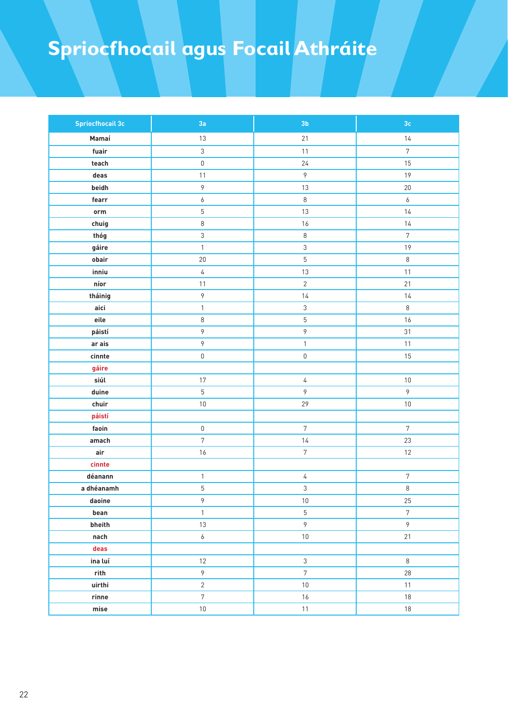| <b>Spriocfhocail 3c</b>             | 3a                  | 3 <sub>b</sub> | $3\mathsf{c}$    |
|-------------------------------------|---------------------|----------------|------------------|
| Mamaí                               | 13                  | $21$           | 14               |
| fuair                               | $\mathfrak{S}$      | $11$           | $\overline{7}$   |
| teach                               | $\mathbf 0$         | $24\,$         | 15               |
| deas                                | 11                  | $\,9\,$        | 19               |
| beidh                               | $\mathcal{P}$       | $13\,$         | $20\,$           |
| fearr                               | $\boldsymbol{6}$    | $\,8\,$        | $\boldsymbol{6}$ |
| $\mathop{\mathsf{orm}}\nolimits$    | $\sqrt{5}$          | 13             | 14               |
| chuig                               | $\,8\,$             | $16$           | $14$             |
| thóg                                | $\mathfrak{S}$      | $\,8\,$        | $7\overline{ }$  |
| gáire                               | $\mathbf{1}$        | $\sqrt{3}$     | 19               |
| obair                               | $20\,$              | $\mathbf 5$    | $\,8\,$          |
| inniu                               | $\overline{4}$      | $13\,$         | $11$             |
| $\mathop{\sf n\acute{o}r}\nolimits$ | $11$                | $\overline{2}$ | 21               |
| tháinig                             | $\mathcal{P}$       | $14$           | 14               |
| aici                                | $\mathbf{1}$        | $\sqrt{3}$     | $\,8\,$          |
| eile                                | $\,8\,$             | $\mathbf 5$    | 16               |
| páistí                              | $\mathcal{P}$       | $\,9$          | 31               |
| ar ais                              | $\mathcal{P}$       | $\mathbbm{1}$  | $11$             |
| cinnte                              | $\mathsf{O}\xspace$ | $\mathbf 0$    | 15               |
| gáire                               |                     |                |                  |
| siúl                                | $17\,$              | $\sqrt{4}$     | $10\,$           |
| duine                               | $\overline{5}$      | 9              | $\mathcal{P}$    |
| chuir                               | $10\,$              | 29             | $10\,$           |
| páistí                              |                     |                |                  |
| faoin                               | $\mathsf 0$         | $\sqrt{7}$     | $\overline{7}$   |
| amach                               | $\sqrt{7}$          | $14$           | 23               |
| air                                 | 16                  | $\sqrt{7}$     | 12               |
| cinnte                              |                     |                |                  |
| déanann                             | $\mathbf{1}$        | $\sqrt{4}$     | $\sqrt{7}$       |
| a dhéanamh                          | 5                   | 3              | $\,8\,$          |
| daoine                              | 9                   | 10             | 25               |
| bean                                | $\mathbf{1}$        | $\overline{5}$ | $\overline{7}$   |
| bheith                              | 13                  | $\mathcal{G}$  | 9                |
| nach                                | $\boldsymbol{6}$    | $10\,$         | 21               |
| deas                                |                     |                |                  |
| ina luí                             | 12                  | $\mathfrak{Z}$ | $\,8\,$          |
| $^{\prime}$ rith                    | $\mathsf{P}$        | $\sqrt{7}$     | 28               |
| uirthi                              | $\mathbf{2}$        | $10\,$         | $11$             |
| $\mathop{\mathsf{rine}}$            | $\overline{7}$      | $16$           | $18\,$           |
| ${\sf mise}$                        | $10\,$              | 11             | 18               |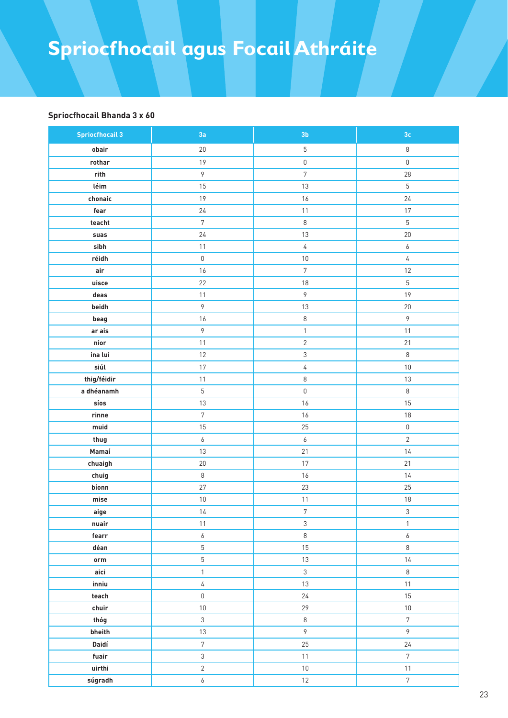#### **Spriocfhocail Bhanda 3 x 60**

| <b>Spriocfhocail 3</b>  | 3a                  | 3 <sub>b</sub>      | $3\mathsf{c}$     |
|-------------------------|---------------------|---------------------|-------------------|
| obair                   | $20\,$              | $5\,$               | $\,8\,$           |
| rothar                  | 19                  | $\mathsf{0}$        | $\mathbf 0$       |
| rith                    | 9                   | $\sqrt{7}$          | 28                |
| léim                    | 15                  | 13                  | $5\,$             |
| chonaic                 | 19                  | 16                  | 24                |
| fear                    | $24$                | $11$                | 17                |
| teacht                  | $\overline{7}$      | $\,8\,$             | $\overline{5}$    |
| suas                    | $24$                | $13\,$              | $20\,$            |
| sibh                    | 11                  | $\sqrt{4}$          | $\boldsymbol{6}$  |
| réidh                   | $\mathbf 0$         | $10\,$              | 4                 |
| air                     | 16                  | $\overline{7}$      | $12\,$            |
| uisce                   | 22                  | $18\,$              | $\sqrt{5}$        |
| deas                    | 11                  | 9                   | 19                |
| beidh                   | 9                   | 13                  | $20\,$            |
| beag                    | 16                  | $\,8\,$             | $\mathcal{P}$     |
| ar ais                  | 9                   | $\mathbf{1}$        | $11$              |
| níor                    | 11                  | $\overline{2}$      | 21                |
| ina luí                 | 12                  | $\mathfrak{S}$      | $\,8\,$           |
| siúl                    | 17                  | $\sqrt{4}$          | $10\,$            |
| thig/féidir             | $11$                | $\,8\,$             | $13\,$            |
| a dhéanamh              | $\overline{5}$      | $\mathbf 0$         | $\,8\,$           |
| síos                    | 13                  | 16                  | 15                |
| $r$ inne                | $\sqrt{7}$          | $16$                | $18\,$            |
| muid                    | 15                  | 25                  | $\mathbf 0$       |
| thug                    | 6                   | $\boldsymbol{6}$    | $\overline{2}$    |
| Mamaí                   | 13                  | 21                  | 14                |
| chuaigh                 | $20\,$              | 17                  | 21                |
| chuig                   | $\,8\,$             | $16$                | $14$              |
| bíonn                   | 27                  | 23                  | 25                |
| ${\sf mise}$            | $10$                | $11$                | $18\,$            |
| aige<br>nuair           | 14<br>$11$          | 7<br>$\mathfrak{S}$ | 3<br>$\mathbf{1}$ |
| fearr                   | $\boldsymbol{6}$    | $\,8\,$             | $\boldsymbol{6}$  |
| déan                    | $\overline{5}$      | 15                  | $\,8\,$           |
| $_{\rm\scriptsize orm}$ | 5                   | 13                  | 14                |
| aici                    | $\mathbf{1}$        | $\mathfrak{Z}$      | $\,8\,$           |
| inniu                   | $\overline{4}$      | 13                  | 11                |
| teach                   | $\mathsf{O}\xspace$ | 24                  | 15                |
| chuir                   | $10\,$              | 29                  | $10\,$            |
| thóg                    | $\mathfrak{Z}$      | $\,8\,$             | $7\overline{ }$   |
| bheith                  | 13                  | 9                   | $\mathcal{G}$     |
| Daidí                   | $\overline{7}$      | 25                  | 24                |
| fuair                   | 3                   | $11$                | $7\phantom{.}$    |
| uirthi                  | $\overline{2}$      | $10\,$              | 11                |
| súgradh                 | $\epsilon$          | $12 \overline{ }$   | $7\overline{ }$   |
|                         |                     |                     |                   |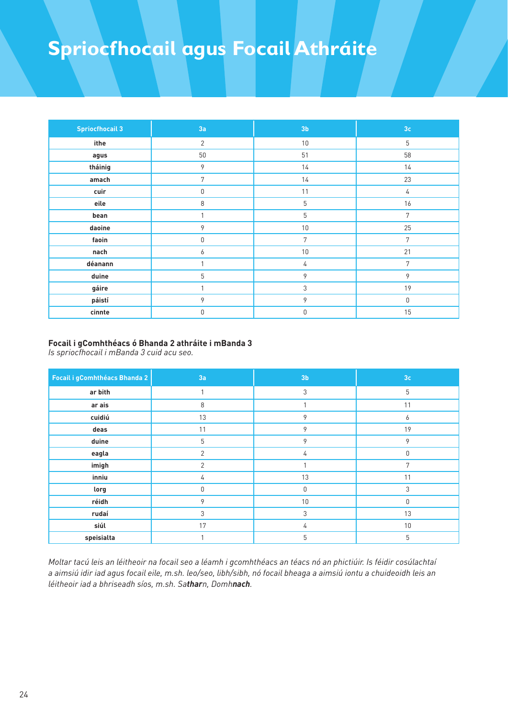| <b>Spriocfhocail 3</b> | 3a          | 3 <sub>b</sub> | 3 <sub>c</sub> |
|------------------------|-------------|----------------|----------------|
| ithe                   | 2           | 10             | 5              |
| agus                   | 50          | 51             | 58             |
| tháinig                | 9           | 14             | 14             |
| amach                  | 7           | 14             | 23             |
| cuir                   | 0           | 11             | 4              |
| eile                   | $\,8\,$     | 5              | 16             |
| bean                   | 1           | 5              | 7              |
| daoine                 | 9           | 10             | 25             |
| faoin                  | $\mathbb O$ | 7              | 7              |
| nach                   | 6           | 10             | 21             |
| déanann                | 1           | 4              | 7              |
| duine                  | 5           | 9              | 9              |
| gáire                  | 1           | 3              | 19             |
| páistí                 | 9           | 9              | $\mathbb O$    |
| cinnte                 | $\mathbf 0$ | 0              | 15             |

#### **Focail i gComhthéacs ó Bhanda 2 athráite i mBanda 3**

*Is spriocfhocail i mBanda 3 cuid acu seo.*

| Focail i gComhthéacs Bhanda 2 | 3a             | 3 <sub>b</sub> | 3 <sub>c</sub> |
|-------------------------------|----------------|----------------|----------------|
| ar bith                       | 1              | 3              | 5              |
| ar ais                        | 8              |                | 11             |
| cuidiú                        | 13             | 9              | 6              |
| deas                          | 11             | 9              | 19             |
| duine                         | 5              | 9              | 9              |
| eagla                         | $\mathbf{2}$   | 4              | 0              |
| imigh                         | $\overline{2}$ |                | 7              |
| inniu                         | 4              | 13             | 11             |
| lorg                          | 0              | $\theta$       | 3              |
| réidh                         | 9              | 10             | $\Omega$       |
| rudaí                         | 3              | 3              | 13             |
| siúl                          | 17             | 4              | 10             |
| speisialta                    | 1              | 5              | 5              |

*Moltar tacú leis an léitheoir na focail seo a léamh i gcomhthéacs an téacs nó an phictiúir. Is féidir cosúlachtaí a aimsiú idir iad agus focail eile, m.sh. leo/seo, libh/sibh, nó focail bheaga a aimsiú iontu a chuideoidh leis an léitheoir iad a bhriseadh síos, m.sh. Satharn, Domhnach.*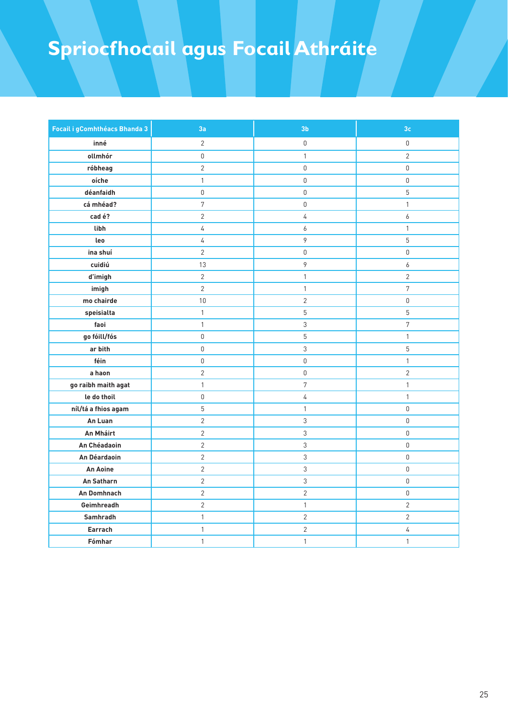| Focail i gComhthéacs Bhanda 3 | 3a             | 3 <sub>b</sub>   | 3 <sub>c</sub> |
|-------------------------------|----------------|------------------|----------------|
| inné                          | $\overline{2}$ | $\mathsf 0$      | 0              |
| ollmhór                       | 0              | $\mathbf{1}$     | $\overline{2}$ |
| róbheag                       | $\overline{2}$ | $\mathsf 0$      | 0              |
| oíche                         | $\mathbf{1}$   | $\mathbf 0$      | 0              |
| déanfaidh                     | $\mathsf 0$    | $\mathbf 0$      | 5              |
| cá mhéad?                     | $\overline{7}$ | $\mathbb O$      | $\mathbf{1}$   |
| cad é?                        | $\overline{2}$ | $\sqrt{4}$       | 6              |
| libh                          | 4              | 6                | $\mathbf{1}$   |
| leo                           | 4              | $\mathcal{P}$    | 5              |
| ina shuí                      | $\overline{2}$ | $\mathbf 0$      | 0              |
| cuidiú                        | 13             | $\mathcal{P}$    | 6              |
| d'imigh                       | $\overline{2}$ | $\mathbf{1}$     | $\overline{2}$ |
| imigh                         | $\overline{2}$ | $\mathbf{1}$     | $\overline{7}$ |
| mo chairde                    | $10\,$         | $\overline{2}$   | 0              |
| speisialta                    | $\mathbf{1}$   | $\sqrt{5}$       | 5              |
| faoi                          | $\mathbf{1}$   | $\mathfrak{Z}$   | $\sqrt{7}$     |
| go fóill/fós                  | $\mathsf 0$    | $\overline{5}$   | $\mathbf{1}$   |
| ar bith                       | 0              | $\mathfrak{Z}$   | 5              |
| féin                          | 0              | $\mathbb O$      | $\mathbf{1}$   |
| a haon                        | $\overline{2}$ | $\mathbb O$      | $\mathbf{2}$   |
| go raibh maith agat           | $\mathbf{1}$   | $\boldsymbol{7}$ | $\mathbf{1}$   |
| le do thoil                   | 0              | $\sqrt{4}$       | $\mathbf{1}$   |
| níl/tá a fhios agam           | 5              | $\mathbf{1}$     | 0              |
| An Luan                       | $\overline{2}$ | $\mathfrak{Z}$   | 0              |
| An Mháirt                     | $\overline{2}$ | $\sqrt{3}$       | 0              |
| An Chéadaoin                  | $\overline{2}$ | $\mathfrak{Z}$   | 0              |
| An Déardaoin                  | $\overline{c}$ | $\mathfrak{Z}$   | 0              |
| An Aoine                      | $\overline{c}$ | $\mathfrak{Z}$   | 0              |
| An Satharn                    | $\overline{2}$ | $\mathfrak{Z}$   | 0              |
| An Domhnach                   | $\overline{2}$ | $\overline{2}$   | 0              |
| Geimhreadh                    | $\overline{2}$ | $\mathbf{1}$     | $\mathbf{2}$   |
| Samhradh                      | $\mathbf{1}$   | $\overline{2}$   | $\overline{2}$ |
| Earrach                       | $\mathbf{1}$   | $\mathbf{2}$     | 4              |
| Fómhar                        | $\mathbf{1}$   | $\mathbf{1}$     | $\mathbf{1}$   |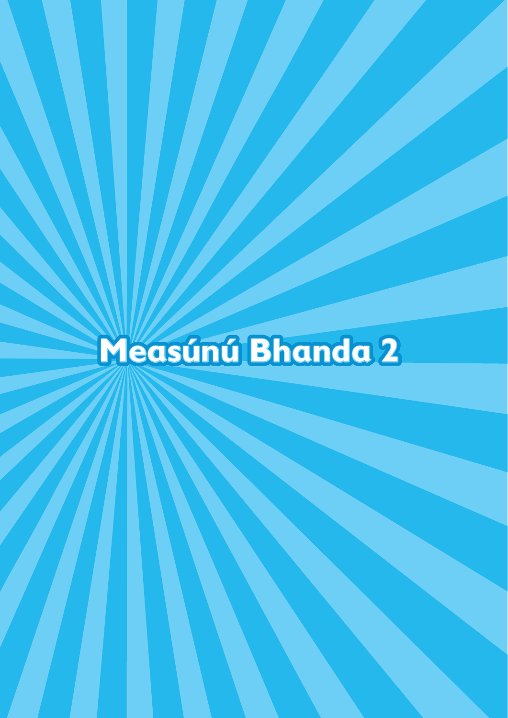# **Measúnú Bhanda 2**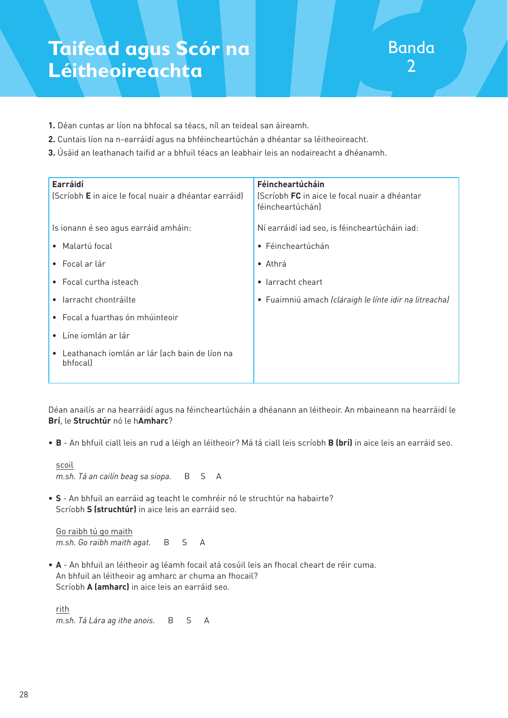- **1.** Déan cuntas ar líon na bhfocal sa téacs, níl an teideal san áireamh.
- **2.** Cuntais líon na n-earráidí agus na bhféincheartúchán a dhéantar sa léitheoireacht.
- **3.** Úsáid an leathanach taifid ar a bhfuil téacs an leabhair leis an nodaireacht a dhéanamh.

| Earráidí<br>(Scríobh E in aice le focal nuair a dhéantar earráid) | Féincheartúcháin<br>(Scríobh FC in aice le focal nuair a dhéantar<br>féincheartúchán) |
|-------------------------------------------------------------------|---------------------------------------------------------------------------------------|
| Is ionann é seo agus earráid amháin:                              | Ní earráidí iad seo, is féincheartúcháin iad:                                         |
| • Malartú focal                                                   | • Féincheartúchán                                                                     |
| $\bullet$ Focal ar lár                                            | $\bullet$ Athrá                                                                       |
| • Focal curtha isteach                                            | larracht cheart<br>$\bullet$                                                          |
| • larracht chontráilte                                            | • Fuaimniú amach (cláraigh le línte idir na litreacha)                                |
| • Focal a fuarthas ón mhúinteoir                                  |                                                                                       |
| $\bullet$ Líne iomlán ar lár                                      |                                                                                       |
| • Leathanach iomlán ar lár (ach bain de líon na<br>bhfocal)       |                                                                                       |

Déan anailís ar na hearráidí agus na féincheartúcháin a dhéanann an léitheoir. An mbaineann na hearráidí le **Brí**, le **Struchtúr** nó le h**Amharc**?

• **B** - An bhfuil ciall leis an rud a léigh an léitheoir? Má tá ciall leis scríobh **B (brí)** in aice leis an earráid seo.

 scoil *m.sh. Tá an cailín beag sa siopa.* B S A

• **S** - An bhfuil an earráid ag teacht le comhréir nó le struchtúr na habairte? Scríobh **S (struchtúr)** in aice leis an earráid seo.

 Go raibh tú go maith *m.sh. Go raibh maith agat.* B S A

• **A** - An bhfuil an léitheoir ag léamh focail atá cosúil leis an fhocal cheart de réir cuma. An bhfuil an léitheoir ag amharc ar chuma an fhocail? Scríobh **A (amharc)** in aice leis an earráid seo.

 rith *m.sh. Tá Lára ag ithe anois.* B S A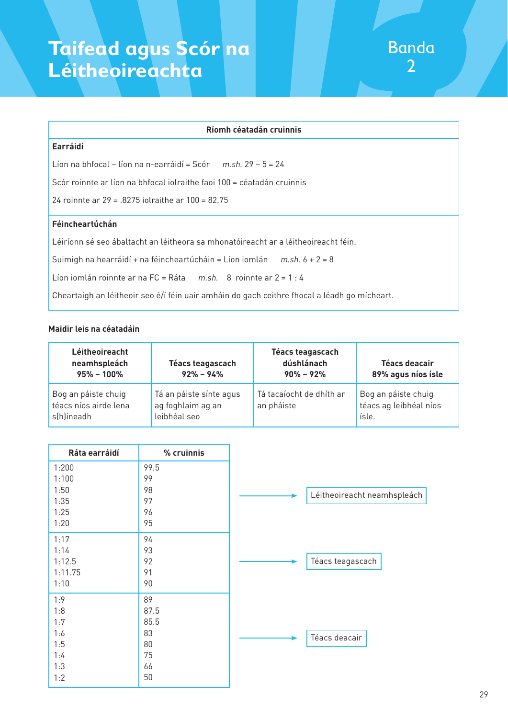#### **Ríomh céatadán cruinnis**

#### **Earráidí**

Líon na bhfocal – líon na n-earráidí = Scór *m.sh.* 29 – 5 = 24

Scór roinnte ar líon na bhfocal iolraithe faoi 100 = céatadán cruinnis

24 roinnte ar 29 = .8275 iolraithe ar 100 = 82.75

#### **Féincheartúchán**

Léiríonn sé seo ábaltacht an léitheora sa mhonatóireacht ar a léitheoireacht féin.

Suimigh na hearráidí + na féincheartúcháin = Líon iomlán *m.sh.* 6 + 2 = 8

Líon iomlán roinnte ar na FC = Ráta *m.sh.* 8 roinnte ar 2 = 1 : 4

Cheartaigh an léitheoir seo é/í féin uair amháin do gach ceithre fhocal a léadh go mícheart.

#### **Maidir leis na céatadáin**

| Léitheoireacht<br>neamhspleách<br>$95\% - 100\%$           | Téacs teagascach<br>$92\% - 94\%$                            | Téacs teagascach<br>dúshlánach<br>$90\% - 92\%$ | Téacs deacair<br>89% agus níos ísle                    |
|------------------------------------------------------------|--------------------------------------------------------------|-------------------------------------------------|--------------------------------------------------------|
| Bog an páiste chuig<br>téacs níos airde lena<br>s(h)íneadh | Tá an páiste sínte agus<br>ag foghlaim ag an<br>leibhéal seo | Tá tacaíocht de dhíth ar<br>an pháiste          | Bog an páiste chuig<br>téacs ag leibhéal níos<br>ísle. |

| Ráta earráidí | % cruinnis |                             |  |
|---------------|------------|-----------------------------|--|
| 1:200         | 99.5       |                             |  |
| 1:100         | 99         |                             |  |
| 1:50          | 98         | Léitheoireacht neamhspleách |  |
| 1:35          | 97         |                             |  |
| 1:25          | 96         |                             |  |
| 1:20          | 95         |                             |  |
| 1:17          | 94         |                             |  |
| 1:14          | 93         |                             |  |
| 1:12.5        | 92         | Téacs teagascach            |  |
| 1:11.75       | 91         |                             |  |
| 1:10          | 90         |                             |  |
| 1:9           | 89         |                             |  |
| 1:8           | 87.5       |                             |  |
| 1:7           | 85.5       |                             |  |
| 1:6           | 83         | Téacs deacair               |  |
| 1:5           | 80         |                             |  |
| 1:4           | 75         |                             |  |
| 1:3           | 66         |                             |  |
| 1:2           | 50         |                             |  |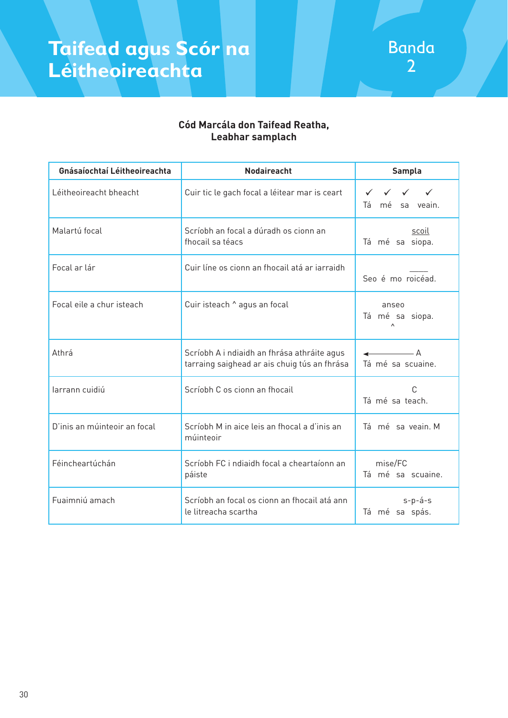

#### **Cód Marcála don Taifead Reatha, Leabhar samplach**

| Gnásaíochtaí Léitheoireachta | <b>Nodaireacht</b>                                                                          | <b>Sampla</b>                                                                                                   |
|------------------------------|---------------------------------------------------------------------------------------------|-----------------------------------------------------------------------------------------------------------------|
| Léitheoireacht bheacht       | Cuir tic le gach focal a léitear mar is ceart                                               | $\checkmark$<br>$\checkmark$<br>$\checkmark$<br>mé sa veain.<br>Tá                                              |
| Malartú focal                | Scríobh an focal a dúradh os cionn an<br>fhocail sa téacs                                   | scoil<br>Tá mé sa siopa.                                                                                        |
| Focal ar lár                 | Cuir líne os cionn an fhocail atá ar iarraidh                                               | Seo é mo roicéad.                                                                                               |
| Focal eile a chur isteach    | Cuir isteach ^ agus an focal                                                                | anseo<br>Tá mé sa siopa.<br>$\wedge$                                                                            |
| Athrá                        | Scríobh A i ndiaidh an fhrása athráite agus<br>tarraing saighead ar ais chuig tús an fhrása | $\leftarrow$ $\leftarrow$ $\leftarrow$ $\leftarrow$ $\leftarrow$ $\leftarrow$ $\leftarrow$<br>Tá mé sa scuaine. |
| larrann cuidiú               | Scríobh C os cionn an fhocail                                                               | C<br>Tá mé sa teach.                                                                                            |
| D'inis an múinteoir an focal | Scríobh M in aice leis an fhocal a d'inis an<br>múinteoir                                   | Tá mé sa veain. M                                                                                               |
| Féincheartúchán              | Scríobh FC i ndiaidh focal a cheartaíonn an<br>páiste                                       | mise/FC<br>Tá mé sa scuaine.                                                                                    |
| Fuaimniú amach               | Scríobh an focal os cionn an fhocail atá ann<br>le litreacha scartha                        | $s-p-\acute{a}-s$<br>Tá mé sa spás.                                                                             |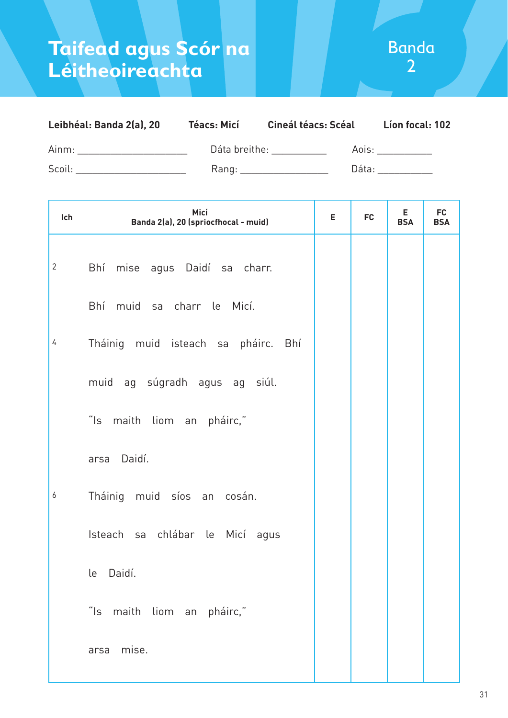| Leibhéal: Banda 2(a), 20 | <b>Téacs: Micí</b> | <b>Cineál téacs: Scéal</b> | Lion focal: 102 |
|--------------------------|--------------------|----------------------------|-----------------|
| Ainm:                    | Dáta breithe:      | Aois:                      |                 |
| Scoil:                   | Rang:              | Dáta:                      |                 |

| Ich          | Micí<br>Banda 2(a), 20 (spriocfhocal - muid) | E. | <b>FC</b> | Е<br><b>BSA</b> | <b>FC</b><br><b>BSA</b> |
|--------------|----------------------------------------------|----|-----------|-----------------|-------------------------|
| $\mathbf{2}$ | Bhí mise agus Daidí sa charr.                |    |           |                 |                         |
|              | Bhí muid sa charr le Micí.                   |    |           |                 |                         |
| 4            | Tháinig muid isteach sa pháirc. Bhí          |    |           |                 |                         |
|              | muid ag súgradh agus ag siúl.                |    |           |                 |                         |
|              | "Is maith liom an pháirc,"                   |    |           |                 |                         |
|              | arsa Daidí.                                  |    |           |                 |                         |
| 6            | Tháinig muid síos an cosán.                  |    |           |                 |                         |
|              | Isteach sa chlábar le Micí agus              |    |           |                 |                         |
|              | Daidí.<br>le                                 |    |           |                 |                         |
|              | "Is maith liom an pháirc,"                   |    |           |                 |                         |
|              | mise.<br>arsa                                |    |           |                 |                         |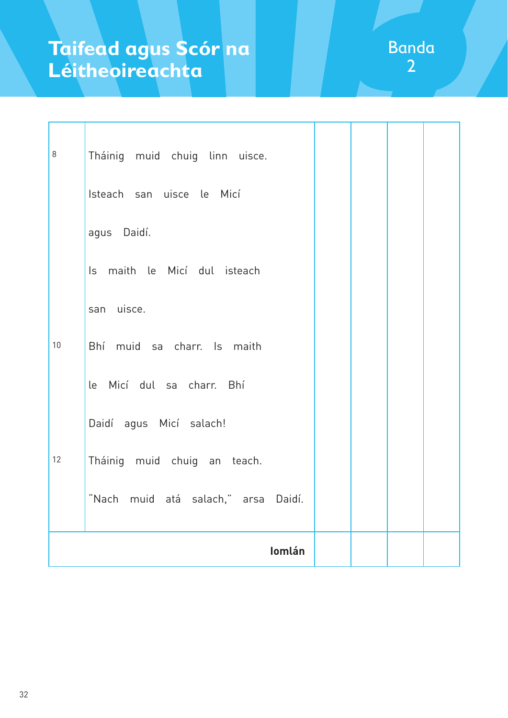| 8  | Tháinig muid chuig linn uisce.      |  |  |
|----|-------------------------------------|--|--|
|    | Isteach san uisce le Micí           |  |  |
|    | agus Daidí.                         |  |  |
|    | Is maith le Micí dul isteach        |  |  |
|    | san uisce.                          |  |  |
| 10 | Bhí muid sa charr. Is maith         |  |  |
|    | le Micí dul sa charr. Bhí           |  |  |
|    | Daidí agus Micí salach!             |  |  |
| 12 | Tháinig muid chuig an teach.        |  |  |
|    | "Nach muid atá salach," arsa Daidí. |  |  |
|    | Iomlán                              |  |  |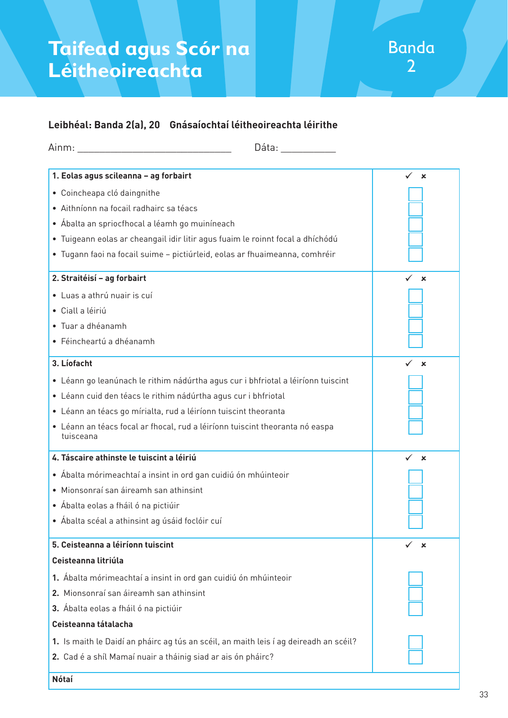#### **Leibhéal: Banda 2(a), 20 Gnásaíochtaí léitheoireachta léirithe**

| Dáta: ________                                                                            |                           |
|-------------------------------------------------------------------------------------------|---------------------------|
| 1. Eolas agus scileanna - ag forbairt                                                     | ✓<br>$\mathbf x$          |
| · Coincheapa cló daingnithe                                                               |                           |
| · Aithníonn na focail radhairc sa téacs                                                   |                           |
| • Ábalta an spriocfhocal a léamh go muiníneach                                            |                           |
| · Tuigeann eolas ar cheangail idir litir agus fuaim le roinnt focal a dhíchódú            |                           |
| · Tugann faoi na focail suime - pictiúrleid, eolas ar fhuaimeanna, comhréir               |                           |
| 2. Straitéisí - ag forbairt                                                               | $\boldsymbol{\mathsf{x}}$ |
| · Luas a athrú nuair is cuí                                                               |                           |
| · Ciall a léiriú                                                                          |                           |
| · Tuar a dhéanamh                                                                         |                           |
| · Féincheartú a dhéanamh                                                                  |                           |
| 3. Líofacht                                                                               | ×                         |
| · Léann go leanúnach le rithim nádúrtha agus cur i bhfriotal a léiríonn tuiscint          |                           |
| · Léann cuid den téacs le rithim nádúrtha agus cur i bhfriotal                            |                           |
| • Léann an téacs go mírialta, rud a léiríonn tuiscint theoranta                           |                           |
| • Léann an téacs focal ar fhocal, rud a léiríonn tuiscint theoranta nó easpa<br>tuisceana |                           |
| 4. Táscaire athinste le tuiscint a léiriú                                                 | ✓<br>$\mathbf x$          |
| • Ábalta mórimeachtaí a insint in ord gan cuidiú ón mhúinteoir                            |                           |
| · Mionsonraí san áireamh san athinsint                                                    |                           |
| • Ábalta eolas a fháil ó na pictiúir                                                      |                           |
| Ábalta scéal a athinsint ag úsáid foclóir cuí                                             |                           |
| 5. Ceisteanna a léiríonn tuiscint                                                         | ×                         |
| Ceisteanna litriúla                                                                       |                           |
| 1. Ábalta mórimeachtaí a insint in ord gan cuidiú ón mhúinteoir                           |                           |
| 2. Mionsonraí san áireamh san athinsint                                                   |                           |
| 3. Ábalta eolas a fháil ó na pictiúir                                                     |                           |
| Ceisteanna tátalacha                                                                      |                           |
| 1. Is maith le Daidí an pháirc ag tús an scéil, an maith leis í ag deireadh an scéil?     |                           |
| 2. Cad é a shíl Mamaí nuair a tháinig siad ar ais ón pháirc?                              |                           |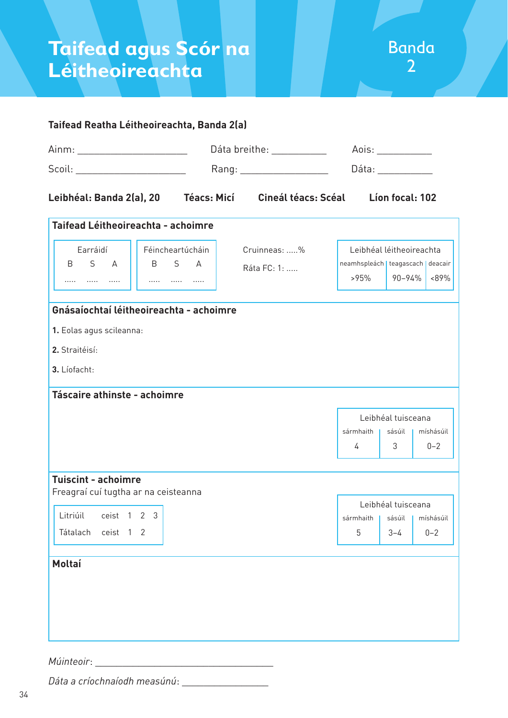|                                                                                                                                                                                                                                                                                                                                                                     | Dáta breithe: __________<br>Rang: ____________________ |                             | Aois: ___________<br>Dáta: ___________      |                          |                      |  |
|---------------------------------------------------------------------------------------------------------------------------------------------------------------------------------------------------------------------------------------------------------------------------------------------------------------------------------------------------------------------|--------------------------------------------------------|-----------------------------|---------------------------------------------|--------------------------|----------------------|--|
| $\begin{picture}(25,10) \put(0,0){\vector(1,0){100}} \put(15,0){\vector(1,0){100}} \put(15,0){\vector(1,0){100}} \put(15,0){\vector(1,0){100}} \put(15,0){\vector(1,0){100}} \put(15,0){\vector(1,0){100}} \put(15,0){\vector(1,0){100}} \put(15,0){\vector(1,0){100}} \put(15,0){\vector(1,0){100}} \put(15,0){\vector(1,0){100}} \put(15,0){\vector(1,0){100}} \$ |                                                        |                             |                                             |                          |                      |  |
|                                                                                                                                                                                                                                                                                                                                                                     |                                                        |                             | Líon focal: 102                             |                          |                      |  |
| Taifead Léitheoireachta - achoimre                                                                                                                                                                                                                                                                                                                                  |                                                        |                             |                                             |                          |                      |  |
| Earráidí<br>B S A<br>                                                                                                                                                                                                                                                                                                                                               | Féincheartúcháin<br>B S A                              | Cruinneas: %<br>Ráta FC: 1: | neamhspleách   teagascach   deacair<br>>95% | Leibhéal léitheoireachta | $\mid$ 90-94% <89%   |  |
| Gnásaíochtaí léitheoireachta - achoimre                                                                                                                                                                                                                                                                                                                             |                                                        |                             |                                             |                          |                      |  |
| 1. Eolas agus scileanna:                                                                                                                                                                                                                                                                                                                                            |                                                        |                             |                                             |                          |                      |  |
| 2. Straitéisí:                                                                                                                                                                                                                                                                                                                                                      |                                                        |                             |                                             |                          |                      |  |
| 3. Líofacht:                                                                                                                                                                                                                                                                                                                                                        |                                                        |                             |                                             |                          |                      |  |
| Táscaire athinste - achoimre                                                                                                                                                                                                                                                                                                                                        |                                                        |                             |                                             |                          |                      |  |
|                                                                                                                                                                                                                                                                                                                                                                     |                                                        |                             | Leibhéal tuisceana                          |                          |                      |  |
|                                                                                                                                                                                                                                                                                                                                                                     |                                                        |                             | sármhaith   sásúil   míshásúil              |                          |                      |  |
|                                                                                                                                                                                                                                                                                                                                                                     |                                                        |                             | 4                                           | 3 <sup>7</sup>           | $0 - 2$              |  |
| <b>Tuiscint - achoimre</b><br>Freagraí cuí tugtha ar na ceisteanna                                                                                                                                                                                                                                                                                                  |                                                        |                             |                                             |                          |                      |  |
| Litriúil<br>ceist 1 2 3                                                                                                                                                                                                                                                                                                                                             |                                                        |                             |                                             | Leibhéal tuisceana       |                      |  |
| ceist 1 2<br>Tátalach                                                                                                                                                                                                                                                                                                                                               |                                                        |                             | sármhaith<br>5                              | sásúil<br>$3 - 4$        | míshásúil<br>$0 - 2$ |  |
|                                                                                                                                                                                                                                                                                                                                                                     |                                                        |                             |                                             |                          |                      |  |
|                                                                                                                                                                                                                                                                                                                                                                     |                                                        |                             |                                             |                          |                      |  |
|                                                                                                                                                                                                                                                                                                                                                                     |                                                        |                             |                                             |                          |                      |  |
|                                                                                                                                                                                                                                                                                                                                                                     |                                                        |                             |                                             |                          |                      |  |
| Moltaí                                                                                                                                                                                                                                                                                                                                                              |                                                        |                             |                                             |                          |                      |  |

#### *Múinteoir*: \_

*Dáta a críochnaíodh measúnú*: \_\_\_\_\_\_\_\_\_\_\_\_\_\_\_\_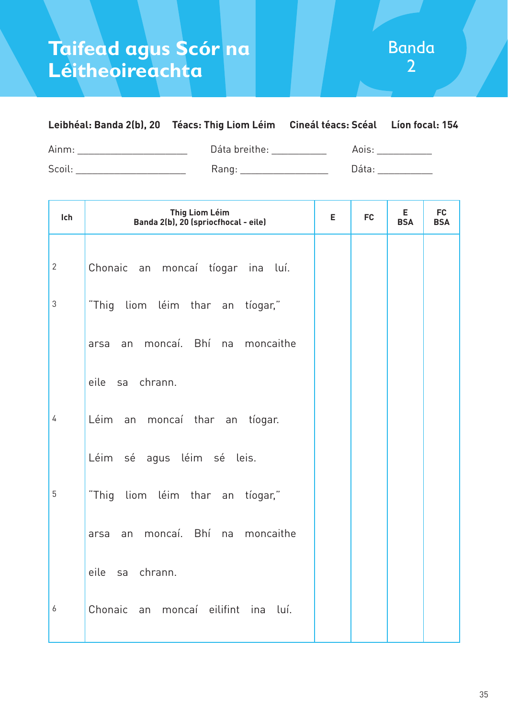| Leibhéal: Banda 2(b), 20 Téacs: Thig Liom Léim Cineál téacs: Scéal Líon focal: 154 |               |       |  |
|------------------------------------------------------------------------------------|---------------|-------|--|
| Ainm:                                                                              | Dáta breithe: | Aois: |  |
| Scoil:                                                                             | Rang:         | Dáta: |  |

| Ich            | <b>Thig Liom Léim</b><br>Banda 2(b), 20 (spriocfhocal - eile) | E | <b>FC</b> | E.<br><b>BSA</b> | <b>FC</b><br><b>BSA</b> |
|----------------|---------------------------------------------------------------|---|-----------|------------------|-------------------------|
| $\overline{2}$ | Chonaic an moncaí tíogar ina luí.                             |   |           |                  |                         |
| 3              | "Thig liom léim thar an tíogar,"                              |   |           |                  |                         |
|                | moncaí. Bhí na moncaithe<br>arsa<br>an                        |   |           |                  |                         |
|                | eile sa chrann.                                               |   |           |                  |                         |
| $\overline{4}$ | Léim an moncaí thar an tíogar.                                |   |           |                  |                         |
|                | Léim sé agus léim sé leis.                                    |   |           |                  |                         |
| 5              | "Thig liom léim thar an<br>tíogar,"                           |   |           |                  |                         |
|                | moncaí. Bhí na moncaithe<br>arsa<br>an                        |   |           |                  |                         |
|                | eile sa chrann.                                               |   |           |                  |                         |
| 6              | Chonaic an<br>moncaí eilifint ina<br>luí.                     |   |           |                  |                         |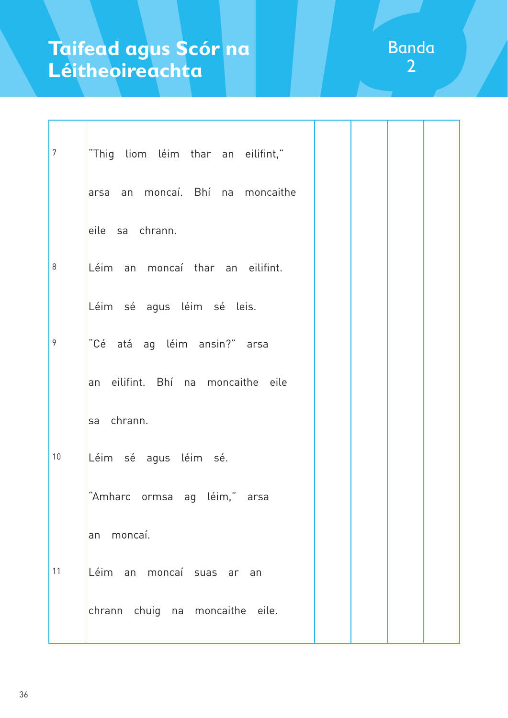| $\overline{7}$ | "Thig liom léim thar an eilifint," |  |  |
|----------------|------------------------------------|--|--|
|                | arsa an moncaí. Bhí na moncaithe   |  |  |
|                | eile sa chrann.                    |  |  |
| 8              | Léim an moncaí thar an eilifint.   |  |  |
|                | Léim sé agus léim sé leis.         |  |  |
| 9              | "Cé atá ag léim ansin?" arsa       |  |  |
|                | an eilifint. Bhí na moncaithe eile |  |  |
|                | sa chrann.                         |  |  |
| $10\,$         | Léim sé agus léim sé.              |  |  |
|                | "Amharc ormsa ag léim," arsa       |  |  |
|                | moncaí.<br>an                      |  |  |
| 11             | Léim an moncaí suas ar an          |  |  |
|                | chrann chuig na moncaithe eile.    |  |  |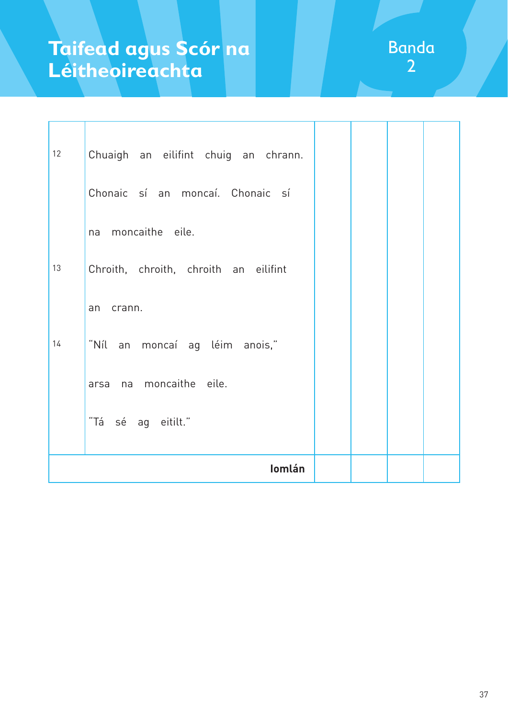| 12 | Chuaigh an eilifint chuig an chrann.  |  |  |
|----|---------------------------------------|--|--|
|    | Chonaic sí an moncaí. Chonaic sí      |  |  |
|    | na moncaithe eile.                    |  |  |
| 13 | Chroith, chroith, chroith an eilifint |  |  |
|    | crann.<br>an                          |  |  |
| 14 | "Níl an moncaí ag léim anois,"        |  |  |
|    | arsa na moncaithe eile.               |  |  |
|    | "Tá sé ag eitilt."                    |  |  |
|    | Iomlán                                |  |  |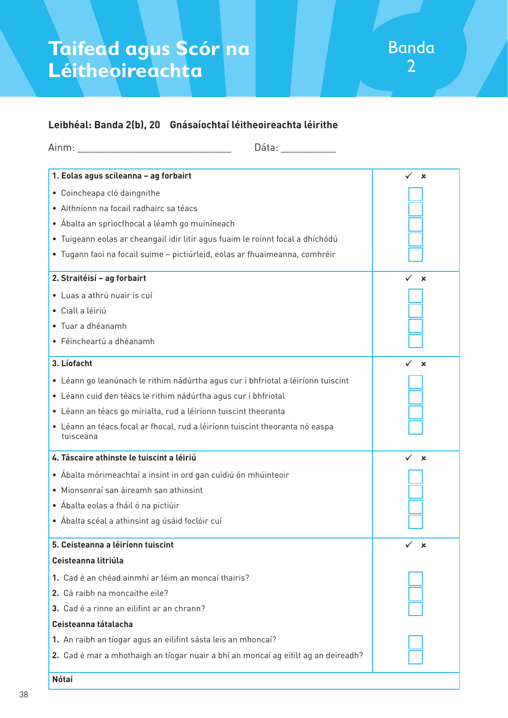### **Leibhéal: Banda 2(b), 20 Gnásaíochtaí léitheoireachta léirithe**

| Dáta: and a control of the set of the set of the set of the set of the set of the set of the set of the set of the set of the set of the set of the set of the set of the set of the set of the set of the set of the set of t |                           |
|--------------------------------------------------------------------------------------------------------------------------------------------------------------------------------------------------------------------------------|---------------------------|
| 1. Eolas agus scileanna - ag forbairt                                                                                                                                                                                          | $\boldsymbol{\mathsf{x}}$ |
| · Coincheapa cló daingnithe                                                                                                                                                                                                    |                           |
| · Aithníonn na focail radhairc sa téacs                                                                                                                                                                                        |                           |
| • Ábalta an spriocfhocal a léamh go muiníneach                                                                                                                                                                                 |                           |
| · Tuigeann eolas ar cheangail idir litir agus fuaim le roinnt focal a dhíchódú                                                                                                                                                 |                           |
| · Tugann faoi na focail suime - pictiúrleid, eolas ar fhuaimeanna, comhréir                                                                                                                                                    |                           |
| 2. Straitéisí - ag forbairt                                                                                                                                                                                                    | ×                         |
| · Luas a athrú nuair is cuí                                                                                                                                                                                                    |                           |
| · Ciall a léiriú                                                                                                                                                                                                               |                           |
| • Tuar a dhéanamh                                                                                                                                                                                                              |                           |
| · Féincheartú a dhéanamh                                                                                                                                                                                                       |                           |
| 3. Líofacht                                                                                                                                                                                                                    | $\mathbf x$               |
| · Léann go leanúnach le rithim nádúrtha agus cur i bhfriotal a léiríonn tuiscint                                                                                                                                               |                           |
| · Léann cuid den téacs le rithim nádúrtha agus cur i bhfriotal                                                                                                                                                                 |                           |
| · Léann an téacs go mírialta, rud a léiríonn tuiscint theoranta                                                                                                                                                                |                           |
| · Léann an téacs focal ar fhocal, rud a léiríonn tuiscint theoranta nó easpa<br>tuisceana                                                                                                                                      |                           |
| 4. Táscaire athinste le tuiscint a léiriú                                                                                                                                                                                      | $\mathbf x$               |
| • Ábalta mórimeachtaí a insint in ord gan cuidiú ón mhúinteoir                                                                                                                                                                 |                           |
| · Mionsonraí san áireamh san athinsint                                                                                                                                                                                         |                           |
| • Ábalta eolas a fháil ó na pictiúir                                                                                                                                                                                           |                           |
| • Ábalta scéal a athinsint ag úsáid foclóir cuí                                                                                                                                                                                |                           |
| 5. Ceisteanna a léiríonn tuiscint                                                                                                                                                                                              | ×                         |
| Ceisteanna litriúla                                                                                                                                                                                                            |                           |
| 1. Cad é an chéad ainmhí ar léim an moncaí thairis?                                                                                                                                                                            |                           |
| 2. Cá raibh na moncaithe eile?                                                                                                                                                                                                 |                           |
| 3. Cad é a rinne an eilifint ar an chrann?                                                                                                                                                                                     |                           |
| Ceisteanna tátalacha                                                                                                                                                                                                           |                           |
| 1. An raibh an tíogar agus an eilifint sásta leis an mhoncaí?                                                                                                                                                                  |                           |
| 2. Cad é mar a mhothaigh an tíogar nuair a bhí an moncaí ag eitilt ag an deireadh?                                                                                                                                             |                           |
| <b>Nótaí</b>                                                                                                                                                                                                                   |                           |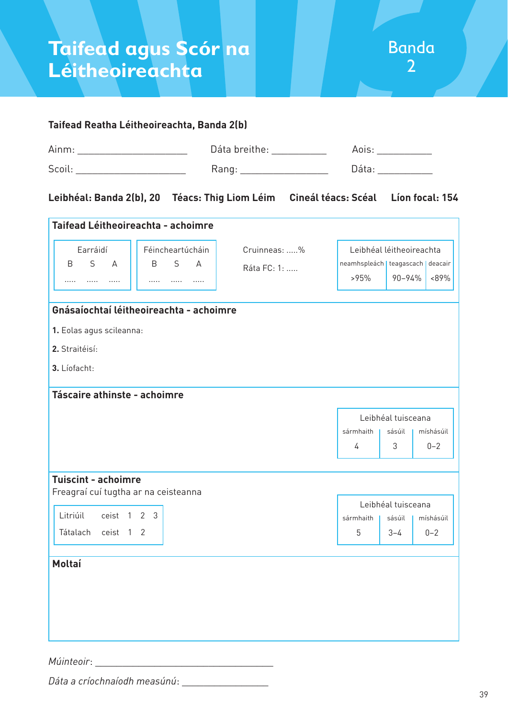#### **Taifead Reatha Léitheoireachta, Banda 2(b)** Ainm: \_\_\_\_\_\_\_\_\_\_\_\_\_\_\_\_\_\_\_\_\_\_\_\_\_\_ Dáta breithe: \_\_\_\_\_\_\_\_\_\_\_\_\_ Aois: \_\_\_\_\_\_\_\_\_\_\_\_\_ Scoil: \_\_\_\_\_\_\_\_\_\_\_\_\_\_\_\_\_\_\_\_ Rang: \_\_\_\_\_\_\_\_\_\_\_\_\_\_\_\_ Dáta: \_\_\_\_\_\_\_\_\_\_ **Leibhéal: Banda 2(b), 20 Téacs: Thig Liom Léim Cineál téacs: Scéal Líon focal: 154 Taifead Léitheoireachta - achoimre Gnásaíochtaí léitheoireachta - achoimre**  Earráidí B S A ..... ..... ..... Féincheartúcháin B S A ..... ..... ..... Leibhéal léitheoireachta neamhspleách | teagascach | deacair >95% 90–94% <89% Cruinneas: .....% Ráta FC: 1: .....

- **1.** Eolas agus scileanna:
- **2.** Straitéisí:
- **3.** Líofacht:

**Táscaire athinste - achoimre**

| Tascaire athinste - achoimre                                       |           |                    |           |
|--------------------------------------------------------------------|-----------|--------------------|-----------|
|                                                                    |           | Leibhéal tuisceana |           |
|                                                                    | sármhaith | sásúil             | míshásúil |
|                                                                    | 4         | 3                  | $0 - 2$   |
|                                                                    |           |                    |           |
| <b>Tuiscint - achoimre</b><br>Freagraí cuí tugtha ar na ceisteanna |           |                    |           |
|                                                                    |           | Leibhéal tuisceana |           |
| Litriúil<br>3<br>$\overline{2}$<br>ceist 1                         | sármhaith | sásúil             | míshásúil |
| Tátalach<br>ceist 1 2                                              | 5         | $3 - 4$            | $0 - 2$   |
|                                                                    |           |                    |           |
| Moltaí                                                             |           |                    |           |
|                                                                    |           |                    |           |
|                                                                    |           |                    |           |
|                                                                    |           |                    |           |

*Múinteoir*: \_\_\_\_\_\_\_\_\_\_\_\_\_\_\_\_\_\_\_\_\_\_\_\_\_\_\_\_\_\_\_\_\_

*Dáta a críochnaíodh measúnú*: \_\_\_\_\_\_\_\_\_\_\_\_\_\_\_\_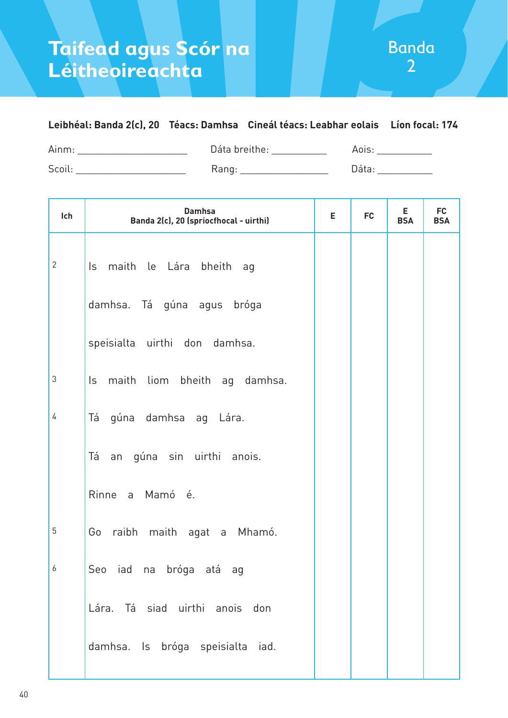### **Leibhéal: Banda 2(c), 20 Téacs: Damhsa Cineál téacs: Leabhar eolais Líon focal: 174**

| Ainm  | $\mathsf{D}_{\mathsf{a}}$ ta breithe: |  |
|-------|---------------------------------------|--|
| Scoil | . valituri<br>ت                       |  |

| Ich          | <b>Damhsa</b><br>Banda 2(c), 20 (spriocfhocal - uirthi) |  | <b>FC</b> | Е<br><b>BSA</b> | <b>FC</b><br><b>BSA</b> |
|--------------|---------------------------------------------------------|--|-----------|-----------------|-------------------------|
| $\mathbf{2}$ | Is maith le Lára bheith ag                              |  |           |                 |                         |
|              | damhsa. Tá gúna agus bróga                              |  |           |                 |                         |
|              | speisialta uirthi don damhsa.                           |  |           |                 |                         |
| 3            | Is maith liom bheith ag damhsa.                         |  |           |                 |                         |
| 4            | Tá gúna damhsa ag Lára.                                 |  |           |                 |                         |
|              | Tá an gúna sin uirthi anois.                            |  |           |                 |                         |
|              | Rinne a Mamó é.                                         |  |           |                 |                         |
| 5            | Go raibh maith agat a Mhamó.                            |  |           |                 |                         |
| 6            | Seo iad na bróga atá ag                                 |  |           |                 |                         |
|              | Lára. Tá siad uirthi anois don                          |  |           |                 |                         |
|              | damhsa. Is bróga speisialta iad.                        |  |           |                 |                         |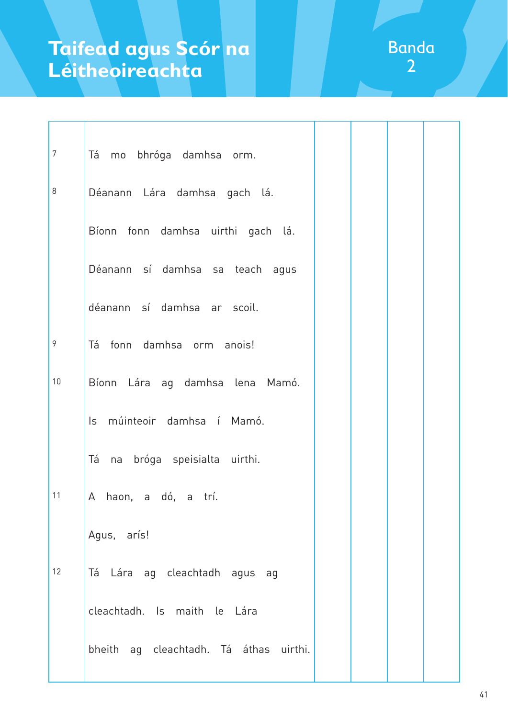| $\overline{7}$ | Tá mo bhróga damhsa orm.               |  |  |
|----------------|----------------------------------------|--|--|
| 8              | Déanann Lára damhsa gach lá.           |  |  |
|                | Bíonn fonn damhsa uirthi gach lá.      |  |  |
|                | Déanann sí damhsa sa teach agus        |  |  |
|                | déanann sí damhsa ar scoil.            |  |  |
| 9              | Tá fonn damhsa orm anois!              |  |  |
| 10             | Bíonn Lára ag damhsa lena Mamó.        |  |  |
|                | Is múinteoir damhsa í Mamó.            |  |  |
|                | Tá na bróga speisialta uirthi.         |  |  |
| 11             | A haon, a dó, a trí.                   |  |  |
|                | Agus, arís!                            |  |  |
| 12             | Tá Lára ag cleachtadh agus ag          |  |  |
|                | cleachtadh. Is maith le Lára           |  |  |
|                | bheith ag cleachtadh. Tá áthas uirthi. |  |  |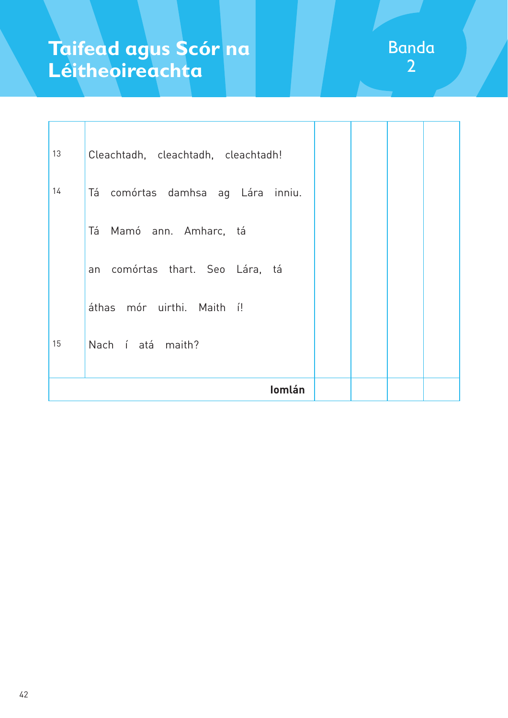| 13 | Cleachtadh, cleachtadh, cleachtadh!  |  |  |
|----|--------------------------------------|--|--|
| 14 | Tá<br>comórtas damhsa ag Lára inniu. |  |  |
|    | Tá<br>Mamó ann. Amharc, tá           |  |  |
|    | an comórtas thart. Seo Lára, tá      |  |  |
|    | áthas mór uirthi. Maith í!           |  |  |
| 15 | Nach í atá maith?                    |  |  |
|    | <b>lomlán</b>                        |  |  |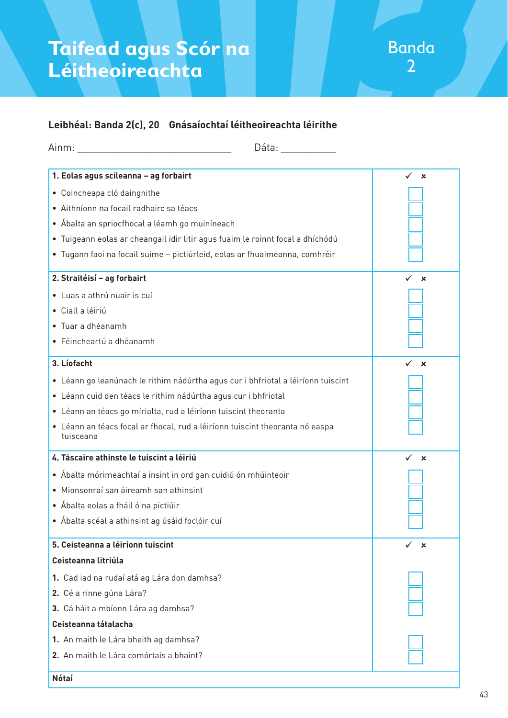### **Leibhéal: Banda 2(c), 20 Gnásaíochtaí léitheoireachta léirithe**

| Dáta: ________                                                                            |                                |
|-------------------------------------------------------------------------------------------|--------------------------------|
| 1. Eolas agus scileanna - ag forbairt                                                     | $\checkmark$<br>$\mathbf x$    |
| · Coincheapa cló daingnithe                                                               |                                |
| · Aithníonn na focail radhairc sa téacs                                                   |                                |
| • Ábalta an spriocfhocal a léamh go muiníneach                                            |                                |
| · Tuigeann eolas ar cheangail idir litir agus fuaim le roinnt focal a dhíchódú            |                                |
| · Tugann faoi na focail suime - pictiúrleid, eolas ar fhuaimeanna, comhréir               |                                |
| 2. Straitéisí - ag forbairt                                                               | $\mathbf x$                    |
| · Luas a athrú nuair is cuí                                                               |                                |
| · Ciall a léiriú                                                                          |                                |
| · Tuar a dhéanamh                                                                         |                                |
| · Féincheartú a dhéanamh                                                                  |                                |
| 3. Líofacht                                                                               | ×                              |
| · Léann go leanúnach le rithim nádúrtha agus cur i bhfriotal a léiríonn tuiscint          |                                |
| · Léann cuid den téacs le rithim nádúrtha agus cur i bhfriotal                            |                                |
| • Léann an téacs go mírialta, rud a léiríonn tuiscint theoranta                           |                                |
| • Léann an téacs focal ar fhocal, rud a léiríonn tuiscint theoranta nó easpa<br>tuisceana |                                |
| 4. Táscaire athinste le tuiscint a léiriú                                                 | ✓<br>$\boldsymbol{\mathsf{x}}$ |
| • Ábalta mórimeachtaí a insint in ord gan cuidiú ón mhúinteoir                            |                                |
| · Mionsonraí san áireamh san athinsint                                                    |                                |
| • Ábalta eolas a fháil ó na pictiúir                                                      |                                |
| $\bullet\,$ Ábalta scéal a athinsint ag úsáid foclóir cuí                                 |                                |
| 5. Ceisteanna a léiríonn tuiscint                                                         | $\boldsymbol{\mathsf{x}}$      |
| Ceisteanna litriúla                                                                       |                                |
| 1. Cad iad na rudaí atá ag Lára don damhsa?                                               |                                |
| 2. Cé a rinne gúna Lára?                                                                  |                                |
| 3. Cá háit a mbíonn Lára ag damhsa?                                                       |                                |
| Ceisteanna tátalacha                                                                      |                                |
| 1. An maith le Lára bheith ag damhsa?                                                     |                                |
| 2. An maith le Lára comórtais a bhaint?                                                   |                                |
| <b>Nótaí</b>                                                                              |                                |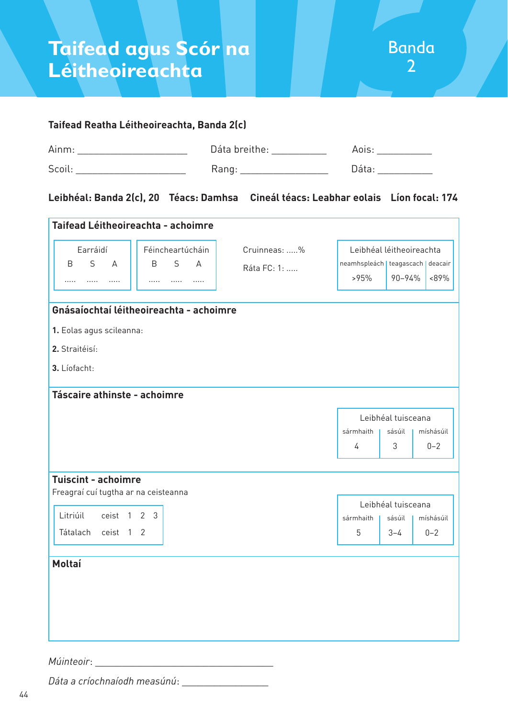

## **Taifead Reatha Léitheoireachta, Banda 2(c)** Ainm: \_\_\_\_\_\_\_\_\_\_\_\_\_\_\_\_\_\_\_\_\_\_\_\_\_\_\_ Dáta breithe: \_\_\_\_\_\_\_\_\_\_\_\_\_\_\_ Aois: \_\_\_\_\_\_\_\_\_\_\_ Scoil: \_\_\_\_\_\_\_\_\_\_\_\_\_\_\_\_\_\_\_\_ Rang: \_\_\_\_\_\_\_\_\_\_\_\_\_\_\_\_ Dáta: \_\_\_\_\_\_\_\_\_\_

#### **Leibhéal: Banda 2(c), 20 Téacs: Damhsa Cineál téacs: Leabhar eolais Líon focal: 174**

| Taifead Léitheoireachta - achoimre                                 |                                         |              |                                     |                    |           |
|--------------------------------------------------------------------|-----------------------------------------|--------------|-------------------------------------|--------------------|-----------|
| Earráidí                                                           | Féincheartúcháin                        | Cruinneas: % | Leibhéal léitheoireachta            |                    |           |
| S<br>$\overline{A}$<br>B                                           | S<br><sub>B</sub><br>$\Delta$           | Ráta FC: 1:  | neamhspleách   teagascach   deacair |                    |           |
| $\cdots$<br>.<br>.                                                 | .<br>$\cdots$<br>.                      |              | >95%                                | 90-94%             | <89%      |
|                                                                    | Gnásaíochtaí léitheoireachta - achoimre |              |                                     |                    |           |
| 1. Eolas agus scileanna:                                           |                                         |              |                                     |                    |           |
| 2. Straitéisí:                                                     |                                         |              |                                     |                    |           |
| 3. Líofacht:                                                       |                                         |              |                                     |                    |           |
|                                                                    |                                         |              |                                     |                    |           |
| Táscaire athinste - achoimre                                       |                                         |              |                                     |                    |           |
|                                                                    |                                         |              |                                     | Leibhéal tuisceana |           |
|                                                                    |                                         |              | sármhaith                           | sásúil             | míshásúil |
|                                                                    |                                         |              | 4                                   | 3                  | $0 - 2$   |
|                                                                    |                                         |              |                                     |                    |           |
| <b>Tuiscint - achoimre</b><br>Freagraí cuí tugtha ar na ceisteanna |                                         |              |                                     |                    |           |
|                                                                    |                                         |              |                                     | Leibhéal tuisceana |           |
| Litriúil<br>ceist 1 2 3                                            |                                         |              | sármhaith                           | sásúil             | míshásúil |
| ceist 1 2<br>Tátalach                                              |                                         |              | 5                                   | $3 - 4$            | $0 - 2$   |
|                                                                    |                                         |              |                                     |                    |           |
| <b>Moltaí</b>                                                      |                                         |              |                                     |                    |           |
|                                                                    |                                         |              |                                     |                    |           |
|                                                                    |                                         |              |                                     |                    |           |
|                                                                    |                                         |              |                                     |                    |           |
|                                                                    |                                         |              |                                     |                    |           |
|                                                                    |                                         |              |                                     |                    |           |

*Múinteoir*: \_\_\_\_\_\_\_\_\_\_\_\_\_\_\_\_\_\_\_\_\_\_\_\_\_\_\_\_\_\_\_\_\_

*Dáta a críochnaíodh measúnú*: \_\_\_\_\_\_\_\_\_\_\_\_\_\_\_\_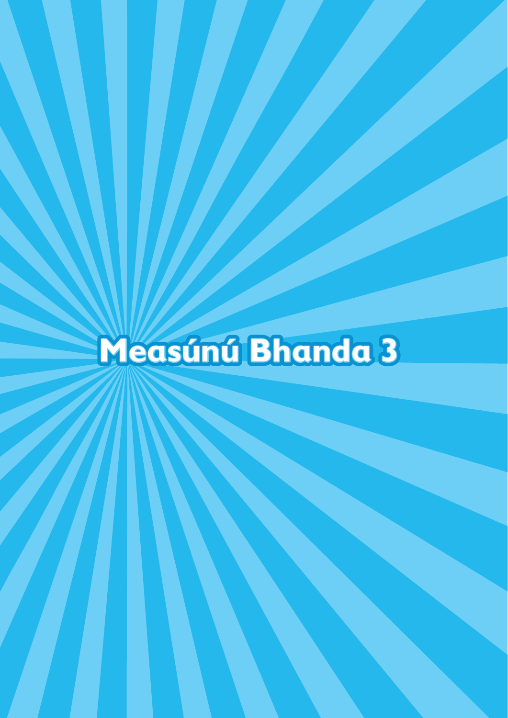# **Measúnú Bhanda 3**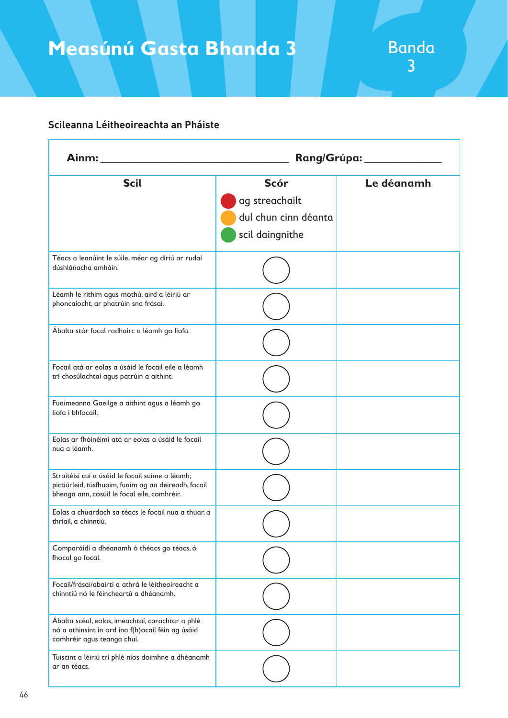## **Measúnú Gasta Bhanda 3**

#### **Scileanna Léitheoireachta an Pháiste**

| Ainm: Ainment and Ainment and Ainment and Ainment and Ainment and Ainment and Ainment and Ainment and Ainment and Ainment and Ainment and Ainment and Ainment and Ainment and Ainment and Ainment and Ainment and Ainment and |                                                                          | Rang/Grúpa:___________ |
|-------------------------------------------------------------------------------------------------------------------------------------------------------------------------------------------------------------------------------|--------------------------------------------------------------------------|------------------------|
| <b>Scil</b>                                                                                                                                                                                                                   | <b>Scór</b><br>ag streachailt<br>dul chun cinn déanta<br>scil daingnithe | Le déanamh             |
| Téacs a leanúint le súile, méar ag díriú ar rudaí<br>dúshlánacha amháin.                                                                                                                                                      |                                                                          |                        |
| Léamh le rithim agus mothú, aird a léiriú ar<br>phoncaíocht, ar phatrúin sna frásaí.                                                                                                                                          |                                                                          |                        |
| Ábalta stór focal radhairc a léamh go líofa.                                                                                                                                                                                  |                                                                          |                        |
| Focail atá ar eolas a úsáid le focail eile a léamh<br>trí chosúlachtaí agus patrúin a aithint.                                                                                                                                |                                                                          |                        |
| Fuaimeanna Gaeilge a aithint agus a léamh go<br>líofa i bhfocail.                                                                                                                                                             |                                                                          |                        |
| Eolas ar fhóinéimí atá ar eolas a úsáid le focail<br>nua a léamh.                                                                                                                                                             |                                                                          |                        |
| Straitéisí cuí a úsáid le focail suime a léamh;<br>pictiúrleid, túsfhuaim, fuaim ag an deireadh, focail<br>bheaga ann, cosúil le focal eile, comhréir.                                                                        |                                                                          |                        |
| Eolas a chuardach sa téacs le focail nua a thuar, a<br>thriail, a chinntiú.                                                                                                                                                   |                                                                          |                        |
| Comparáidí a dhéanamh ó théacs go téacs, ó<br>fhocal go focal.                                                                                                                                                                |                                                                          |                        |
| Focail/frásaí/abairtí a athrá le léitheoireacht a<br>chinntiú nó le féincheartú a dhéanamh.                                                                                                                                   |                                                                          |                        |
| Ábalta scéal, eolas, imeachtaí, carachtar a phlé<br>nó a athinsint in ord ina f(h)ocail féin ag úsáid<br>comhréir agus teanga chuí.                                                                                           |                                                                          |                        |
| Tuiscint a léiriú trí phlé níos doimhne a dhéanamh<br>ar an téacs.                                                                                                                                                            |                                                                          |                        |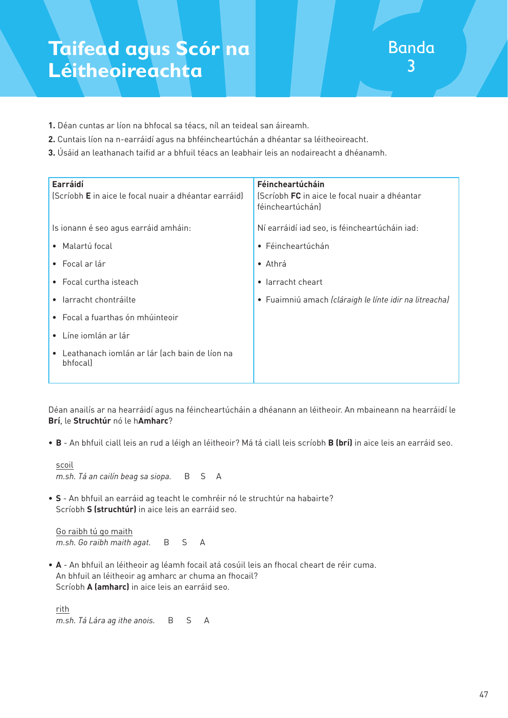- **1.** Déan cuntas ar líon na bhfocal sa téacs, níl an teideal san áireamh.
- **2.** Cuntais líon na n-earráidí agus na bhféincheartúchán a dhéantar sa léitheoireacht.
- **3.** Úsáid an leathanach taifid ar a bhfuil téacs an leabhair leis an nodaireacht a dhéanamh.

| Earráidí<br>(Scríobh E in aice le focal nuair a dhéantar earráid) | Féincheartúcháin<br>(Scríobh FC in aice le focal nuair a dhéantar<br>féincheartúchán) |
|-------------------------------------------------------------------|---------------------------------------------------------------------------------------|
| Is ionann é seo agus earráid amháin:                              | Ní earráidí iad seo, is féincheartúcháin iad:                                         |
| • Malartú focal                                                   | • Féincheartúchán                                                                     |
| $\bullet$ Focal ar lár                                            | $\bullet$ Athrá                                                                       |
| • Focal curtha isteach                                            | larracht cheart<br>$\bullet$                                                          |
| • larracht chontráilte                                            | • Fuaimniú amach (cláraigh le línte idir na litreacha)                                |
| • Focal a fuarthas ón mhúinteoir                                  |                                                                                       |
| $\bullet$ Líne iomlán ar lár                                      |                                                                                       |
| • Leathanach iomlán ar lár (ach bain de líon na<br>bhfocal)       |                                                                                       |

Déan anailís ar na hearráidí agus na féincheartúcháin a dhéanann an léitheoir. An mbaineann na hearráidí le **Brí**, le **Struchtúr** nó le h**Amharc**?

• **B** - An bhfuil ciall leis an rud a léigh an léitheoir? Má tá ciall leis scríobh **B (brí)** in aice leis an earráid seo.

 scoil *m.sh. Tá an cailín beag sa siopa.* B S A

• **S** - An bhfuil an earráid ag teacht le comhréir nó le struchtúr na habairte? Scríobh **S (struchtúr)** in aice leis an earráid seo.

 Go raibh tú go maith *m.sh. Go raibh maith agat.* B S A

• **A** - An bhfuil an léitheoir ag léamh focail atá cosúil leis an fhocal cheart de réir cuma. An bhfuil an léitheoir ag amharc ar chuma an fhocail? Scríobh **A (amharc)** in aice leis an earráid seo.

 rith *m.sh. Tá Lára ag ithe anois.* B S A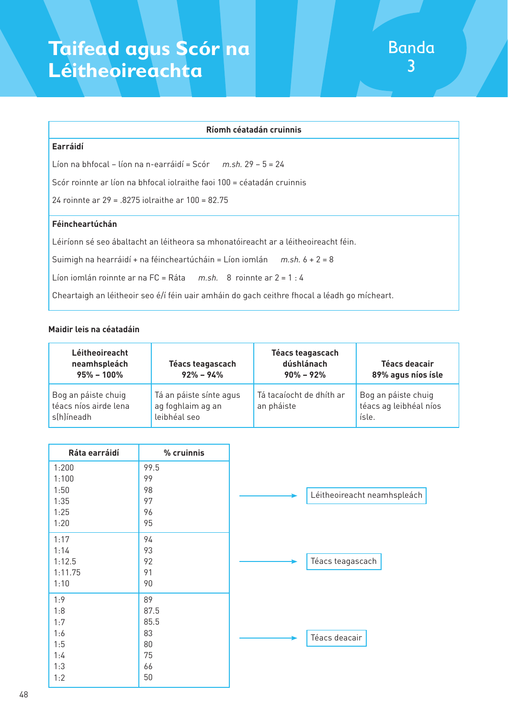#### **Ríomh céatadán cruinnis**

#### **Earráidí**

Líon na bhfocal – líon na n-earráidí = Scór *m.sh.* 29 – 5 = 24

Scór roinnte ar líon na bhfocal iolraithe faoi 100 = céatadán cruinnis

24 roinnte ar 29 = .8275 iolraithe ar 100 = 82.75

#### **Féincheartúchán**

Léiríonn sé seo ábaltacht an léitheora sa mhonatóireacht ar a léitheoireacht féin.

Suimigh na hearráidí + na féincheartúcháin = Líon iomlán *m.sh.* 6 + 2 = 8

Líon iomlán roinnte ar na FC = Ráta *m.sh.* 8 roinnte ar 2 = 1 : 4

Cheartaigh an léitheoir seo é/í féin uair amháin do gach ceithre fhocal a léadh go mícheart.

#### **Maidir leis na céatadáin**

| Léitheoireacht<br>neamhspleách<br>$95\% - 100\%$           | Téacs teagascach<br>$92\% - 94\%$                            | Téacs teagascach<br>dúshlánach<br>$90\% - 92\%$ | Téacs deacair<br>89% agus níos ísle                    |
|------------------------------------------------------------|--------------------------------------------------------------|-------------------------------------------------|--------------------------------------------------------|
| Bog an páiste chuig<br>téacs níos airde lena<br>s(h)íneadh | Tá an páiste sínte agus<br>ag foghlaim ag an<br>leibhéal seo | Tá tacaíocht de dhíth ar<br>an pháiste          | Bog an páiste chuig<br>téacs ag leibhéal níos<br>ísle. |

| Ráta earráidí | % cruinnis |  |
|---------------|------------|--|
| 1:200         | 99.5       |  |
| 1:100<br>1:50 | 99<br>98   |  |
| 1:35          | 97         |  |
| 1:25          | 96         |  |
| 1:20          | 95         |  |
| 1:17<br>1:14  | 94<br>93   |  |
| 1:12.5        | 92         |  |
| 1:11.75       | 91         |  |
| 1:10          | 90         |  |
| 1:9<br>1:8    | 89<br>87.5 |  |
| 1:7           | 85.5       |  |
| 1:6           | 83         |  |
| 1:5           | 80         |  |
| 1:4<br>1:3    | 75<br>66   |  |
| 1:2           | 50         |  |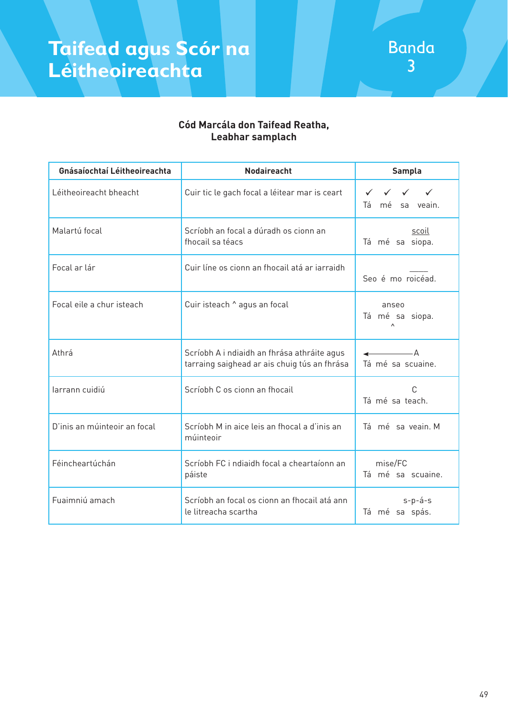

#### **Cód Marcála don Taifead Reatha, Leabhar samplach**

| Gnásaíochtaí Léitheoireachta | <b>Nodaireacht</b>                                                                          | <b>Sampla</b>                                                                                                            |
|------------------------------|---------------------------------------------------------------------------------------------|--------------------------------------------------------------------------------------------------------------------------|
| Léitheoireacht bheacht       | Cuir tic le gach focal a léitear mar is ceart                                               | $\checkmark$<br>$\checkmark$<br>$\checkmark$<br>mé sa veain.<br>Tá                                                       |
| Malartú focal                | Scríobh an focal a dúradh os cionn an<br>fhocail sa téacs                                   | scoil<br>Tá mé sa siopa.                                                                                                 |
| Focal ar lár                 | Cuir líne os cionn an fhocail atá ar iarraidh                                               | Seo é mo roicéad.                                                                                                        |
| Focal eile a chur isteach    | Cuir isteach ^ agus an focal                                                                | anseo<br>Tá mé sa siopa.<br>$\wedge$                                                                                     |
| Athrá                        | Scríobh A i ndiaidh an fhrása athráite agus<br>tarraing saighead ar ais chuig tús an fhrása | $\overline{\phantom{a}}$ $\overline{\phantom{a}}$ $\overline{\phantom{a}}$ $\overline{\phantom{a}}$<br>Tá mé sa scuaine. |
| larrann cuidiú               | Scríobh C os cionn an fhocail                                                               | C<br>Tá mé sa teach.                                                                                                     |
| D'inis an múinteoir an focal | Scríobh M in aice leis an fhocal a d'inis an<br>múinteoir                                   | Tá mé sa veain. M                                                                                                        |
| Féincheartúchán              | Scríobh FC i ndiaidh focal a cheartaíonn an<br>páiste                                       | mise/FC<br>Tá mé sa scuaine.                                                                                             |
| Fuaimniú amach               | Scríobh an focal os cionn an fhocail atá ann<br>le litreacha scartha                        | $s-p-\acute{a}-s$<br>Tá mé sa spás.                                                                                      |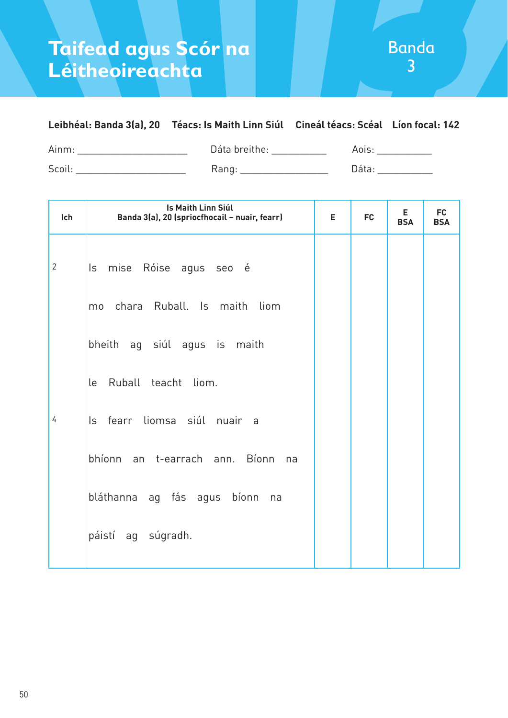### **Leibhéal: Banda 3(a), 20 Téacs: Is Maith Linn Siúl Cineál téacs: Scéal Líon focal: 142**

Ainm: \_\_\_\_\_\_\_\_\_\_\_\_\_\_\_\_\_\_\_\_\_\_\_\_\_ Dáta breithe: \_\_\_\_\_\_\_\_\_\_\_\_ Aois: \_\_\_\_\_\_\_\_\_\_\_\_\_\_\_ Scoil: \_\_\_\_\_\_\_\_\_\_\_\_\_\_\_\_\_\_\_\_ Rang: \_\_\_\_\_\_\_\_\_\_\_\_\_\_\_\_ Dáta: \_\_\_\_\_\_\_\_\_\_

| Ich            | Is Maith Linn Siúl<br>Banda 3(a), 20 (spriocfhocail - nuair, fearr) | E. | <b>FC</b> | E.<br><b>BSA</b> | <b>FC</b><br><b>BSA</b> |
|----------------|---------------------------------------------------------------------|----|-----------|------------------|-------------------------|
| $\overline{2}$ | Is mise Róise agus seo é                                            |    |           |                  |                         |
|                | chara Ruball. Is maith liom<br>mo                                   |    |           |                  |                         |
|                | bheith ag siúl agus is maith                                        |    |           |                  |                         |
|                | Ruball teacht liom.<br>le                                           |    |           |                  |                         |
| 4              | Is fearr liomsa siúl nuair a                                        |    |           |                  |                         |
|                | bhíonn an t-earrach ann. Bíonn na                                   |    |           |                  |                         |
|                | bláthanna ag fás agus bíonn na                                      |    |           |                  |                         |
|                | páistí ag súgradh.                                                  |    |           |                  |                         |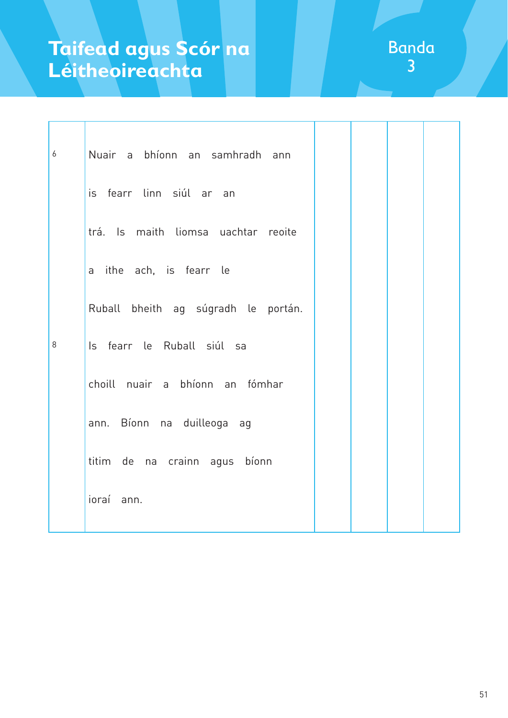| $\boldsymbol{6}$ | Nuair a bhíonn an samhradh<br>ann   |  |  |
|------------------|-------------------------------------|--|--|
|                  | is fearr linn siúl ar an            |  |  |
|                  | trá. Is maith liomsa uachtar reoite |  |  |
|                  | a ithe ach, is fearr le             |  |  |
|                  | Ruball bheith ag súgradh le portán. |  |  |
| 8                | Is fearr le Ruball siúl sa          |  |  |
|                  | choill nuair a bhíonn an fómhar     |  |  |
|                  | ann. Bíonn na duilleoga ag          |  |  |
|                  | titim de na crainn agus bíonn       |  |  |
|                  | ioraí<br>ann.                       |  |  |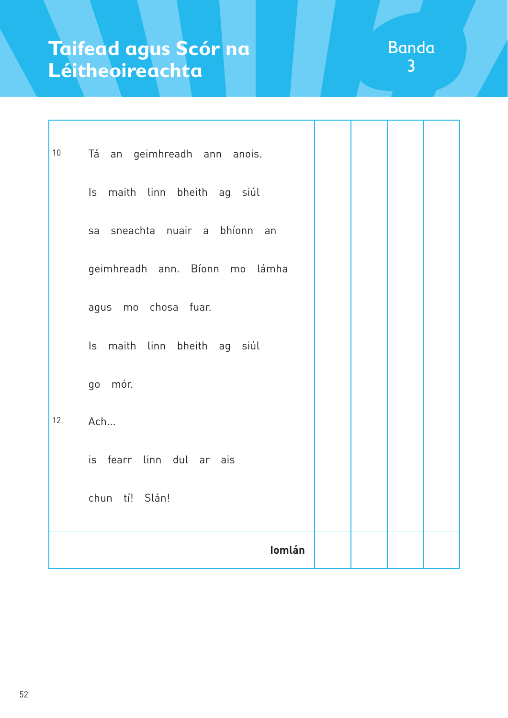| 10 | Tá an geimhreadh ann anois.    |  |  |
|----|--------------------------------|--|--|
|    | Is maith linn bheith ag siúl   |  |  |
|    | sa sneachta nuair a bhíonn an  |  |  |
|    | geimhreadh ann. Bíonn mo lámha |  |  |
|    | agus mo chosa fuar.            |  |  |
|    | Is maith linn bheith ag siúl   |  |  |
|    | go mór.                        |  |  |
| 12 | Ach                            |  |  |
|    | is fearr linn dul ar ais       |  |  |
|    | chun tí! Slán!                 |  |  |
|    | Iomlán                         |  |  |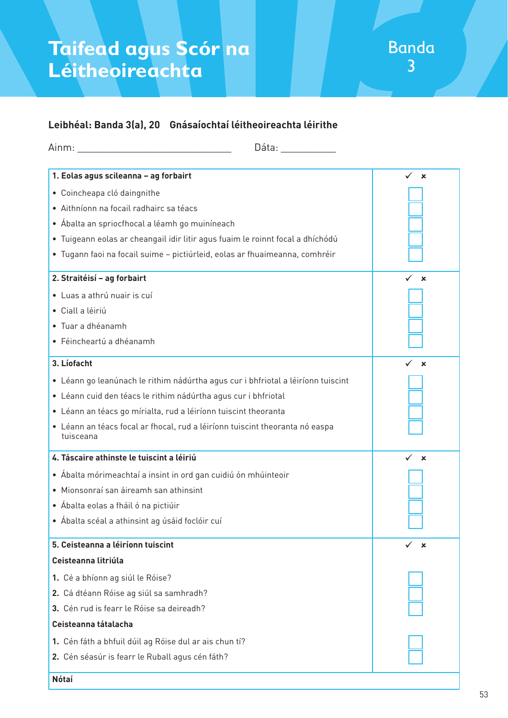### **Leibhéal: Banda 3(a), 20 Gnásaíochtaí léitheoireachta léirithe**

| Dáta: ________                                                                            |                             |
|-------------------------------------------------------------------------------------------|-----------------------------|
| 1. Eolas agus scileanna - ag forbairt                                                     | $\checkmark$<br>$\mathbf x$ |
| · Coincheapa cló daingnithe                                                               |                             |
| · Aithníonn na focail radhairc sa téacs                                                   |                             |
| • Ábalta an spriocfhocal a léamh go muiníneach                                            |                             |
| · Tuigeann eolas ar cheangail idir litir agus fuaim le roinnt focal a dhíchódú            |                             |
| · Tugann faoi na focail suime - pictiúrleid, eolas ar fhuaimeanna, comhréir               |                             |
| 2. Straitéisí - ag forbairt                                                               | $\mathbf x$                 |
| · Luas a athrú nuair is cuí                                                               |                             |
| · Ciall a léiriú                                                                          |                             |
| · Tuar a dhéanamh                                                                         |                             |
| · Féincheartú a dhéanamh                                                                  |                             |
| 3. Líofacht                                                                               | ×                           |
| · Léann go leanúnach le rithim nádúrtha agus cur i bhfriotal a léiríonn tuiscint          |                             |
| · Léann cuid den téacs le rithim nádúrtha agus cur i bhfriotal                            |                             |
| • Léann an téacs go mírialta, rud a léiríonn tuiscint theoranta                           |                             |
| • Léann an téacs focal ar fhocal, rud a léiríonn tuiscint theoranta nó easpa<br>tuisceana |                             |
| 4. Táscaire athinste le tuiscint a léiriú                                                 | ✓<br>$\mathbf x$            |
| • Ábalta mórimeachtaí a insint in ord gan cuidiú ón mhúinteoir                            |                             |
| · Mionsonraí san áireamh san athinsint                                                    |                             |
| • Ábalta eolas a fháil ó na pictiúir                                                      |                             |
| • Ábalta scéal a athinsint ag úsáid foclóir cuí                                           |                             |
| 5. Ceisteanna a léiríonn tuiscint                                                         | ×                           |
| Ceisteanna litriúla                                                                       |                             |
| 1. Cé a bhíonn ag siúl le Róise?                                                          |                             |
| 2. Cá dtéann Róise ag siúl sa samhradh?                                                   |                             |
| 3. Cén rud is fearr le Róise sa deireadh?                                                 |                             |
| Ceisteanna tátalacha                                                                      |                             |
| 1. Cén fáth a bhfuil dúil ag Róise dul ar ais chun tí?                                    |                             |
| 2. Cén séasúr is fearr le Ruball agus cén fáth?                                           |                             |
| <b>Nótaí</b>                                                                              |                             |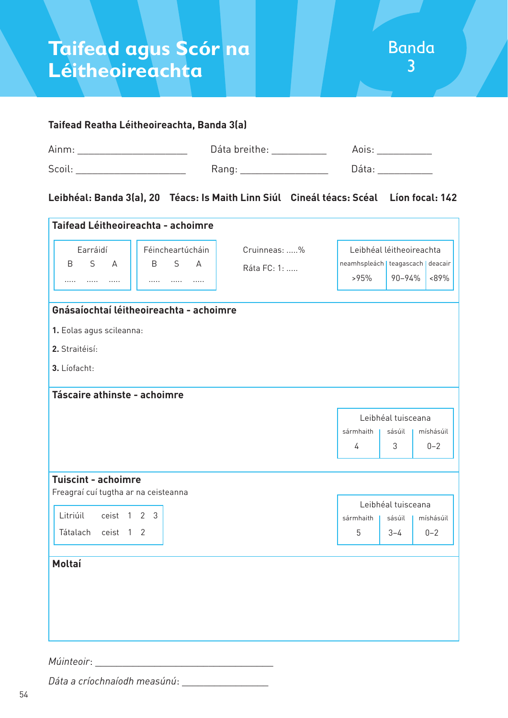

#### **Taifead Reatha Léitheoireachta, Banda 3(a)**

| Ainm   | Dáta breithe: |     |
|--------|---------------|-----|
| Scoil: | Kang          | اذا |

#### **Leibhéal: Banda 3(a), 20 Téacs: Is Maith Linn Siúl Cineál téacs: Scéal Líon focal: 142**

| Taifead Léitheoireachta - achoimre                                 |                                         |              |                                     |                    |           |  |
|--------------------------------------------------------------------|-----------------------------------------|--------------|-------------------------------------|--------------------|-----------|--|
| Earráidí                                                           | Féincheartúcháin                        | Cruinneas: % | Leibhéal léitheoireachta            |                    |           |  |
| S<br>$\overline{A}$<br>B                                           | S<br><sub>B</sub><br>$\Delta$           | Ráta FC: 1:  | neamhspleách   teagascach   deacair |                    |           |  |
| $\cdots$<br>.<br>.                                                 | .<br>$\cdots$<br>.                      |              | >95%                                | 90-94%             | <89%      |  |
|                                                                    | Gnásaíochtaí léitheoireachta - achoimre |              |                                     |                    |           |  |
| 1. Eolas agus scileanna:                                           |                                         |              |                                     |                    |           |  |
| 2. Straitéisí:                                                     |                                         |              |                                     |                    |           |  |
| 3. Líofacht:                                                       |                                         |              |                                     |                    |           |  |
|                                                                    |                                         |              |                                     |                    |           |  |
| Táscaire athinste - achoimre                                       |                                         |              |                                     |                    |           |  |
|                                                                    |                                         |              |                                     | Leibhéal tuisceana |           |  |
|                                                                    |                                         |              | sármhaith                           | sásúil             | míshásúil |  |
|                                                                    |                                         |              | 4                                   | 3                  | $0 - 2$   |  |
|                                                                    |                                         |              |                                     |                    |           |  |
| <b>Tuiscint - achoimre</b><br>Freagraí cuí tugtha ar na ceisteanna |                                         |              |                                     |                    |           |  |
|                                                                    |                                         |              |                                     | Leibhéal tuisceana |           |  |
| Litriúil<br>ceist 1 2 3                                            |                                         |              | sármhaith                           | sásúil             | míshásúil |  |
| ceist 1 2<br>Tátalach                                              |                                         |              | 5                                   | $3 - 4$            | $0 - 2$   |  |
|                                                                    |                                         |              |                                     |                    |           |  |
| <b>Moltaí</b>                                                      |                                         |              |                                     |                    |           |  |
|                                                                    |                                         |              |                                     |                    |           |  |
|                                                                    |                                         |              |                                     |                    |           |  |
|                                                                    |                                         |              |                                     |                    |           |  |
|                                                                    |                                         |              |                                     |                    |           |  |
|                                                                    |                                         |              |                                     |                    |           |  |

*Múinteoir*: \_\_\_\_\_\_\_\_\_\_\_\_\_\_\_\_\_\_\_\_\_\_\_\_\_\_\_\_\_\_\_\_\_

*Dáta a críochnaíodh measúnú*: \_\_\_\_\_\_\_\_\_\_\_\_\_\_\_\_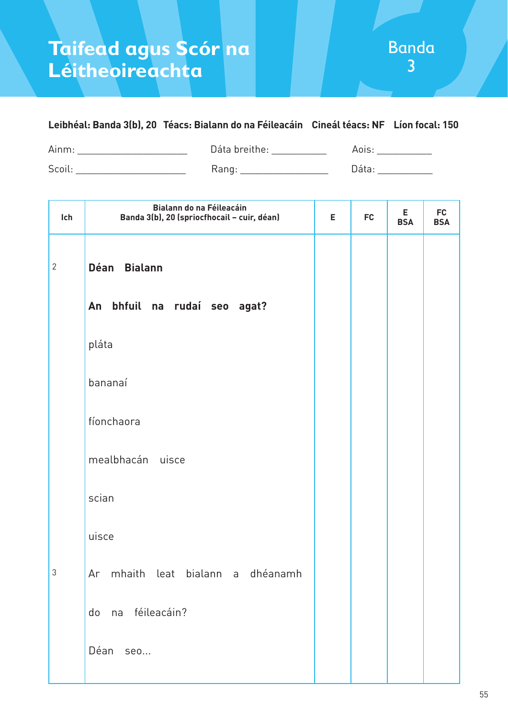### **Leibhéal: Banda 3(b), 20 Téacs: Bialann do na Féileacáin Cineál téacs: NF Líon focal: 150**

Ainm: \_\_\_\_\_\_\_\_\_\_\_\_\_\_\_\_\_\_\_\_\_\_\_\_\_\_\_\_ Dáta breithe: \_\_\_\_\_\_\_\_\_\_\_\_\_\_\_\_\_ Aois: \_\_\_\_\_\_\_\_\_\_\_\_\_ Scoil: \_\_\_\_\_\_\_\_\_\_\_\_\_\_\_\_\_\_\_\_ Rang: \_\_\_\_\_\_\_\_\_\_\_\_\_\_\_\_ Dáta: \_\_\_\_\_\_\_\_\_\_

| Ich          | Bialann do na Féileacáin<br>Banda 3(b), 20 (spriocfhocail - cuir, déan) | E | <b>FC</b> | Е<br><b>BSA</b> | <b>FC</b><br><b>BSA</b> |
|--------------|-------------------------------------------------------------------------|---|-----------|-----------------|-------------------------|
| $\mathbf{2}$ | Déan Bialann                                                            |   |           |                 |                         |
|              | bhfuil na rudaí seo agat?<br>An                                         |   |           |                 |                         |
|              | pláta                                                                   |   |           |                 |                         |
|              | bananaí                                                                 |   |           |                 |                         |
|              | fíonchaora                                                              |   |           |                 |                         |
|              | mealbhacán uisce                                                        |   |           |                 |                         |
|              | scian                                                                   |   |           |                 |                         |
|              | uisce                                                                   |   |           |                 |                         |
| $\sqrt{3}$   | mhaith leat bialann a dhéanamh<br>Ar                                    |   |           |                 |                         |
|              | na féileacáin?<br>do                                                    |   |           |                 |                         |
|              | Déan<br>seo                                                             |   |           |                 |                         |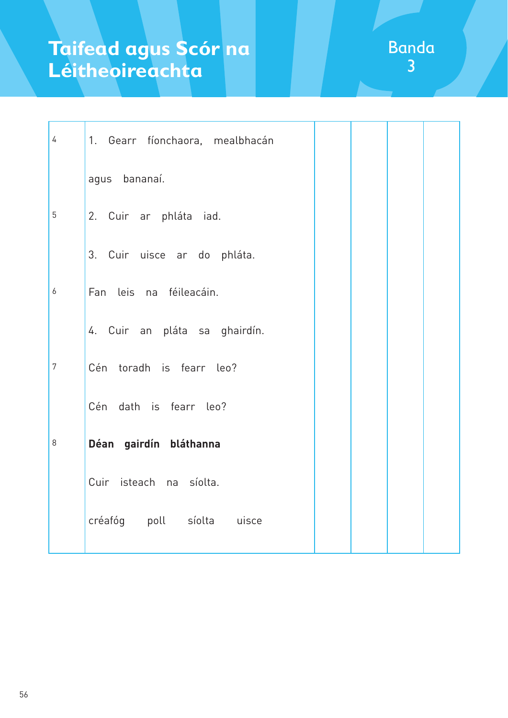| $\overline{4}$   | 1. Gearr fíonchaora, mealbhacán |  |  |
|------------------|---------------------------------|--|--|
|                  | agus bananaí.                   |  |  |
| 5                | 2. Cuir ar phláta iad.          |  |  |
|                  | 3. Cuir uisce ar do phláta.     |  |  |
| $\boldsymbol{6}$ | Fan leis na féileacáin.         |  |  |
|                  | 4. Cuir an pláta sa ghairdín.   |  |  |
| $\overline{7}$   | Cén toradh is fearr leo?        |  |  |
|                  | Cén dath is fearr leo?          |  |  |
| 8                | Déan gairdín bláthanna          |  |  |
|                  | Cuir isteach na síolta.         |  |  |
|                  | créafóg poll síolta uisce       |  |  |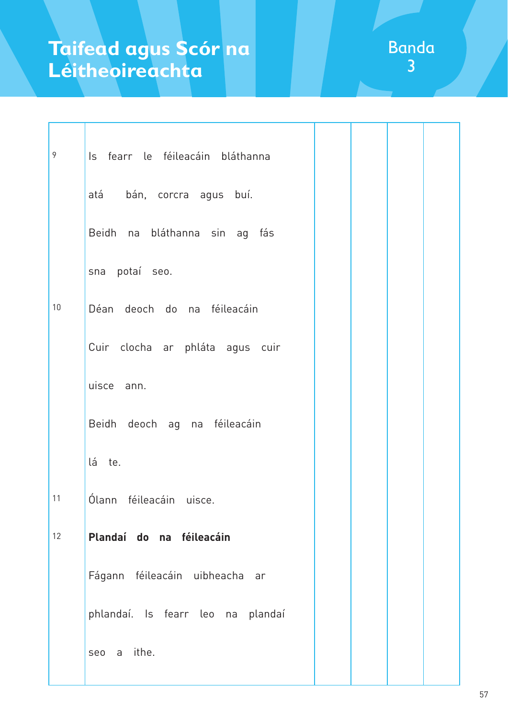| 9  | Is fearr le féileacáin bláthanna  |  |  |
|----|-----------------------------------|--|--|
|    | atá bán, corcra agus buí.         |  |  |
|    | Beidh na bláthanna sin ag fás     |  |  |
|    | sna potaí seo.                    |  |  |
| 10 | Déan deoch do na féileacáin       |  |  |
|    | Cuir clocha ar phláta agus cuir   |  |  |
|    | uisce ann.                        |  |  |
|    | Beidh deoch ag na féileacáin      |  |  |
|    | lá te.                            |  |  |
| 11 | Ólann féileacáin uisce.           |  |  |
| 12 | Plandaí do na féileacáin          |  |  |
|    | Fágann féileacáin uibheacha ar    |  |  |
|    | phlandaí. Is fearr leo na plandaí |  |  |
|    | seo a ithe.                       |  |  |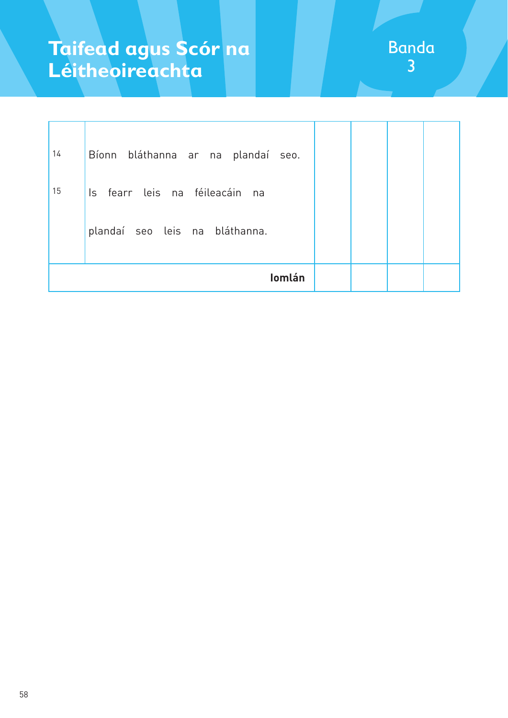| 14 | Bíonn bláthanna ar na plandaí seo. |  |  |
|----|------------------------------------|--|--|
| 15 | Is fearr leis na féileacáin na     |  |  |
|    | plandaí seo leis na bláthanna.     |  |  |
|    | Iomlán                             |  |  |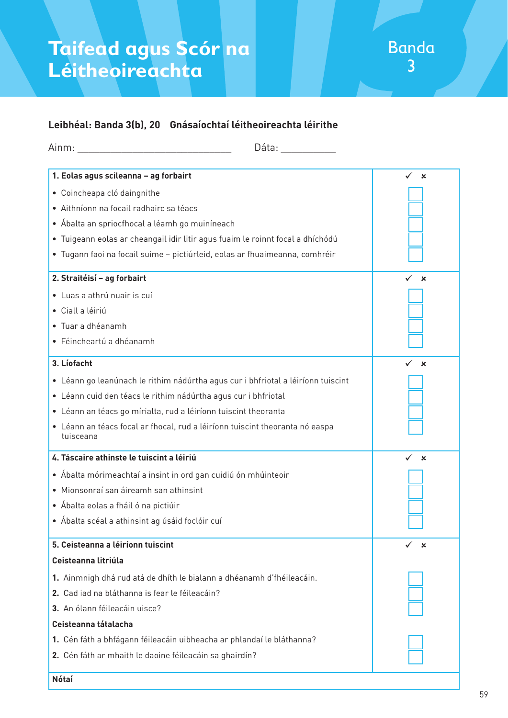### **Leibhéal: Banda 3(b), 20 Gnásaíochtaí léitheoireachta léirithe**

| Dáta: and a controller and a controller and a controller and a controller and a controller and a controller and a controller and a controller and a controller and a controller and a controller and a controller and a contro |                                |
|--------------------------------------------------------------------------------------------------------------------------------------------------------------------------------------------------------------------------------|--------------------------------|
| 1. Eolas agus scileanna - ag forbairt                                                                                                                                                                                          | $\checkmark$<br>$\mathbf x$    |
| · Coincheapa cló daingnithe                                                                                                                                                                                                    |                                |
| · Aithníonn na focail radhairc sa téacs                                                                                                                                                                                        |                                |
| • Ábalta an spriocfhocal a léamh go muiníneach                                                                                                                                                                                 |                                |
| · Tuigeann eolas ar cheangail idir litir agus fuaim le roinnt focal a dhíchódú                                                                                                                                                 |                                |
| · Tugann faoi na focail suime - pictiúrleid, eolas ar fhuaimeanna, comhréir                                                                                                                                                    |                                |
| 2. Straitéisí - ag forbairt                                                                                                                                                                                                    | ×                              |
| · Luas a athrú nuair is cuí                                                                                                                                                                                                    |                                |
| · Ciall a léiriú                                                                                                                                                                                                               |                                |
| • Tuar a dhéanamh                                                                                                                                                                                                              |                                |
| · Féincheartú a dhéanamh                                                                                                                                                                                                       |                                |
| 3. Líofacht                                                                                                                                                                                                                    | ×                              |
| · Léann go leanúnach le rithim nádúrtha agus cur i bhfriotal a léiríonn tuiscint                                                                                                                                               |                                |
| · Léann cuid den téacs le rithim nádúrtha agus cur i bhfriotal                                                                                                                                                                 |                                |
| • Léann an téacs go mírialta, rud a léiríonn tuiscint theoranta                                                                                                                                                                |                                |
| • Léann an téacs focal ar fhocal, rud a léiríonn tuiscint theoranta nó easpa<br>tuisceana                                                                                                                                      |                                |
| 4. Táscaire athinste le tuiscint a léiriú                                                                                                                                                                                      | ✓<br>$\boldsymbol{\mathsf{x}}$ |
| • Ábalta mórimeachtaí a insint in ord gan cuidiú ón mhúinteoir                                                                                                                                                                 |                                |
| · Mionsonraí san áireamh san athinsint                                                                                                                                                                                         |                                |
| • Ábalta eolas a fháil ó na pictiúir                                                                                                                                                                                           |                                |
| • Ábalta scéal a athinsint ag úsáid foclóir cuí                                                                                                                                                                                |                                |
| 5. Ceisteanna a léiríonn tuiscint                                                                                                                                                                                              | $\boldsymbol{\mathsf{x}}$      |
| Ceisteanna litriúla                                                                                                                                                                                                            |                                |
| 1. Ainmnigh dhá rud atá de dhíth le bialann a dhéanamh d'fhéileacáin.                                                                                                                                                          |                                |
| 2. Cad iad na bláthanna is fear le féileacáin?                                                                                                                                                                                 |                                |
| 3. An ólann féileacáin uisce?                                                                                                                                                                                                  |                                |
| Ceisteanna tátalacha                                                                                                                                                                                                           |                                |
| 1. Cén fáth a bhfágann féileacáin uibheacha ar phlandaí le bláthanna?                                                                                                                                                          |                                |
| 2. Cén fáth ar mhaith le daoine féileacáin sa ghairdín?                                                                                                                                                                        |                                |
| <b>Nótaí</b>                                                                                                                                                                                                                   |                                |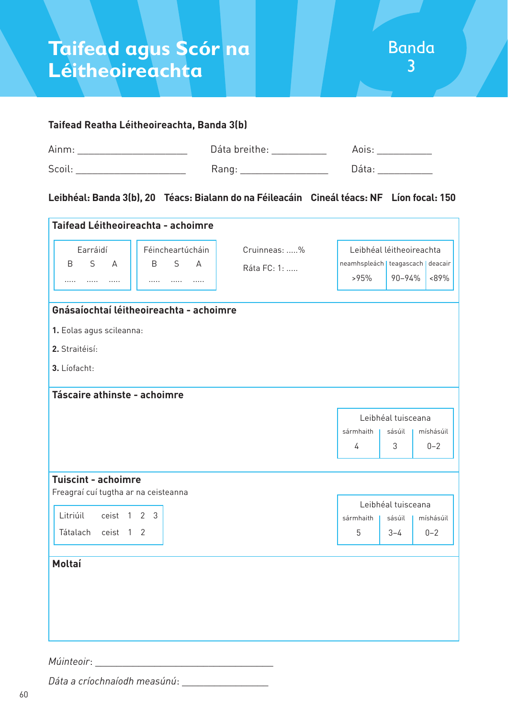

#### **Taifead Reatha Léitheoireachta, Banda 3(b)**

| Ainm: | Dáta breithe: |       |
|-------|---------------|-------|
| Scoil | Rang          | าล์†ล |

### **Leibhéal: Banda 3(b), 20 Téacs: Bialann do na Féileacáin Cineál téacs: NF Líon focal: 150**

| Earráidí<br>Féincheartúcháin                                       | Cruinneas: % |                                     | Leibhéal léitheoireachta |           |
|--------------------------------------------------------------------|--------------|-------------------------------------|--------------------------|-----------|
| S<br>S<br><sub>B</sub><br>$\overline{A}$<br>B<br>$\overline{A}$    |              | neamhspleách   teagascach   deacair |                          |           |
| $\cdots$<br>.<br>.<br>.<br>.<br>$\cdots$                           | Ráta FC: 1:  | >95%                                | 90-94%                   | <89%      |
|                                                                    |              |                                     |                          |           |
| Gnásaíochtaí léitheoireachta - achoimre                            |              |                                     |                          |           |
| 1. Eolas agus scileanna:                                           |              |                                     |                          |           |
| 2. Straitéisí:                                                     |              |                                     |                          |           |
| 3. Líofacht:                                                       |              |                                     |                          |           |
| Táscaire athinste - achoimre                                       |              |                                     |                          |           |
|                                                                    |              |                                     |                          |           |
|                                                                    |              |                                     | Leibhéal tuisceana       |           |
|                                                                    |              | sármhaith                           | sásúil                   | míshásúil |
|                                                                    |              | 4                                   | 3                        | $0 - 2$   |
|                                                                    |              |                                     |                          |           |
| <b>Tuiscint - achoimre</b><br>Freagraí cuí tugtha ar na ceisteanna |              |                                     |                          |           |
|                                                                    |              |                                     | Leibhéal tuisceana       |           |
| Litriúil<br>ceist 1<br>2 <sub>3</sub>                              |              | sármhaith I                         | sásúil I                 | míshásúil |
| Tátalach ceist 1 2                                                 |              | 5                                   | $3 - 4$                  | $0 - 2$   |
|                                                                    |              |                                     |                          |           |
| Moltaí                                                             |              |                                     |                          |           |
|                                                                    |              |                                     |                          |           |
|                                                                    |              |                                     |                          |           |
|                                                                    |              |                                     |                          |           |
|                                                                    |              |                                     |                          |           |

*Múinteoir*: \_

*Dáta a críochnaíodh measúnú*: \_\_\_\_\_\_\_\_\_\_\_\_\_\_\_\_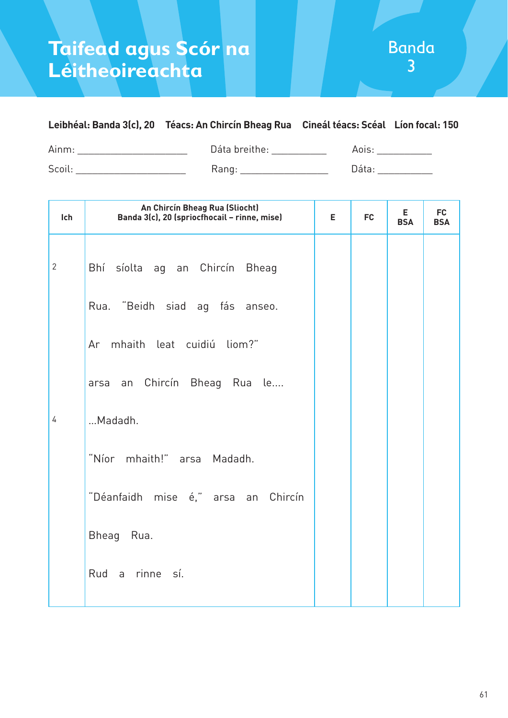## **Leibhéal: Banda 3(c), 20 Téacs: An Chircín Bheag Rua Cineál téacs: Scéal Líon focal: 150**

Ainm: \_\_\_\_\_\_\_\_\_\_\_\_\_\_\_\_\_\_\_\_\_\_\_\_\_ Dáta breithe: \_\_\_\_\_\_\_\_\_\_\_\_ Aois: \_\_\_\_\_\_\_\_\_\_\_\_\_\_\_ Scoil: \_\_\_\_\_\_\_\_\_\_\_\_\_\_\_\_\_\_\_\_ Rang: \_\_\_\_\_\_\_\_\_\_\_\_\_\_\_\_ Dáta: \_\_\_\_\_\_\_\_\_\_

| Ich            | An Chircín Bheag Rua (Sliocht)<br>Banda 3(c), 20 (spriocfhocail - rinne, mise) | Е | <b>FC</b> | E.<br><b>BSA</b> | <b>FC</b><br><b>BSA</b> |
|----------------|--------------------------------------------------------------------------------|---|-----------|------------------|-------------------------|
| $\overline{2}$ | Bhí síolta ag an Chircín Bheag                                                 |   |           |                  |                         |
|                | Rua. "Beidh siad ag fás anseo.                                                 |   |           |                  |                         |
|                | Ar mhaith leat cuidiú liom?"                                                   |   |           |                  |                         |
|                | arsa an Chircín Bheag Rua le                                                   |   |           |                  |                         |
| 4              | Madadh.                                                                        |   |           |                  |                         |
|                | "Níor mhaith!" arsa Madadh.                                                    |   |           |                  |                         |
|                | "Déanfaidh mise é," arsa an Chircín                                            |   |           |                  |                         |
|                | Bheag Rua.                                                                     |   |           |                  |                         |
|                | Rud a rinne sí.                                                                |   |           |                  |                         |
|                |                                                                                |   |           |                  |                         |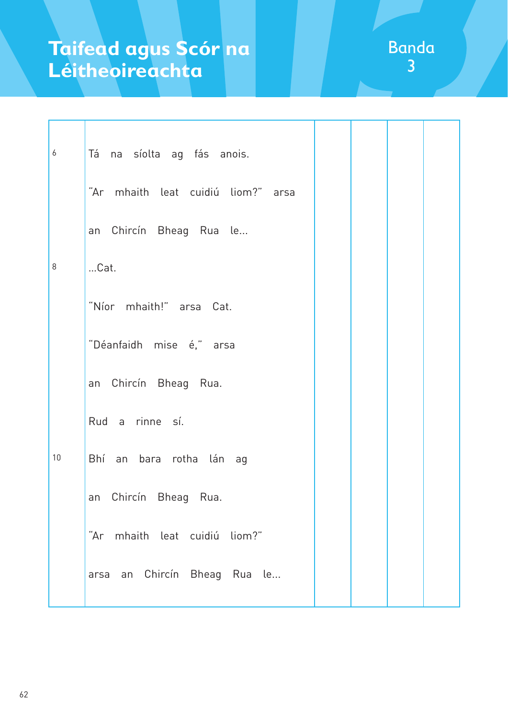| 6  | Tá na síolta ag fás anois.         |  |  |  |  |  |
|----|------------------------------------|--|--|--|--|--|
|    | "Ar mhaith leat cuidiú liom?" arsa |  |  |  |  |  |
|    | an Chircín Bheag Rua le            |  |  |  |  |  |
| 8  | Cat.                               |  |  |  |  |  |
|    | "Níor mhaith!" arsa Cat.           |  |  |  |  |  |
|    | "Déanfaidh mise é," arsa           |  |  |  |  |  |
|    | an Chircín Bheag Rua.              |  |  |  |  |  |
|    | Rud a rinne sí.                    |  |  |  |  |  |
| 10 | Bhí an bara rotha lán ag           |  |  |  |  |  |
|    | an Chircín Bheag Rua.              |  |  |  |  |  |
|    | "Ar mhaith leat cuidiú liom?"      |  |  |  |  |  |
|    | arsa an Chircín Bheag Rua le       |  |  |  |  |  |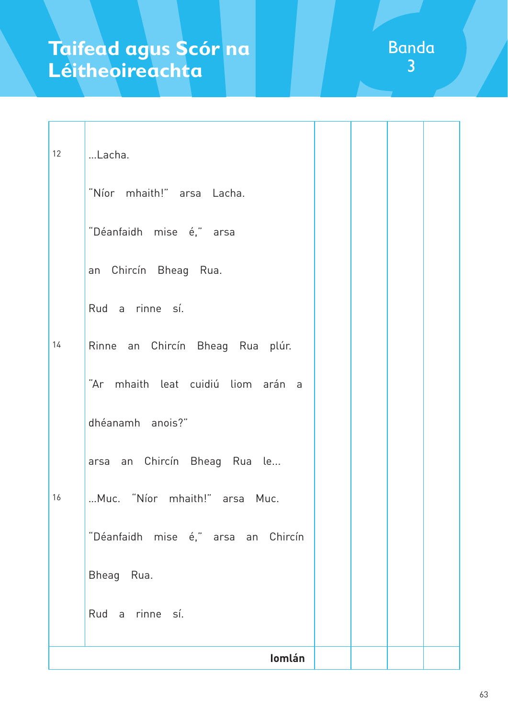| 12 | Lacha.                              |  |  |
|----|-------------------------------------|--|--|
|    | "Níor mhaith!" arsa Lacha.          |  |  |
|    | "Déanfaidh mise é," arsa            |  |  |
|    | an Chircín Bheag Rua.               |  |  |
|    | Rud a rinne sí.                     |  |  |
| 14 | Rinne an Chircín Bheag Rua plúr.    |  |  |
|    | "Ar mhaith leat cuidiú liom arán a  |  |  |
|    | dhéanamh anois?"                    |  |  |
|    | arsa an Chircín Bheag Rua le        |  |  |
| 16 | Muc. "Níor mhaith!" arsa Muc.       |  |  |
|    | "Déanfaidh mise é," arsa an Chircín |  |  |
|    | Bheag Rua.                          |  |  |
|    | Rud a rinne sí.                     |  |  |
|    | Iomlán                              |  |  |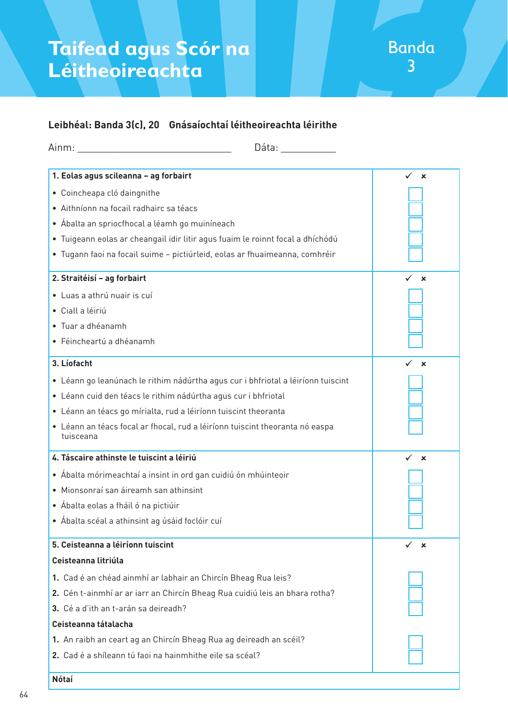### **Leibhéal: Banda 3(c), 20 Gnásaíochtaí léitheoireachta léirithe**

| Dáta: ___________                                                                         |             |
|-------------------------------------------------------------------------------------------|-------------|
| 1. Eolas agus scileanna - ag forbairt                                                     | $\mathbf x$ |
| · Coincheapa cló daingnithe                                                               |             |
| · Aithníonn na focail radhairc sa téacs                                                   |             |
| • Ábalta an spriocfhocal a léamh go muiníneach                                            |             |
| · Tuigeann eolas ar cheangail idir litir agus fuaim le roinnt focal a dhíchódú            |             |
| · Tugann faoi na focail suime - pictiúrleid, eolas ar fhuaimeanna, comhréir               |             |
| 2. Straitéisí - ag forbairt                                                               | $\mathbf x$ |
| · Luas a athrú nuair is cuí                                                               |             |
| · Ciall a léiriú                                                                          |             |
| • Tuar a dhéanamh                                                                         |             |
| · Féincheartú a dhéanamh                                                                  |             |
| 3. Líofacht                                                                               | $\mathbf x$ |
| · Léann go leanúnach le rithim nádúrtha agus cur i bhfriotal a léiríonn tuiscint          |             |
| · Léann cuid den téacs le rithim nádúrtha agus cur i bhfriotal                            |             |
| • Léann an téacs go mírialta, rud a léiríonn tuiscint theoranta                           |             |
| · Léann an téacs focal ar fhocal, rud a léiríonn tuiscint theoranta nó easpa<br>tuisceana |             |
| 4. Táscaire athinste le tuiscint a léiriú                                                 | $\mathbf x$ |
| • Ábalta mórimeachtaí a insint in ord gan cuidiú ón mhúinteoir                            |             |
| · Mionsonraí san áireamh san athinsint                                                    |             |
| • Ábalta eolas a fháil ó na pictiúir                                                      |             |
| • Ábalta scéal a athinsint ag úsáid foclóir cuí                                           |             |
| 5. Ceisteanna a léiríonn tuiscint                                                         | ×           |
| Ceisteanna litriúla                                                                       |             |
| 1. Cad é an chéad ainmhí ar labhair an Chircín Bheag Rua leis?                            |             |
| 2. Cén t-ainmhí ar ar iarr an Chircín Bheag Rua cuidiú leis an bhara rotha?               |             |
| 3. Cé a d'ith an t-arán sa deireadh?                                                      |             |
| Ceisteanna tátalacha                                                                      |             |
| 1. An raibh an ceart ag an Chircín Bheag Rua ag deireadh an scéil?                        |             |
| 2. Cad é a shíleann tú faoi na hainmhithe eile sa scéal?                                  |             |
| Nótaí                                                                                     |             |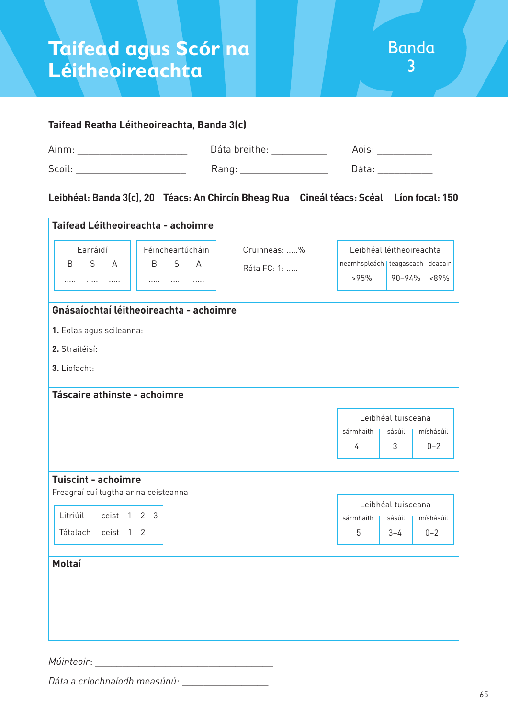#### **Taifead Reatha Léitheoireachta, Banda 3(c)**

| Ainm  | Dáta breithe: |  |
|-------|---------------|--|
| Scoil | 7di il        |  |

#### **Leibhéal: Banda 3(c), 20 Téacs: An Chircín Bheag Rua****Cineál téacs: Scéal Líon focal: 150**

| Taifead Léitheoireachta - achoimre   |                                         |              |                                     |                    |           |
|--------------------------------------|-----------------------------------------|--------------|-------------------------------------|--------------------|-----------|
| Earráidí                             | Féincheartúcháin                        | Cruinneas: % | Leibhéal léitheoireachta            |                    |           |
| $\mathsf{S}$<br>B<br>$\overline{A}$  | S<br>B<br>$\Delta$                      | Ráta FC: 1:  | neamhspleách   teagascach   deacair |                    |           |
| $\cdots$<br>.<br>.                   | .<br>.<br>                              |              | >95%                                | 90-94%             | <89%      |
|                                      | Gnásaíochtaí léitheoireachta - achoimre |              |                                     |                    |           |
|                                      |                                         |              |                                     |                    |           |
| 1. Eolas agus scileanna:             |                                         |              |                                     |                    |           |
| 2. Straitéisí:                       |                                         |              |                                     |                    |           |
| 3. Líofacht:                         |                                         |              |                                     |                    |           |
|                                      |                                         |              |                                     |                    |           |
| Táscaire athinste - achoimre         |                                         |              |                                     |                    |           |
|                                      |                                         |              |                                     | Leibhéal tuisceana |           |
|                                      |                                         |              | sármhaith                           | sásúil             | míshásúil |
|                                      |                                         |              | 4                                   | 3                  | $0 - 2$   |
|                                      |                                         |              |                                     |                    |           |
| <b>Tuiscint - achoimre</b>           |                                         |              |                                     |                    |           |
| Freagraí cuí tugtha ar na ceisteanna |                                         |              |                                     | Leibhéal tuisceana |           |
| Litriúil<br>ceist 1 2 3              |                                         |              | sármhaith                           | sásúil             | míshásúil |
| Tátalach<br>ceist 1 2                |                                         |              | 5                                   | $3 - 4$            | $0 - 2$   |
|                                      |                                         |              |                                     |                    |           |
| Moltaí                               |                                         |              |                                     |                    |           |
|                                      |                                         |              |                                     |                    |           |
|                                      |                                         |              |                                     |                    |           |
|                                      |                                         |              |                                     |                    |           |
|                                      |                                         |              |                                     |                    |           |
|                                      |                                         |              |                                     |                    |           |

*Múinteoir*: \_\_\_\_\_\_\_\_\_\_\_\_\_\_\_\_\_\_\_\_\_\_\_\_\_\_\_\_\_\_\_\_\_

*Dáta a críochnaíodh measúnú*: \_\_\_\_\_\_\_\_\_\_\_\_\_\_\_\_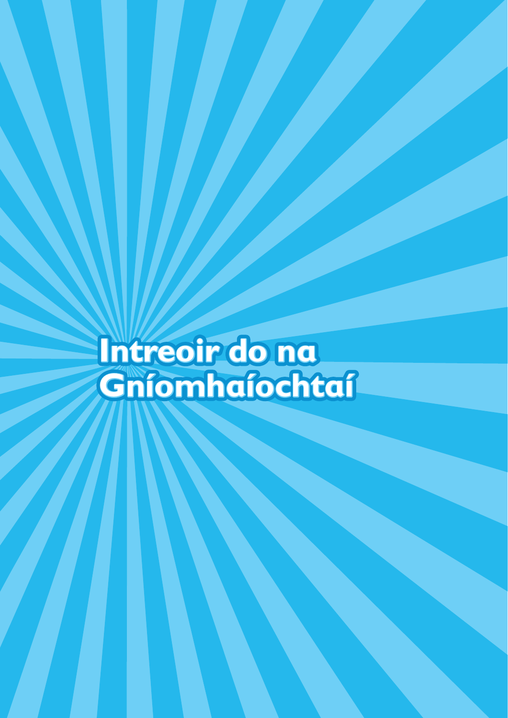**Intreoir do na Gníomhaíochtaí**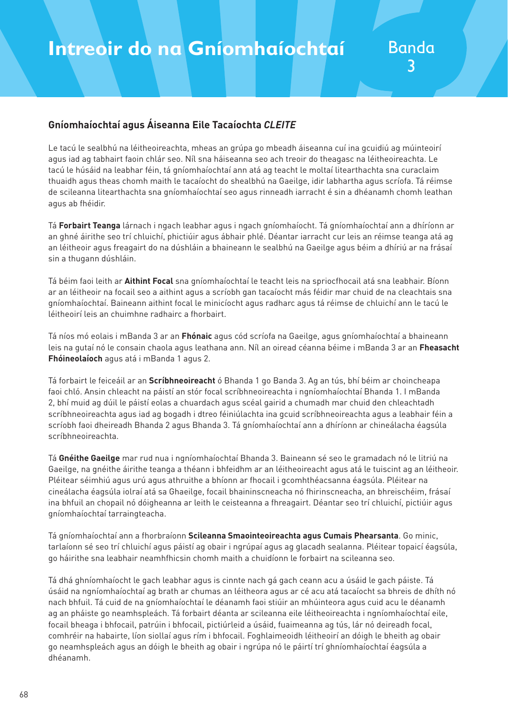#### **Gníomhaíochtaí agus Áiseanna Eile Tacaíochta** *CLEITE*

Le tacú le sealbhú na léitheoireachta, mheas an grúpa go mbeadh áiseanna cuí ina gcuidiú ag múinteoirí agus iad ag tabhairt faoin chlár seo. Níl sna háiseanna seo ach treoir do theagasc na léitheoireachta. Le tacú le húsáid na leabhar féin, tá gníomhaíochtaí ann atá ag teacht le moltaí litearthachta sna curaclaim thuaidh agus theas chomh maith le tacaíocht do shealbhú na Gaeilge, idir labhartha agus scríofa. Tá réimse de scileanna litearthachta sna gníomhaíochtaí seo agus rinneadh iarracht é sin a dhéanamh chomh leathan agus ab fhéidir.

Tá **Forbairt Teanga** lárnach i ngach leabhar agus i ngach gníomhaíocht. Tá gníomhaíochtaí ann a dhíríonn ar an ghné áirithe seo trí chluichí, phictiúir agus ábhair phlé. Déantar iarracht cur leis an réimse teanga atá ag an léitheoir agus freagairt do na dúshláin a bhaineann le sealbhú na Gaeilge agus béim a dhíriú ar na frásaí sin a thugann dúshláin.

Tá béim faoi leith ar **Aithint Focal** sna gníomhaíochtaí le teacht leis na spriocfhocail atá sna leabhair. Bíonn ar an léitheoir na focail seo a aithint agus a scríobh gan tacaíocht más féidir mar chuid de na cleachtais sna gníomhaíochtaí. Baineann aithint focal le minicíocht agus radharc agus tá réimse de chluichí ann le tacú le léitheoirí leis an chuimhne radhairc a fhorbairt.

Tá níos mó eolais i mBanda 3 ar an **Fhónaic** agus cód scríofa na Gaeilge, agus gníomhaíochtaí a bhaineann leis na gutaí nó le consain chaola agus leathana ann. Níl an oiread céanna béime i mBanda 3 ar an **Fheasacht Fhóineolaíoch** agus atá i mBanda 1 agus 2.

Tá forbairt le feiceáil ar an **Scríbhneoireacht** ó Bhanda 1 go Banda 3. Ag an tús, bhí béim ar choincheapa faoi chló. Ansin chleacht na páistí an stór focal scríbhneoireachta i ngníomhaíochtaí Bhanda 1. I mBanda 2, bhí muid ag dúil le páistí eolas a chuardach agus scéal gairid a chumadh mar chuid den chleachtadh scríbhneoireachta agus iad ag bogadh i dtreo féiniúlachta ina gcuid scríbhneoireachta agus a leabhair féin a scríobh faoi dheireadh Bhanda 2 agus Bhanda 3. Tá gníomhaíochtaí ann a dhíríonn ar chineálacha éagsúla scríbhneoireachta.

Tá **Gnéithe Gaeilge** mar rud nua i ngníomhaíochtaí Bhanda 3. Baineann sé seo le gramadach nó le litriú na Gaeilge, na gnéithe áirithe teanga a théann i bhfeidhm ar an léitheoireacht agus atá le tuiscint ag an léitheoir. Pléitear séimhiú agus urú agus athruithe a bhíonn ar fhocail i gcomhthéacsanna éagsúla. Pléitear na cineálacha éagsúla iolraí atá sa Ghaeilge, focail bhaininscneacha nó fhirinscneacha, an bhreischéim, frásaí ina bhfuil an chopail nó dóigheanna ar leith le ceisteanna a fhreagairt. Déantar seo trí chluichí, pictiúir agus gníomhaíochtaí tarraingteacha.

Tá gníomhaíochtaí ann a fhorbraíonn **Scileanna Smaointeoireachta agus Cumais Phearsanta**. Go minic, tarlaíonn sé seo trí chluichí agus páistí ag obair i ngrúpaí agus ag glacadh sealanna. Pléitear topaicí éagsúla, go háirithe sna leabhair neamhfhicsin chomh maith a chuidíonn le forbairt na scileanna seo.

Tá dhá ghníomhaíocht le gach leabhar agus is cinnte nach gá gach ceann acu a úsáid le gach páiste. Tá úsáid na ngníomhaíochtaí ag brath ar chumas an léitheora agus ar cé acu atá tacaíocht sa bhreis de dhíth nó nach bhfuil. Tá cuid de na gníomhaíochtaí le déanamh faoi stiúir an mhúinteora agus cuid acu le déanamh ag an pháiste go neamhspleách. Tá forbairt déanta ar scileanna eile léitheoireachta i ngníomhaíochtaí eile, focail bheaga i bhfocail, patrúin i bhfocail, pictiúrleid a úsáid, fuaimeanna ag tús, lár nó deireadh focal, comhréir na habairte, líon siollaí agus rím i bhfocail. Foghlaimeoidh léitheoirí an dóigh le bheith ag obair go neamhspleách agus an dóigh le bheith ag obair i ngrúpa nó le páirtí trí ghníomhaíochtaí éagsúla a dhéanamh.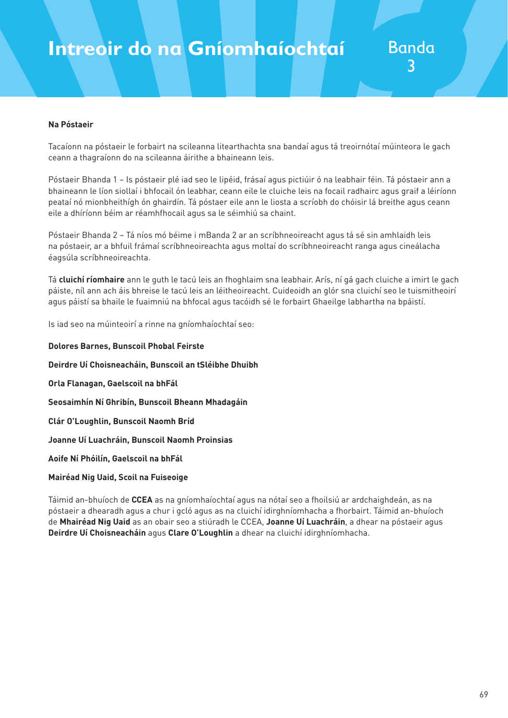### **Intreoir do na Gníomhaíochtaí** Banda

#### **Na Póstaeir**

Tacaíonn na póstaeir le forbairt na scileanna litearthachta sna bandaí agus tá treoirnótaí múinteora le gach ceann a thagraíonn do na scileanna áirithe a bhaineann leis.

Póstaeir Bhanda 1 – Is póstaeir plé iad seo le lipéid, frásaí agus pictiúir ó na leabhair féin. Tá póstaeir ann a bhaineann le líon siollaí i bhfocail ón leabhar, ceann eile le cluiche leis na focail radhairc agus graif a léiríonn peataí nó mionbheithígh ón ghairdín. Tá póstaer eile ann le liosta a scríobh do chóisir lá breithe agus ceann eile a dhíríonn béim ar réamhfhocail agus sa le séimhiú sa chaint.

Póstaeir Bhanda 2 – Tá níos mó béime i mBanda 2 ar an scríbhneoireacht agus tá sé sin amhlaidh leis na póstaeir, ar a bhfuil frámaí scríbhneoireachta agus moltaí do scríbhneoireacht ranga agus cineálacha éagsúla scríbhneoireachta.

Tá **cluichí ríomhaire** ann le guth le tacú leis an fhoghlaim sna leabhair. Arís, ní gá gach cluiche a imirt le gach páiste, níl ann ach áis bhreise le tacú leis an léitheoireacht. Cuideoidh an glór sna cluichí seo le tuismitheoirí agus páistí sa bhaile le fuaimniú na bhfocal agus tacóidh sé le forbairt Ghaeilge labhartha na bpáistí.

Is iad seo na múinteoirí a rinne na gníomhaíochtaí seo:

**Dolores Barnes, Bunscoil Phobal Feirste Deirdre Uí Choisneacháin, Bunscoil an tSléibhe Dhuibh Orla Flanagan, Gaelscoil na bhFál Seosaimhín Ní Ghribín, Bunscoil Bheann Mhadagáin Clár O'Loughlin, Bunscoil Naomh Bríd Joanne Uí Luachráin, Bunscoil Naomh Proinsias Aoife Ní Phóilín, Gaelscoil na bhFál Mairéad Nig Uaid, Scoil na Fuiseoige**

Táimid an-bhuíoch de **CCEA** as na gníomhaíochtaí agus na nótaí seo a fhoilsiú ar ardchaighdeán, as na póstaeir a dhearadh agus a chur i gcló agus as na cluichí idirghníomhacha a fhorbairt. Táimid an-bhuíoch de **Mhairéad Nig Uaid** as an obair seo a stiúradh le CCEA, **Joanne Uí Luachráin**, a dhear na póstaeir agus **Deirdre Uí Choisneacháin** agus **Clare O'Loughlin** a dhear na cluichí idirghníomhacha.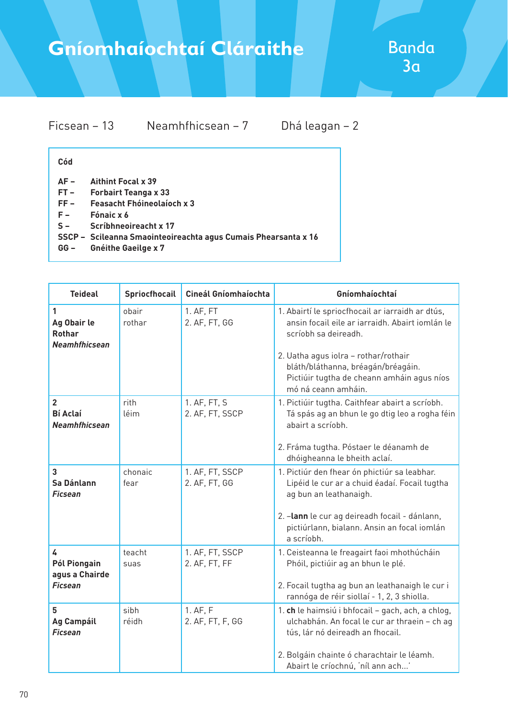## **Gníomhaíochtaí Cláraithe**

| Ficsean – 13 |                    |  |
|--------------|--------------------|--|
|              | Neamhfhicsean $-7$ |  |

Dhá leagan – 2

#### **Cód**

- **AF Aithint Focal x 39**
- **FT Forbairt Teanga x 33**
- **FF Feasacht Fhóineolaíoch x 3**
- **F Fónaic x 6**
- **S Scríbhneoireacht x 17**
- **SSCP Scileanna Smaointeoireachta agus Cumais Phearsanta x 16**
- **GG Gnéithe Gaeilge x 7**

| <b>Teideal</b>                                            | Spriocfhocail   | Cineál Gníomhaíochta             | Gníomhaíochtaí                                                                                                                                                                                                                                          |
|-----------------------------------------------------------|-----------------|----------------------------------|---------------------------------------------------------------------------------------------------------------------------------------------------------------------------------------------------------------------------------------------------------|
| 1<br>Ag Obair le<br><b>Rothar</b><br><b>Neamhfhicsean</b> | obair<br>rothar | 1. AF, FT<br>2. AF, FT, GG       | 1. Abairtí le spriocfhocail ar iarraidh ar dtús,<br>ansin focail eile ar iarraidh. Abairt iomlán le<br>scríobh sa deireadh.<br>2. Uatha agus iolra - rothar/rothair<br>bláth/bláthanna, bréagán/bréagáin.<br>Pictiúir tugtha de cheann amháin agus níos |
|                                                           |                 |                                  | mó ná ceann amháin.                                                                                                                                                                                                                                     |
| $\overline{2}$<br><b>Bí Aclaí</b><br><b>Neamhfhicsean</b> | rith<br>léim    | 1. AF, FT, S<br>2. AF, FT, SSCP  | 1. Pictiúir tugtha. Caithfear abairt a scríobh.<br>Tá spás ag an bhun le go dtig leo a rogha féin<br>abairt a scríobh.                                                                                                                                  |
|                                                           |                 |                                  | 2. Fráma tugtha. Póstaer le déanamh de<br>dhóigheanna le bheith aclaí.                                                                                                                                                                                  |
| 3<br>Sa Dánlann<br><b>Ficsean</b>                         | chonaic<br>fear | 1. AF, FT, SSCP<br>2. AF, FT, GG | 1. Pictiúr den fhear ón phictiúr sa leabhar.<br>Lipéid le cur ar a chuid éadaí. Focail tugtha<br>ag bun an leathanaigh.                                                                                                                                 |
|                                                           |                 |                                  | 2. - lann le cur ag deireadh focail - dánlann,<br>pictiúrlann, bialann. Ansin an focal iomlán<br>a scríobh.                                                                                                                                             |
| 4<br>Pól Piongain<br>agus a Chairde                       | teacht<br>suas  | 1. AF, FT, SSCP<br>2. AF, FT, FF | 1. Ceisteanna le freagairt faoi mhothúcháin<br>Phóil, pictiúir ag an bhun le plé.                                                                                                                                                                       |
| <b>Ficsean</b>                                            |                 |                                  | 2. Focail tugtha ag bun an leathanaigh le cur i<br>rannóga de réir siollaí - 1, 2, 3 shiolla.                                                                                                                                                           |
| 5<br><b>Ag Campáil</b><br><b>Ficsean</b>                  | sibh<br>réidh   | 1. AF, F<br>2. AF, FT, F, GG     | 1. ch le haimsiú i bhfocail - gach, ach, a chlog,<br>ulchabhán. An focal le cur ar thraein - ch ag<br>tús, lár nó deireadh an fhocail.                                                                                                                  |
|                                                           |                 |                                  | 2. Bolgáin chainte ó charachtair le léamh.<br>Abairt le críochnú, 'níl ann ach'                                                                                                                                                                         |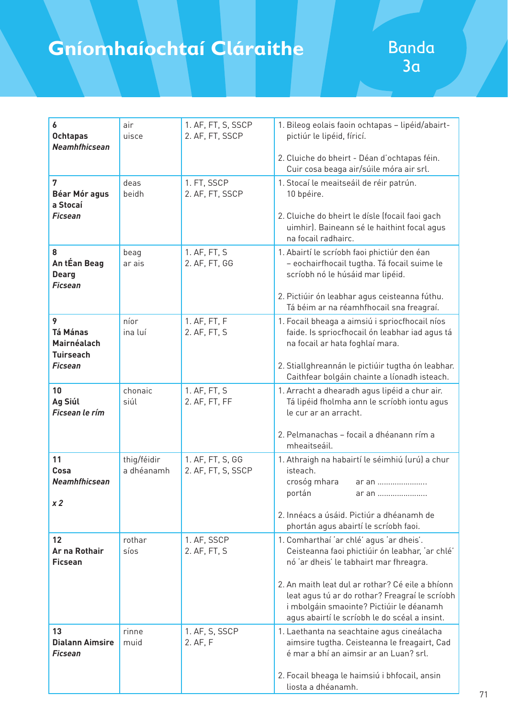## **Gníomhaíochtaí Cláraithe**

| 6                                              | air                       | 1. AF, FT, S, SSCP                     | 1. Bileog eolais faoin ochtapas - lipéid/abairt-                                                                      |
|------------------------------------------------|---------------------------|----------------------------------------|-----------------------------------------------------------------------------------------------------------------------|
| <b>Ochtapas</b><br>Neamhfhicsean               | uisce                     | 2. AF, FT, SSCP                        | pictiúr le lipéid, fíricí.                                                                                            |
|                                                |                           |                                        | 2. Cluiche do bheirt - Déan d'ochtapas féin.<br>Cuir cosa beaga air/súile móra air srl.                               |
| 7                                              | deas                      | 1. FT, SSCP                            | 1. Stocaí le meaitseáil de réir patrún.                                                                               |
| <b>Béar Mór agus</b><br>a Stocaí               | beidh                     | 2. AF, FT, SSCP                        | 10 bpéire.                                                                                                            |
| <b>Ficsean</b>                                 |                           |                                        | 2. Cluiche do bheirt le dísle (focail faoi gach<br>uimhir). Baineann sé le haithint focal agus<br>na focail radhairc. |
| 8                                              | beag                      | 1. AF, FT, S                           | 1. Abairtí le scríobh faoi phictiúr den éan                                                                           |
| An tÉan Beag<br><b>Dearg</b><br><b>Ficsean</b> | ar ais                    | 2. AF, FT, GG                          | - eochairfhocail tugtha. Tá focail suime le<br>scríobh nó le húsáid mar lipéid.                                       |
|                                                |                           |                                        | 2. Pictiúir ón leabhar agus ceisteanna fúthu.<br>Tá béim ar na réamhfhocail sna freagraí.                             |
| 9                                              | níor                      | 1. AF, FT, F                           | 1. Focail bheaga a aimsiú i spriocfhocail níos                                                                        |
| <b>Tá Mánas</b><br>Mairnéalach                 | ina luí                   | 2. AF, FT, S                           | faide. Is spriocfhocail ón leabhar iad agus tá<br>na focail ar hata foghlaí mara.                                     |
| <b>Tuirseach</b>                               |                           |                                        |                                                                                                                       |
| <b>Ficsean</b>                                 |                           |                                        | 2. Stiallghreannán le pictiúir tugtha ón leabhar.<br>Caithfear bolgáin chainte a líonadh isteach.                     |
| 10                                             | chonaic                   | 1. AF, FT, S                           | 1. Arracht a dhearadh agus lipéid a chur air.                                                                         |
| Ag Siúl<br>Ficsean le rím                      | siúl                      | 2. AF, FT, FF                          | Tá lipéid fholmha ann le scríobh iontu agus<br>le cur ar an arracht.                                                  |
|                                                |                           |                                        |                                                                                                                       |
|                                                |                           |                                        | 2. Pelmanachas - focail a dhéanann rím a<br>mheaitseáil.                                                              |
| 11<br>Cosa                                     | thig/féidir<br>a dhéanamh | 1. AF, FT, S, GG<br>2. AF, FT, S, SSCP | 1. Athraigh na habairtí le séimhiú (urú) a chur<br>isteach.                                                           |
| <b>Neamhfhicsean</b>                           |                           |                                        | crosóg mhara<br>ar an                                                                                                 |
|                                                |                           |                                        | portán<br>ar an                                                                                                       |
| x 2                                            |                           |                                        | 2. Innéacs a úsáid. Pictiúr a dhéanamh de                                                                             |
|                                                |                           |                                        | phortán agus abairtí le scríobh faoi.                                                                                 |
| 12<br>Ar na Rothair                            | rothar<br>síos            | 1. AF, SSCP<br>2. AF, FT, S            | 1. Comharthaí 'ar chlé' agus 'ar dheis'.<br>Ceisteanna faoi phictiúir ón leabhar, 'ar chlé'                           |
| <b>Ficsean</b>                                 |                           |                                        | nó 'ar dheis' le tabhairt mar fhreagra.                                                                               |
|                                                |                           |                                        | 2. An maith leat dul ar rothar? Cé eile a bhíonn                                                                      |
|                                                |                           |                                        | leat agus tú ar do rothar? Freagraí le scríobh                                                                        |
|                                                |                           |                                        | i mbolgáin smaointe? Pictiúir le déanamh<br>agus abairtí le scríobh le do scéal a insint.                             |
| 13                                             | rinne                     | 1. AF, S, SSCP                         | 1. Laethanta na seachtaine agus cineálacha                                                                            |
| <b>Dialann Aimsire</b><br>Ficsean              | muid                      | 2. AF, F                               | aimsire tugtha. Ceisteanna le freagairt, Cad<br>é mar a bhí an aimsir ar an Luan? srl.                                |
|                                                |                           |                                        |                                                                                                                       |
|                                                |                           |                                        | 2. Focail bheaga le haimsiú i bhfocail, ansin<br>liosta a dhéanamh.                                                   |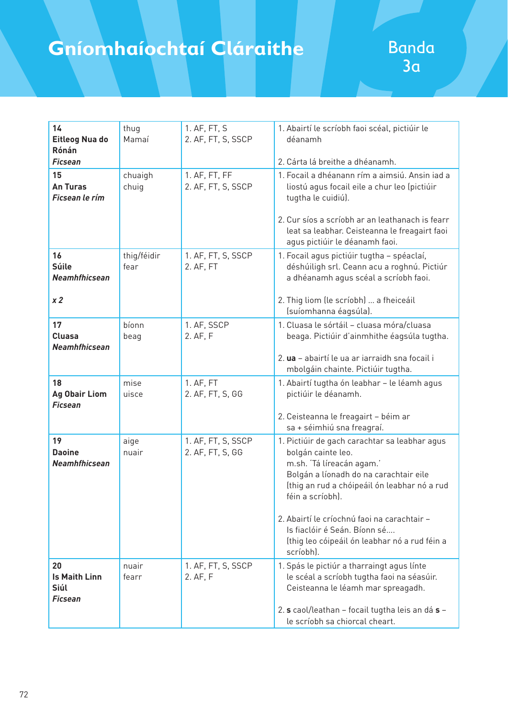## **Gníomhaíochtaí Cláraithe**

| 14<br>Eitleog Nua do<br>Rónán<br><b>Ficsean</b>      | thug<br>Mamaí       | 1. AF, FT, S<br>2. AF, FT, S, SSCP     | 1. Abairtí le scríobh faoi scéal, pictiúir le<br>déanamh<br>2. Cárta lá breithe a dhéanamh.                                                                                                                                                                   |
|------------------------------------------------------|---------------------|----------------------------------------|---------------------------------------------------------------------------------------------------------------------------------------------------------------------------------------------------------------------------------------------------------------|
| 15<br><b>An Turas</b><br>Ficsean le rím              | chuaigh<br>chuig    | 1. AF, FT, FF<br>2. AF, FT, S, SSCP    | 1. Focail a dhéanann rím a aimsiú. Ansin iad a<br>liostú agus focail eile a chur leo (pictiúir<br>tugtha le cuidiú).                                                                                                                                          |
|                                                      |                     |                                        | 2. Cur síos a scríobh ar an leathanach is fearr<br>leat sa leabhar. Ceisteanna le freagairt faoi<br>agus pictiúir le déanamh faoi.                                                                                                                            |
| 16<br><b>Súile</b><br><b>Neamhfhicsean</b>           | thig/féidir<br>fear | 1. AF, FT, S, SSCP<br>2. AF, FT        | 1. Focail agus pictiúir tugtha - spéaclaí,<br>déshúiligh srl. Ceann acu a roghnú. Pictiúr<br>a dhéanamh agus scéal a scríobh faoi.                                                                                                                            |
| x <sub>2</sub>                                       |                     |                                        | 2. Thig liom (le scríobh)  a fheiceáil<br>(suíomhanna éagsúla).                                                                                                                                                                                               |
| 17<br><b>Cluasa</b><br><b>Neamhfhicsean</b>          | bíonn<br>beag       | 1. AF, SSCP<br>2. AF, F                | 1. Cluasa le sórtáil - cluasa móra/cluasa<br>beaga. Pictiúir d'ainmhithe éagsúla tugtha.                                                                                                                                                                      |
|                                                      |                     |                                        | 2. ua - abairtí le ua ar iarraidh sna focail i<br>mbolgáin chainte. Pictiúir tugtha.                                                                                                                                                                          |
| 18<br><b>Ag Obair Liom</b><br><b>Ficsean</b>         | mise<br>uisce       | 1. AF, FT<br>2. AF, FT, S, GG          | 1. Abairtí tugtha ón leabhar - le léamh agus<br>pictiúir le déanamh.                                                                                                                                                                                          |
|                                                      |                     |                                        | 2. Ceisteanna le freagairt - béim ar<br>sa + séimhiú sna freagraí.                                                                                                                                                                                            |
| 19<br><b>Daoine</b><br>Neamhfhicsean                 | aige<br>nuair       | 1. AF, FT, S, SSCP<br>2. AF, FT, S, GG | 1. Pictiúir de gach carachtar sa leabhar agus<br>bolgán cainte leo.<br>m.sh. 'Tá líreacán agam.'<br>Bolgán a líonadh do na carachtair eile<br>(thig an rud a chóipeáil ón leabhar nó a rud<br>féin a scríobh).<br>2. Abairtí le críochnú faoi na carachtair - |
|                                                      |                     |                                        | Is fiaclóir é Seán. Bíonn sé<br>(thig leo cóipeáil ón leabhar nó a rud féin a<br>scríobh).                                                                                                                                                                    |
| 20<br><b>Is Maith Linn</b><br>Siúl<br><b>Ficsean</b> | nuair<br>fearr      | 1. AF, FT, S, SSCP<br>2. AF, F         | 1. Spás le pictiúr a tharraingt agus línte<br>le scéal a scríobh tugtha faoi na séasúir.<br>Ceisteanna le léamh mar spreagadh.                                                                                                                                |
|                                                      |                     |                                        | 2. s caol/leathan - focail tugtha leis an dá s -<br>le scríobh sa chiorcal cheart.                                                                                                                                                                            |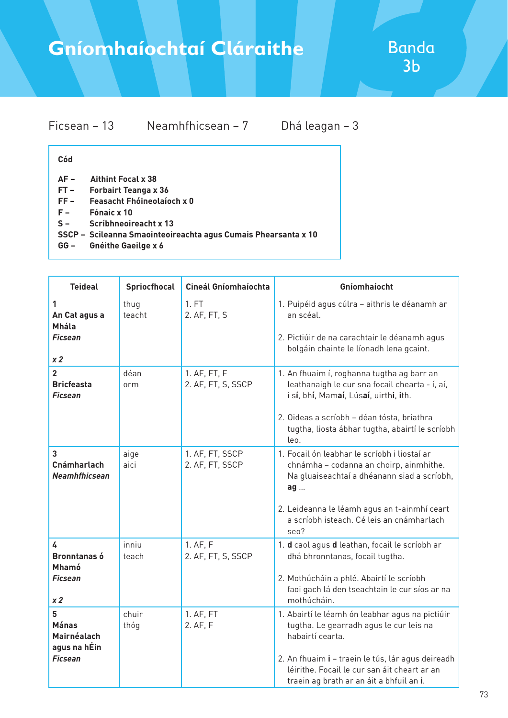| Ficsean – 13 | Neamhfhicsean $-7$ |  |
|--------------|--------------------|--|
|              |                    |  |

Dhá leagan – 3

#### **Cód**

- **AF Aithint Focal x 38**
- **FT Forbairt Teanga x 36**
- **FF Feasacht Fhóineolaíoch x 0**
- **F Fónaic x 10**
- **S Scríbhneoireacht x 13**
- **SSCP Scileanna Smaointeoireachta agus Cumais Phearsanta x 10**
- **GG Gnéithe Gaeilge x 6**

| <b>Teideal</b>                                                         | Spriocfhocal   | Cineál Gníomhaíochta               | Gníomhaíocht                                                                                                                                                                                                                                                    |
|------------------------------------------------------------------------|----------------|------------------------------------|-----------------------------------------------------------------------------------------------------------------------------------------------------------------------------------------------------------------------------------------------------------------|
| 1<br>An Cat agus a<br><b>Mhála</b><br><b>Ficsean</b><br>x <sub>2</sub> | thug<br>teacht | 1. FT<br>2. AF, FT, S              | 1. Puipéid agus cúlra - aithris le déanamh ar<br>an scéal.<br>2. Pictiúir de na carachtair le déanamh agus<br>bolgáin chainte le líonadh lena gcaint.                                                                                                           |
| $\overline{2}$<br><b>Bricfeasta</b><br><b>Ficsean</b>                  | déan<br>orm    | 1. AF, FT, F<br>2. AF, FT, S, SSCP | 1. An fhuaim í, roghanna tugtha ag barr an<br>leathanaigh le cur sna focail chearta - í, aí,<br>i sí, bhí, Mamaí, Lúsaí, uirthi, ith.<br>2. Oideas a scríobh - déan tósta, briathra<br>tugtha, liosta ábhar tugtha, abairtí le scríobh<br>leo.                  |
| 3<br>Cnámharlach<br><b>Neamhfhicsean</b>                               | aige<br>aici   | 1. AF, FT, SSCP<br>2. AF, FT, SSCP | 1. Focail ón leabhar le scríobh i liostaí ar<br>chnámha - codanna an choirp, ainmhithe.<br>Na gluaiseachtaí a dhéanann siad a scríobh,<br>ag<br>2. Leideanna le léamh agus an t-ainmhí ceart<br>a scríobh isteach. Cé leis an cnámharlach<br>seo?               |
| 4<br><b>Bronntanas ó</b><br><b>Mhamó</b><br>Ficsean<br>x <sub>2</sub>  | inniu<br>teach | 1. AF, F<br>2. AF, FT, S, SSCP     | 1. d caol agus d leathan, focail le scríobh ar<br>dhá bhronntanas, focail tugtha.<br>2. Mothúcháin a phlé. Abairtí le scríobh<br>faoi gach lá den tseachtain le cur síos ar na<br>mothúcháin.                                                                   |
| 5<br><b>Mánas</b><br>Mairnéalach<br>agus na hÉin<br><b>Ficsean</b>     | chuir<br>thóg  | 1. AF, FT<br>2. AF, F              | 1. Abairtí le léamh ón leabhar agus na pictiúir<br>tugtha. Le gearradh agus le cur leis na<br>habairtí cearta.<br>2. An fhuaim i - traein le tús, lár agus deireadh<br>léirithe. Focail le cur san áit cheart ar an<br>traein ag brath ar an áit a bhfuil an i. |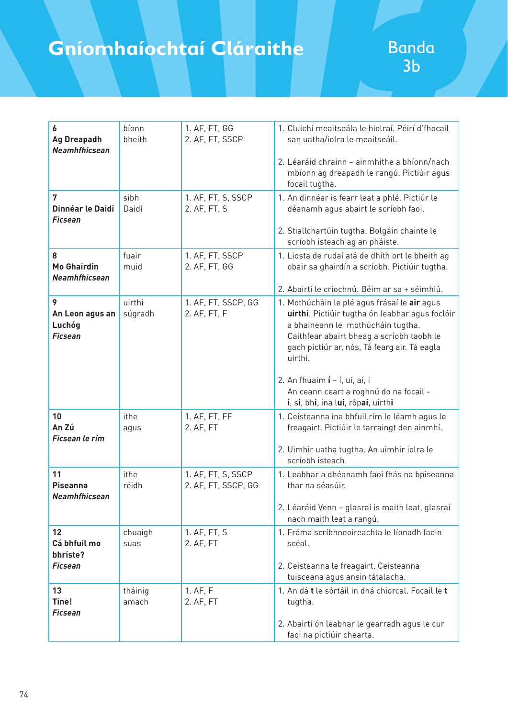| 6<br><b>Ag Dreapadh</b><br><b>Neamhfhicsean</b>  | bíonn<br>bheith   | 1. AF, FT, GG<br>2. AF, FT, SSCP          | 1. Cluichí meaitseála le hiolraí. Péirí d'fhocail<br>san uatha/iolra le meaitseáil.                                                                                                                                                          |
|--------------------------------------------------|-------------------|-------------------------------------------|----------------------------------------------------------------------------------------------------------------------------------------------------------------------------------------------------------------------------------------------|
|                                                  |                   |                                           | 2. Léaráid chrainn - ainmhithe a bhíonn/nach<br>mbíonn ag dreapadh le rangú. Pictiúir agus<br>focail tugtha.                                                                                                                                 |
| 7<br>Dinnéar le Daidí<br><b>Ficsean</b>          | sibh<br>Daidí     | 1. AF, FT, S, SSCP<br>2. AF, FT, S        | 1. An dinnéar is fearr leat a phlé. Pictiúr le<br>déanamh agus abairt le scríobh faoi.                                                                                                                                                       |
|                                                  |                   |                                           | 2. Stiallchartúin tugtha. Bolgáin chainte le<br>scríobh isteach ag an pháiste.                                                                                                                                                               |
| 8<br><b>Mo Ghairdín</b><br><b>Neamhfhicsean</b>  | fuair<br>muid     | 1. AF, FT, SSCP<br>2. AF, FT, GG          | 1. Liosta de rudaí atá de dhíth ort le bheith ag<br>obair sa ghairdín a scríobh. Pictiúir tugtha.                                                                                                                                            |
|                                                  |                   |                                           | 2. Abairtí le críochnú. Béim ar sa + séimhiú.                                                                                                                                                                                                |
| 9<br>An Leon agus an<br>Luchóg<br><b>Ficsean</b> | uirthi<br>súgradh | 1. AF, FT, SSCP, GG<br>2. AF, FT, F       | 1. Mothúcháin le plé agus frásaí le air agus<br>uirthi. Pictiúir tugtha ón leabhar agus foclóir<br>a bhaineann le mothúcháin tugtha.<br>Caithfear abairt bheag a scríobh taobh le<br>gach pictiúr ar, nós, Tá fearg air. Tá eagla<br>uirthi. |
|                                                  |                   |                                           | 2. An fhuaim $i - i$ , uí, aí, i<br>An ceann ceart a roghnú do na focail -<br>í, sí, bhí, ina luí, rópaí, uirthi                                                                                                                             |
| 10<br>An Zú<br>Ficsean le rím                    | ithe<br>agus      | 1. AF, FT, FF<br>2. AF, FT                | 1. Ceisteanna ina bhfuil rím le léamh agus le<br>freagairt. Pictiúir le tarraingt den ainmhí.                                                                                                                                                |
|                                                  |                   |                                           | 2. Uimhir uatha tugtha. An uimhir iolra le<br>scríobh isteach.                                                                                                                                                                               |
| 11<br><b>Piseanna</b><br><b>Neamhfhicsean</b>    | ithe<br>réidh     | 1. AF, FT, S, SSCP<br>2. AF, FT, SSCP, GG | 1. Leabhar a dhéanamh faoi fhás na bpiseanna<br>thar na séasúir.                                                                                                                                                                             |
|                                                  |                   |                                           | 2. Léaráid Venn - glasraí is maith leat, glasraí<br>nach maith leat a rangú.                                                                                                                                                                 |
| 12<br>Cá bhfuil mo<br>bhríste?                   | chuaigh<br>suas   | 1. AF, FT, S<br>2. AF, FT                 | 1. Fráma scríbhneoireachta le líonadh faoin<br>scéal.                                                                                                                                                                                        |
| <b>Ficsean</b>                                   |                   |                                           | 2. Ceisteanna le freagairt. Ceisteanna<br>tuisceana agus ansin tátalacha.                                                                                                                                                                    |
| 13<br>Tine!<br><b>Ficsean</b>                    | tháinig<br>amach  | 1. AF, F<br>2. AF, FT                     | 1. An dá t le sórtáil in dhá chiorcal. Focail le t<br>tugtha.                                                                                                                                                                                |
|                                                  |                   |                                           | 2. Abairtí ón leabhar le gearradh agus le cur<br>faoi na pictiúir chearta.                                                                                                                                                                   |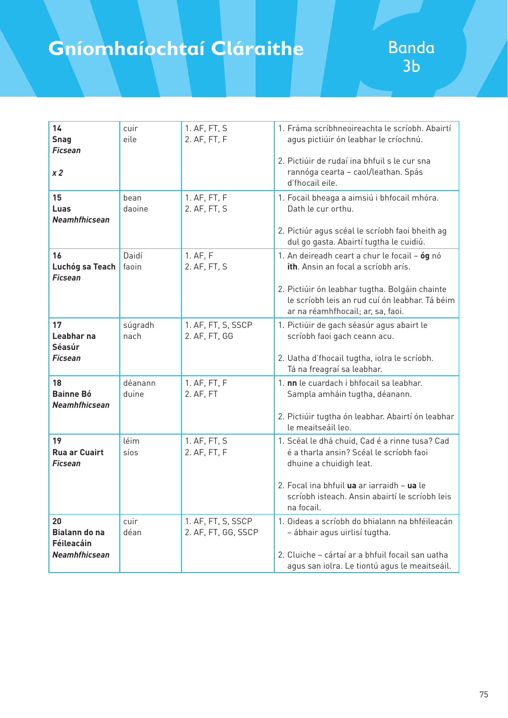| 14<br><b>Snag</b><br><b>Ficsean</b><br>x <sub>2</sub>            | cuir<br>eile     | 1. AF, FT, S<br>2. AF, FT, F              | 1. Fráma scríbhneoireachta le scríobh. Abairtí<br>agus pictiúir ón leabhar le críochnú.<br>2. Pictiúir de rudaí ina bhfuil s le cur sna<br>rannóga cearta - caol/leathan. Spás<br>d'fhocail eile.                                  |
|------------------------------------------------------------------|------------------|-------------------------------------------|------------------------------------------------------------------------------------------------------------------------------------------------------------------------------------------------------------------------------------|
| 15<br>Luas<br><b>Neamhfhicsean</b>                               | bean<br>daoine   | 1. AF, FT, F<br>2. AF, FT, S              | 1. Focail bheaga a aimsiú i bhfocail mhóra.<br>Dath le cur orthu.<br>2. Pictiúr agus scéal le scríobh faoi bheith ag<br>dul go gasta. Abairtí tugtha le cuidiú.                                                                    |
| 16<br>Luchóg sa Teach<br><b>Ficsean</b>                          | Daidí<br>faoin   | 1. AF, F<br>2. AF, FT, S                  | 1. An deireadh ceart a chur le focail - óg nó<br>ith. Ansin an focal a scríobh arís.<br>2. Pictiúir ón leabhar tugtha. Bolgáin chainte<br>le scríobh leis an rud cuí ón leabhar. Tá béim<br>ar na réamhfhocail; ar, sa, faoi.      |
| 17<br>Leabhar na<br>Séasúr<br><b>Ficsean</b>                     | súgradh<br>nach  | 1. AF, FT, S, SSCP<br>2. AF, FT, GG       | 1. Pictiúir de gach séasúr agus abairt le<br>scríobh faoi gach ceann acu.<br>2. Uatha d'fhocail tugtha, iolra le scríobh.<br>Tá na freagraí sa leabhar.                                                                            |
| 18<br><b>Bainne Bó</b><br>Neamhfhicsean                          | déanann<br>duine | 1. AF, FT, F<br>2. AF, FT                 | 1. nn le cuardach i bhfocail sa leabhar.<br>Sampla amháin tugtha, déanann.<br>2. Pictiúir tugtha ón leabhar. Abairtí ón leabhar<br>le meaitseáil leo.                                                                              |
| 19<br><b>Rua ar Cuairt</b><br><b>Ficsean</b>                     | léim<br>síos     | 1. AF, FT, S<br>2. AF, FT, F              | 1. Scéal le dhá chuid, Cad é a rinne tusa? Cad<br>é a tharla ansin? Scéal le scríobh faoi<br>dhuine a chuidigh leat.<br>2. Focal ina bhfuil ua ar iarraidh - ua le<br>scríobh isteach. Ansin abairtí le scríobh leis<br>na focail. |
| 20<br><b>Bialann do na</b><br>Féileacáin<br><b>Neamhfhicsean</b> | cuir<br>déan     | 1. AF, FT, S, SSCP<br>2. AF, FT, GG, SSCP | 1. Oideas a scríobh do bhialann na bhféileacán<br>- ábhair agus uirlisí tugtha.<br>2. Cluiche - cártaí ar a bhfuil focail san uatha<br>agus san iolra. Le tiontú agus le meaitseáil.                                               |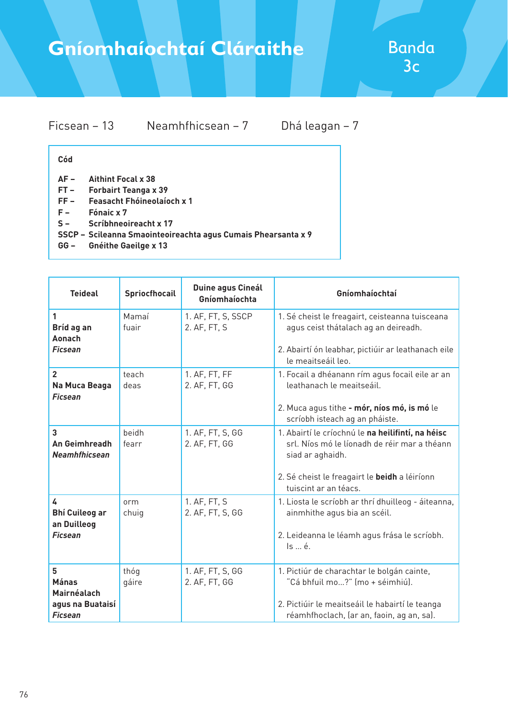### Ficsean – 13 Neamhfhicsean – 7 Dhá leagan – 7

#### **Cód**

- **AF Aithint Focal x 38**
- **FT Forbairt Teanga x 39**
- **FF Feasacht Fhóineolaíoch x 1**
- **F Fónaic x 7**
- **S Scríbhneoireacht x 17**
- **SSCP Scileanna Smaointeoireachta agus Cumais Phearsanta x 9**
- **GG Gnéithe Gaeilge x 13**

| <b>Teideal</b>                                                         | Spriocfhocail  | Duine agus Cineál<br>Gníomhaíochta | Gníomhaíochtaí                                                                                                                                                                                  |
|------------------------------------------------------------------------|----------------|------------------------------------|-------------------------------------------------------------------------------------------------------------------------------------------------------------------------------------------------|
| 1<br>Bríd ag an<br><b>Aonach</b>                                       | Mamaí<br>fuair | 1. AF, FT, S, SSCP<br>2. AF, FT, S | 1. Sé cheist le freagairt, ceisteanna tuisceana<br>agus ceist thátalach ag an deireadh.                                                                                                         |
| <b>Ficsean</b>                                                         |                |                                    | 2. Abairtí ón leabhar, pictiúir ar leathanach eile<br>le meaitseáil leo.                                                                                                                        |
| $\overline{2}$<br>Na Muca Beaga<br><b>Ficsean</b>                      | teach<br>deas  | 1. AF, FT, FF<br>2. AF, FT, GG     | 1. Focail a dhéanann rím agus focail eile ar an<br>leathanach le meaitseáil.<br>2. Muca agus tithe - mór, níos mó, is mó le<br>scríobh isteach ag an pháiste.                                   |
| 3<br><b>An Geimhreadh</b><br><b>Neamhfhicsean</b>                      | beidh<br>fearr | 1. AF, FT, S, GG<br>2. AF, FT, GG  | 1. Abairtí le críochnú le na heilifintí, na héisc<br>srl. Níos mó le líonadh de réir mar a théann<br>siad ar aghaidh.<br>2. Sé cheist le freagairt le beidh a léiríonn<br>tuiscint ar an téacs. |
| 4<br><b>Bhí Cuileog ar</b><br>an Duilleog<br><b>Ficsean</b>            | orm<br>chuig   | 1. AF, FT, S<br>2. AF, FT, S, GG   | 1. Liosta le scríobh ar thrí dhuilleog - áiteanna,<br>ainmhithe agus bia an scéil.<br>2. Leideanna le léamh agus frása le scríobh.<br>Is  é.                                                    |
| 5<br><b>Mánas</b><br>Mairnéalach<br>agus na Buataisí<br><b>Ficsean</b> | thóg<br>gáire  | 1. AF, FT, S, GG<br>2. AF, FT, GG  | 1. Pictiúr de charachtar le bolgán cainte,<br>"Cá bhfuil mo?" (mo + séimhiú).<br>2. Pictiúir le meaitseáil le habairtí le teanga<br>réamhfhoclach, (ar an, faoin, ag an, sa).                   |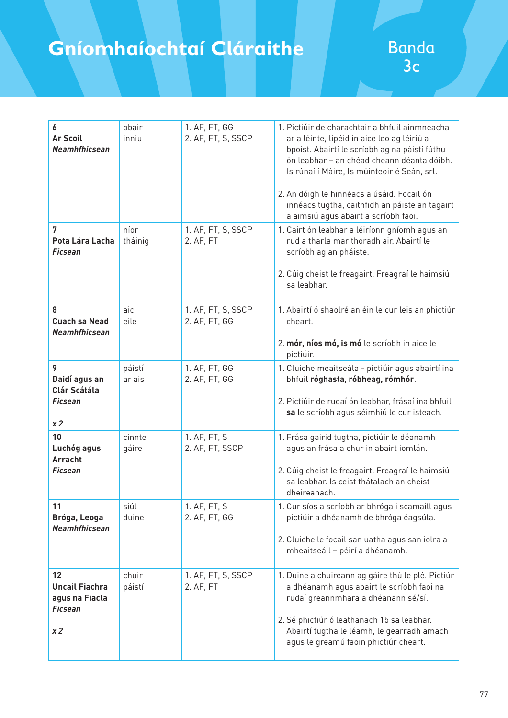| 6<br><b>Ar Scoil</b><br><b>Neamhfhicsean</b>                                  | obair<br>inniu   | 1. AF, FT, GG<br>2. AF, FT, S, SSCP | 1. Pictiúir de charachtair a bhfuil ainmneacha<br>ar a léinte, lipéid in aice leo ag léiriú a<br>bpoist. Abairtí le scríobh ag na páistí fúthu<br>ón leabhar - an chéad cheann déanta dóibh.<br>Is rúnaí í Máire, Is múinteoir é Seán, srl.<br>2. An dóigh le hinnéacs a úsáid. Focail ón<br>innéacs tugtha, caithfidh an páiste an tagairt<br>a aimsiú agus abairt a scríobh faoi. |
|-------------------------------------------------------------------------------|------------------|-------------------------------------|-------------------------------------------------------------------------------------------------------------------------------------------------------------------------------------------------------------------------------------------------------------------------------------------------------------------------------------------------------------------------------------|
| 7<br>Pota Lára Lacha<br><b>Ficsean</b>                                        | níor<br>tháinig  | 1. AF, FT, S, SSCP<br>2. AF, FT     | 1. Cairt ón leabhar a léiríonn gníomh agus an<br>rud a tharla mar thoradh air. Abairtí le<br>scríobh ag an pháiste.<br>2. Cúig cheist le freagairt. Freagraí le haimsiú<br>sa leabhar.                                                                                                                                                                                              |
| 8<br><b>Cuach sa Nead</b><br>Neamhfhicsean                                    | aici<br>eile     | 1. AF, FT, S, SSCP<br>2. AF, FT, GG | 1. Abairtí ó shaolré an éin le cur leis an phictiúr<br>cheart.<br>2. mór, níos mó, is mó le scríobh in aice le<br>pictiúir.                                                                                                                                                                                                                                                         |
| 9<br>Daidí agus an<br><b>Clár Scátála</b><br><b>Ficsean</b><br>x <sub>2</sub> | páistí<br>ar ais | 1. AF, FT, GG<br>2. AF, FT, GG      | 1. Cluiche meaitseála - pictiúir agus abairtí ina<br>bhfuil róghasta, róbheag, rómhór.<br>2. Pictiúir de rudaí ón leabhar, frásaí ina bhfuil<br>sa le scríobh agus séimhiú le cur isteach.                                                                                                                                                                                          |
| 10<br>Luchóg agus<br><b>Arracht</b><br>Ficsean                                | cinnte<br>gáire  | 1. AF, FT, S<br>2. AF, FT, SSCP     | 1. Frása gairid tugtha, pictiúir le déanamh<br>agus an frása a chur in abairt iomlán.<br>2. Cúig cheist le freagairt. Freagraí le haimsiú<br>sa leabhar. Is ceist thátalach an cheist<br>dheireanach.                                                                                                                                                                               |
| 11<br>Bróga, Leoga<br>Neamhfhicsean                                           | siúl<br>duine    | 1. AF, FT, S<br>2. AF, FT, GG       | 1. Cur síos a scríobh ar bhróga i scamaill agus<br>pictiúir a dhéanamh de bhróga éagsúla.<br>2. Cluiche le focail san uatha agus san iolra a<br>mheaitseáil - péirí a dhéanamh.                                                                                                                                                                                                     |
| 12<br><b>Uncail Fiachra</b><br>agus na Fiacla<br><b>Ficsean</b><br>x 2        | chuir<br>páistí  | 1. AF, FT, S, SSCP<br>2. AF, FT     | 1. Duine a chuireann ag gáire thú le plé. Pictiúr<br>a dhéanamh agus abairt le scríobh faoi na<br>rudaí greannmhara a dhéanann sé/sí.<br>2. Sé phictiúr ó leathanach 15 sa leabhar.<br>Abairtí tugtha le léamh, le gearradh amach<br>agus le greamú faoin phictiúr cheart.                                                                                                          |